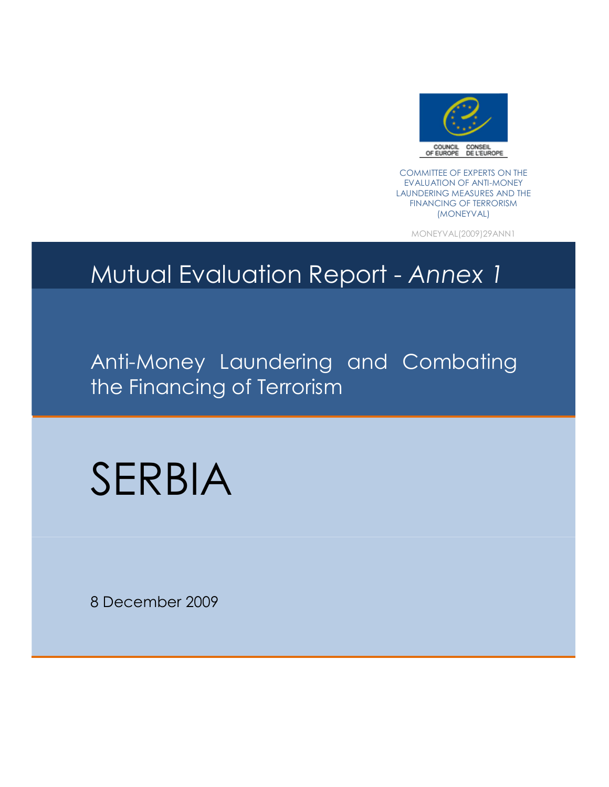

COMMITTEE OF EXPERTS ON THE EVALUATION OF ANTI-MONEY LAUNDERING MEASURES AND THE FINANCING OF TERRORISM (MONEYVAL)

MONEYVAL(2009)29ANN1

## Mutual Evaluation Report - Annex 1

Anti-Money Laundering and Combating the Financing of Terrorism

# SERBIA

8 December 2009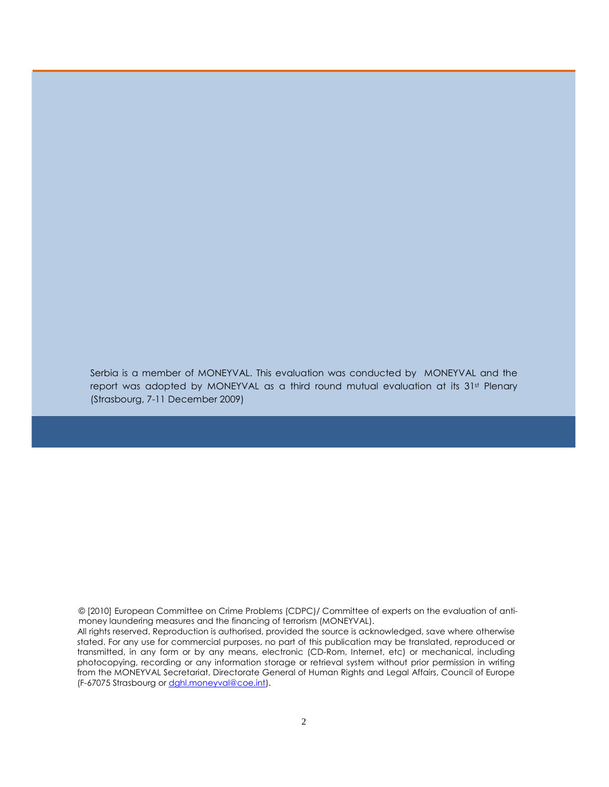Serbia is a member of MONEYVAL. This evaluation was conducted by MONEYVAL and the report was adopted by MONEYVAL as a third round mutual evaluation at its 31st Plenary (Strasbourg, 7-11 December 2009)

© [2010] European Committee on Crime Problems (CDPC)/ Committee of experts on the evaluation of antimoney laundering measures and the financing of terrorism (MONEYVAL).

 All rights reserved. Reproduction is authorised, provided the source is acknowledged, save where otherwise stated. For any use for commercial purposes, no part of this publication may be translated, reproduced or transmitted, in any form or by any means, electronic (CD-Rom, Internet, etc) or mechanical, including photocopying, recording or any information storage or retrieval system without prior permission in writing from the MONEYVAL Secretariat, Directorate General of Human Rights and Legal Affairs, Council of Europe (F-67075 Strasbourg or dghl.moneyval@coe.int).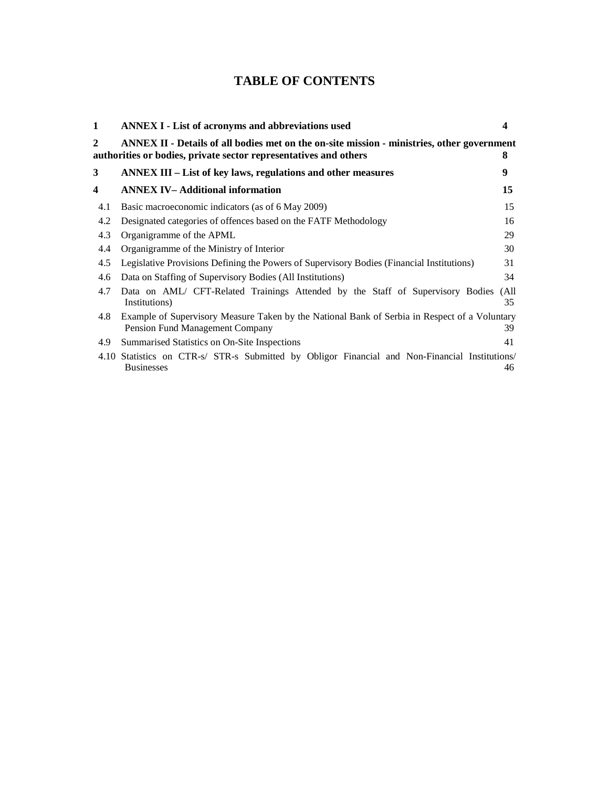## **TABLE OF CONTENTS**

| 1   | <b>ANNEX I - List of acronyms and abbreviations used</b>                                                                                                       | 4          |
|-----|----------------------------------------------------------------------------------------------------------------------------------------------------------------|------------|
| 2   | ANNEX II - Details of all bodies met on the on-site mission - ministries, other government<br>authorities or bodies, private sector representatives and others | 8          |
| 3   | ANNEX III – List of key laws, regulations and other measures                                                                                                   | 9          |
| 4   | <b>ANNEX IV-Additional information</b>                                                                                                                         | 15         |
| 4.1 | Basic macroeconomic indicators (as of 6 May 2009)                                                                                                              | 15         |
| 4.2 | Designated categories of offences based on the FATF Methodology                                                                                                | 16         |
| 4.3 | Organigramme of the APML                                                                                                                                       | 29         |
| 4.4 | Organigramme of the Ministry of Interior                                                                                                                       | 30         |
| 4.5 | Legislative Provisions Defining the Powers of Supervisory Bodies (Financial Institutions)                                                                      | 31         |
| 4.6 | Data on Staffing of Supervisory Bodies (All Institutions)                                                                                                      | 34         |
| 4.7 | Data on AML/ CFT-Related Trainings Attended by the Staff of Supervisory Bodies<br>Institutions)                                                                | (All<br>35 |
| 4.8 | Example of Supervisory Measure Taken by the National Bank of Serbia in Respect of a Voluntary<br>Pension Fund Management Company                               | 39         |
| 4.9 | Summarised Statistics on On-Site Inspections                                                                                                                   | 41         |
|     | 4.10 Statistics on CTR-s/ STR-s Submitted by Obligor Financial and Non-Financial Institutions/<br><b>Businesses</b>                                            | 46         |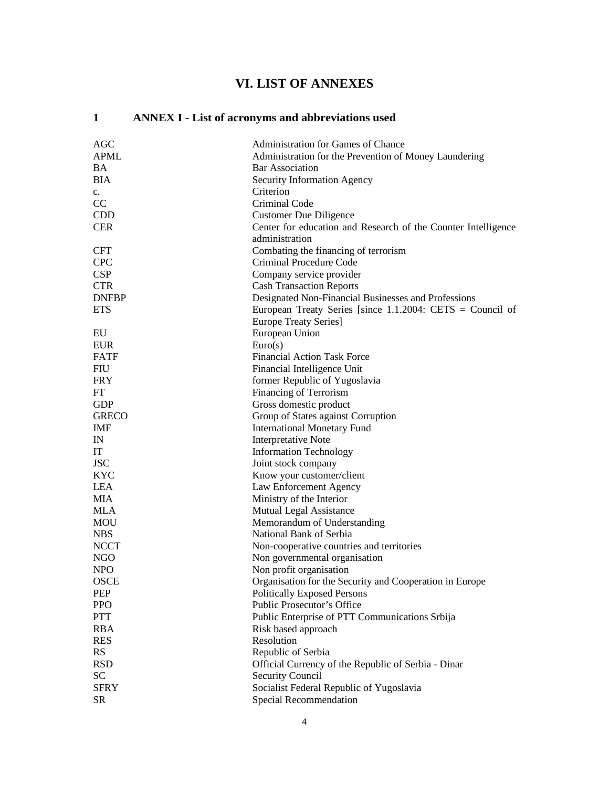## **VI. LIST OF ANNEXES**

## **1 ANNEX I - List of acronyms and abbreviations used**

| AGC          | Administration for Games of Chance                            |
|--------------|---------------------------------------------------------------|
| <b>APML</b>  | Administration for the Prevention of Money Laundering         |
| <b>BA</b>    | <b>Bar Association</b>                                        |
| <b>BIA</b>   | Security Information Agency                                   |
| $c_{\cdot}$  | Criterion                                                     |
| CC           | Criminal Code                                                 |
| <b>CDD</b>   | <b>Customer Due Diligence</b>                                 |
| <b>CER</b>   | Center for education and Research of the Counter Intelligence |
|              | administration                                                |
| <b>CFT</b>   | Combating the financing of terrorism                          |
| <b>CPC</b>   | Criminal Procedure Code                                       |
| <b>CSP</b>   | Company service provider                                      |
| <b>CTR</b>   | <b>Cash Transaction Reports</b>                               |
| <b>DNFBP</b> | Designated Non-Financial Businesses and Professions           |
| <b>ETS</b>   | European Treaty Series [since $1.1.2004$ : CETS = Council of  |
|              | <b>Europe Treaty Series</b> ]                                 |
| EU           | European Union                                                |
| <b>EUR</b>   | Euro(s)                                                       |
| <b>FATF</b>  | <b>Financial Action Task Force</b>                            |
| <b>FIU</b>   | Financial Intelligence Unit                                   |
| <b>FRY</b>   | former Republic of Yugoslavia                                 |
| <b>FT</b>    | Financing of Terrorism                                        |
| <b>GDP</b>   | Gross domestic product                                        |
| <b>GRECO</b> | Group of States against Corruption                            |
| IMF          | <b>International Monetary Fund</b>                            |
| IN           | <b>Interpretative Note</b>                                    |
| IT           | <b>Information Technology</b>                                 |
| <b>JSC</b>   | Joint stock company                                           |
| <b>KYC</b>   | Know your customer/client                                     |
| <b>LEA</b>   |                                                               |
| <b>MIA</b>   | Law Enforcement Agency                                        |
|              | Ministry of the Interior                                      |
| <b>MLA</b>   | Mutual Legal Assistance                                       |
| MOU          | Memorandum of Understanding                                   |
| <b>NBS</b>   | National Bank of Serbia                                       |
| <b>NCCT</b>  | Non-cooperative countries and territories                     |
| NGO          | Non governmental organisation                                 |
| <b>NPO</b>   | Non profit organisation                                       |
| <b>OSCE</b>  | Organisation for the Security and Cooperation in Europe       |
| PEP          | <b>Politically Exposed Persons</b>                            |
| <b>PPO</b>   | Public Prosecutor's Office                                    |
| <b>PTT</b>   | Public Enterprise of PTT Communications Srbija                |
| <b>RBA</b>   | Risk based approach                                           |
| <b>RES</b>   | Resolution                                                    |
| <b>RS</b>    | Republic of Serbia                                            |
| <b>RSD</b>   | Official Currency of the Republic of Serbia - Dinar           |
| <b>SC</b>    | <b>Security Council</b>                                       |
| <b>SFRY</b>  | Socialist Federal Republic of Yugoslavia                      |
| <b>SR</b>    | <b>Special Recommendation</b>                                 |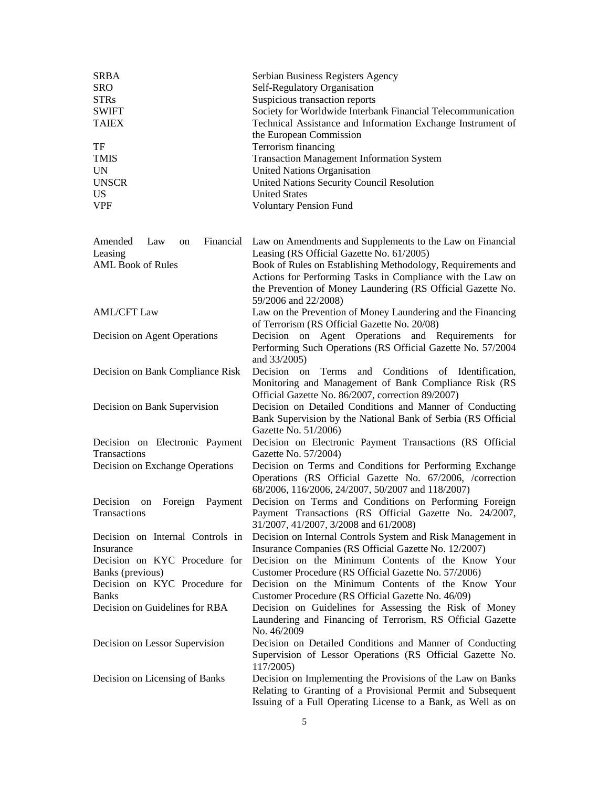| <b>SRBA</b><br><b>SRO</b><br><b>STRs</b><br><b>SWIFT</b><br><b>TAIEX</b><br>TF | Serbian Business Registers Agency<br>Self-Regulatory Organisation<br>Suspicious transaction reports<br>Society for Worldwide Interbank Financial Telecommunication<br>Technical Assistance and Information Exchange Instrument of<br>the European Commission<br>Terrorism financing |
|--------------------------------------------------------------------------------|-------------------------------------------------------------------------------------------------------------------------------------------------------------------------------------------------------------------------------------------------------------------------------------|
| <b>TMIS</b>                                                                    | <b>Transaction Management Information System</b>                                                                                                                                                                                                                                    |
| <b>UN</b>                                                                      | <b>United Nations Organisation</b>                                                                                                                                                                                                                                                  |
| <b>UNSCR</b>                                                                   | United Nations Security Council Resolution                                                                                                                                                                                                                                          |
| <b>US</b>                                                                      | <b>United States</b>                                                                                                                                                                                                                                                                |
| <b>VPF</b>                                                                     | <b>Voluntary Pension Fund</b>                                                                                                                                                                                                                                                       |
| Financial<br>Amended<br>Law<br>on<br>Leasing                                   | Law on Amendments and Supplements to the Law on Financial<br>Leasing (RS Official Gazette No. 61/2005)                                                                                                                                                                              |
| <b>AML Book of Rules</b>                                                       | Book of Rules on Establishing Methodology, Requirements and<br>Actions for Performing Tasks in Compliance with the Law on<br>the Prevention of Money Laundering (RS Official Gazette No.<br>59/2006 and 22/2008)                                                                    |
| <b>AML/CFT Law</b>                                                             | Law on the Prevention of Money Laundering and the Financing<br>of Terrorism (RS Official Gazette No. 20/08)                                                                                                                                                                         |
| Decision on Agent Operations                                                   | Decision on Agent Operations and Requirements<br>for<br>Performing Such Operations (RS Official Gazette No. 57/2004<br>and 33/2005)                                                                                                                                                 |
| Decision on Bank Compliance Risk                                               | and Conditions of Identification,<br>Terms<br>Decision<br>on<br>Monitoring and Management of Bank Compliance Risk (RS<br>Official Gazette No. 86/2007, correction 89/2007)                                                                                                          |
| Decision on Bank Supervision                                                   | Decision on Detailed Conditions and Manner of Conducting<br>Bank Supervision by the National Bank of Serbia (RS Official<br>Gazette No. 51/2006)                                                                                                                                    |
| Decision on Electronic Payment<br>Transactions                                 | Decision on Electronic Payment Transactions (RS Official<br>Gazette No. 57/2004)                                                                                                                                                                                                    |
| Decision on Exchange Operations                                                | Decision on Terms and Conditions for Performing Exchange<br>Operations (RS Official Gazette No. 67/2006, /correction<br>68/2006, 116/2006, 24/2007, 50/2007 and 118/2007)                                                                                                           |
| Decision<br>on<br>Foreign<br>Payment<br>Transactions                           | Decision on Terms and Conditions on Performing Foreign<br>Payment Transactions (RS Official Gazette No. 24/2007,<br>31/2007, 41/2007, 3/2008 and 61/2008)                                                                                                                           |
| Decision on Internal Controls in<br>Insurance                                  | Decision on Internal Controls System and Risk Management in<br>Insurance Companies (RS Official Gazette No. 12/2007)                                                                                                                                                                |
| Decision on KYC Procedure for                                                  | Decision on the Minimum Contents of the Know Your                                                                                                                                                                                                                                   |
| Banks (previous)                                                               | Customer Procedure (RS Official Gazette No. 57/2006)                                                                                                                                                                                                                                |
| Decision on KYC Procedure for<br><b>Banks</b>                                  | Decision on the Minimum Contents of the Know Your<br>Customer Procedure (RS Official Gazette No. 46/09)                                                                                                                                                                             |
| Decision on Guidelines for RBA                                                 | Decision on Guidelines for Assessing the Risk of Money                                                                                                                                                                                                                              |
|                                                                                | Laundering and Financing of Terrorism, RS Official Gazette<br>No. 46/2009                                                                                                                                                                                                           |
| Decision on Lessor Supervision                                                 | Decision on Detailed Conditions and Manner of Conducting<br>Supervision of Lessor Operations (RS Official Gazette No.<br>117/2005)                                                                                                                                                  |
| Decision on Licensing of Banks                                                 | Decision on Implementing the Provisions of the Law on Banks<br>Relating to Granting of a Provisional Permit and Subsequent<br>Issuing of a Full Operating License to a Bank, as Well as on                                                                                          |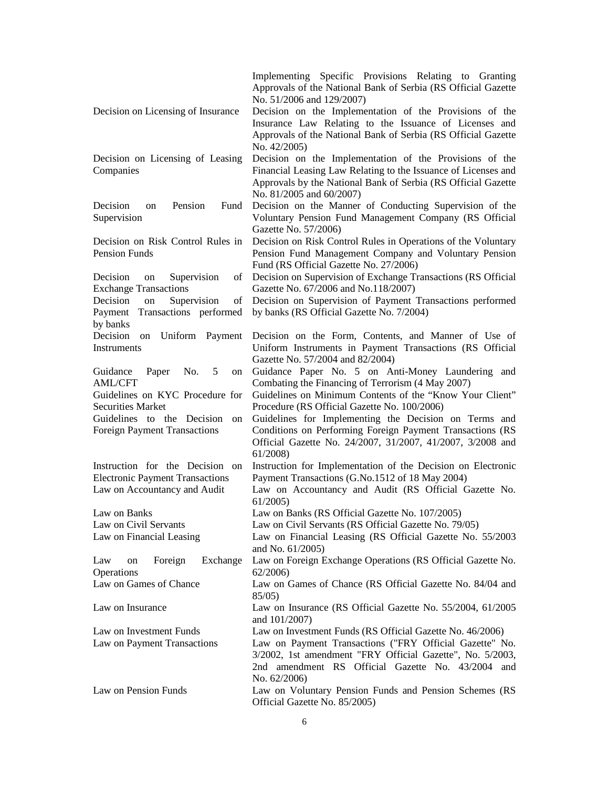|                                                         | Implementing Specific Provisions Relating to Granting<br>Approvals of the National Bank of Serbia (RS Official Gazette |
|---------------------------------------------------------|------------------------------------------------------------------------------------------------------------------------|
| Decision on Licensing of Insurance                      | No. 51/2006 and 129/2007)<br>Decision on the Implementation of the Provisions of the                                   |
|                                                         | Insurance Law Relating to the Issuance of Licenses and                                                                 |
|                                                         | Approvals of the National Bank of Serbia (RS Official Gazette                                                          |
|                                                         | No. 42/2005)                                                                                                           |
| Decision on Licensing of Leasing                        | Decision on the Implementation of the Provisions of the                                                                |
| Companies                                               | Financial Leasing Law Relating to the Issuance of Licenses and                                                         |
|                                                         | Approvals by the National Bank of Serbia (RS Official Gazette<br>No. 81/2005 and 60/2007)                              |
| Pension<br>Decision<br>Fund<br>on                       | Decision on the Manner of Conducting Supervision of the                                                                |
| Supervision                                             | Voluntary Pension Fund Management Company (RS Official<br>Gazette No. 57/2006)                                         |
| Decision on Risk Control Rules in                       | Decision on Risk Control Rules in Operations of the Voluntary                                                          |
| Pension Funds                                           | Pension Fund Management Company and Voluntary Pension<br>Fund (RS Official Gazette No. 27/2006)                        |
| Decision<br>Supervision<br>of<br>on                     | Decision on Supervision of Exchange Transactions (RS Official                                                          |
| <b>Exchange Transactions</b>                            | Gazette No. 67/2006 and No.118/2007)                                                                                   |
| Supervision<br>Decision<br>on<br>of                     | Decision on Supervision of Payment Transactions performed                                                              |
| Transactions performed<br>Payment                       | by banks (RS Official Gazette No. 7/2004)                                                                              |
| by banks                                                |                                                                                                                        |
| Decision<br>Uniform Payment<br>on<br><b>Instruments</b> | Decision on the Form, Contents, and Manner of Use of<br>Uniform Instruments in Payment Transactions (RS Official       |
|                                                         | Gazette No. 57/2004 and 82/2004)                                                                                       |
| Paper<br>No.<br>-5<br>Guidance<br>on                    | Guidance Paper No. 5 on Anti-Money Laundering and                                                                      |
| <b>AML/CFT</b>                                          | Combating the Financing of Terrorism (4 May 2007)                                                                      |
| Guidelines on KYC Procedure for                         | Guidelines on Minimum Contents of the "Know Your Client"                                                               |
| <b>Securities Market</b>                                | Procedure (RS Official Gazette No. 100/2006)                                                                           |
| Guidelines to the Decision<br>on                        | Guidelines for Implementing the Decision on Terms and                                                                  |
| <b>Foreign Payment Transactions</b>                     | Conditions on Performing Foreign Payment Transactions (RS                                                              |
|                                                         | Official Gazette No. 24/2007, 31/2007, 41/2007, 3/2008 and<br>61/2008                                                  |
| Instruction for the Decision on                         | Instruction for Implementation of the Decision on Electronic                                                           |
| <b>Electronic Payment Transactions</b>                  | Payment Transactions (G.No.1512 of 18 May 2004)                                                                        |
| Law on Accountancy and Audit                            | Law on Accountancy and Audit (RS Official Gazette No.<br>61/2005                                                       |
| Law on Banks                                            | Law on Banks (RS Official Gazette No. 107/2005)                                                                        |
| Law on Civil Servants                                   | Law on Civil Servants (RS Official Gazette No. 79/05)                                                                  |
| Law on Financial Leasing                                | Law on Financial Leasing (RS Official Gazette No. 55/2003<br>and No. 61/2005)                                          |
| Exchange<br>Law<br>Foreign<br>on                        | Law on Foreign Exchange Operations (RS Official Gazette No.                                                            |
| Operations                                              | 62/2006                                                                                                                |
| Law on Games of Chance                                  | Law on Games of Chance (RS Official Gazette No. 84/04 and<br>85/05                                                     |
| Law on Insurance                                        | Law on Insurance (RS Official Gazette No. 55/2004, 61/2005)<br>and 101/2007)                                           |
| Law on Investment Funds                                 | Law on Investment Funds (RS Official Gazette No. 46/2006)                                                              |
| Law on Payment Transactions                             | Law on Payment Transactions ("FRY Official Gazette" No.                                                                |
|                                                         | 3/2002, 1st amendment "FRY Official Gazette", No. 5/2003,                                                              |
|                                                         | 2nd amendment RS Official Gazette No. 43/2004 and                                                                      |
|                                                         | No. 62/2006)                                                                                                           |
| Law on Pension Funds                                    | Law on Voluntary Pension Funds and Pension Schemes (RS<br>Official Gazette No. 85/2005)                                |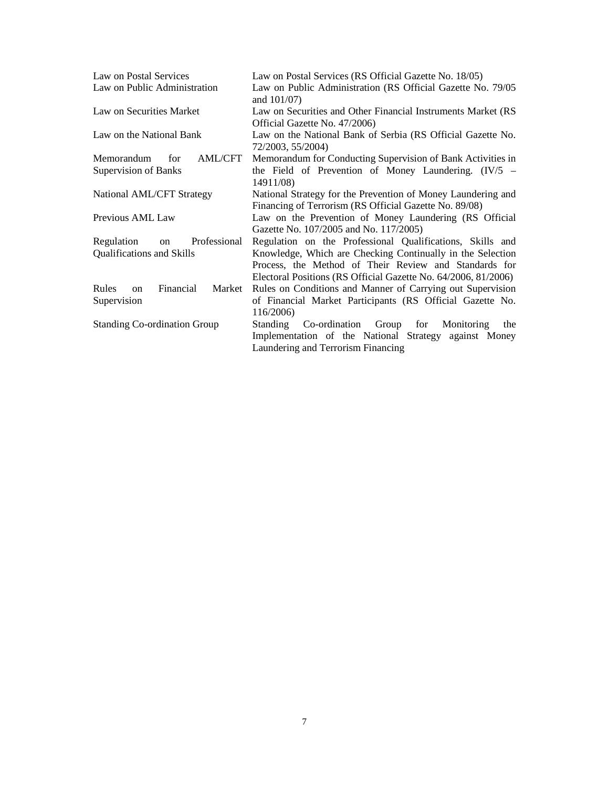| Law on Postal Services                                   | Law on Postal Services (RS Official Gazette No. 18/05)                                                                                                                                |
|----------------------------------------------------------|---------------------------------------------------------------------------------------------------------------------------------------------------------------------------------------|
| Law on Public Administration                             | Law on Public Administration (RS Official Gazette No. 79/05<br>and $101/07$ )                                                                                                         |
| Law on Securities Market                                 | Law on Securities and Other Financial Instruments Market (RS<br>Official Gazette No. 47/2006)                                                                                         |
| Law on the National Bank                                 | Law on the National Bank of Serbia (RS Official Gazette No.<br>72/2003, 55/2004)                                                                                                      |
| Memorandum<br>AML/CFT<br>for                             | Memorandum for Conducting Supervision of Bank Activities in                                                                                                                           |
| <b>Supervision of Banks</b>                              | the Field of Prevention of Money Laundering. $(IV/5 -$<br>14911/08)                                                                                                                   |
| National AML/CFT Strategy                                | National Strategy for the Prevention of Money Laundering and<br>Financing of Terrorism (RS Official Gazette No. 89/08)                                                                |
| Previous AML Law                                         | Law on the Prevention of Money Laundering (RS Official<br>Gazette No. 107/2005 and No. 117/2005)                                                                                      |
| Regulation<br>on Professional                            | Regulation on the Professional Qualifications, Skills and                                                                                                                             |
| <b>Qualifications and Skills</b>                         | Knowledge, Which are Checking Continually in the Selection<br>Process, the Method of Their Review and Standards for<br>Electoral Positions (RS Official Gazette No. 64/2006, 81/2006) |
| Financial<br><b>Rules</b><br>Market<br>on<br>Supervision | Rules on Conditions and Manner of Carrying out Supervision<br>of Financial Market Participants (RS Official Gazette No.<br>116/2006)                                                  |
| <b>Standing Co-ordination Group</b>                      | Co-ordination Group<br>Monitoring<br>for<br><b>Standing</b><br>the<br>Implementation of the National Strategy against Money<br>Laundering and Terrorism Financing                     |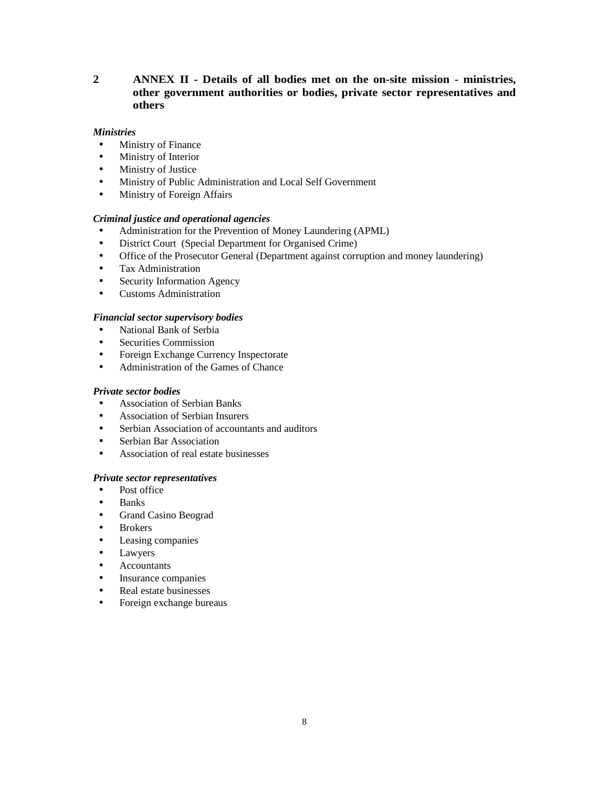## **2 ANNEX II - Details of all bodies met on the on-site mission - ministries, other government authorities or bodies, private sector representatives and others**

## *Ministries*

- Ministry of Finance
- Ministry of Interior
- Ministry of Justice
- Ministry of Public Administration and Local Self Government
- Ministry of Foreign Affairs

## *Criminal justice and operational agencies*

- Administration for the Prevention of Money Laundering (APML)
- District Court (Special Department for Organised Crime)
- Office of the Prosecutor General (Department against corruption and money laundering)
- Tax Administration
- Security Information Agency
- Customs Administration

## *Financial sector supervisory bodies*

- National Bank of Serbia
- Securities Commission
- Foreign Exchange Currency Inspectorate
- Administration of the Games of Chance

## *Private sector bodies*

- Association of Serbian Banks
- Association of Serbian Insurers
- Serbian Association of accountants and auditors
- **Serbian Bar Association**
- Association of real estate businesses

#### *Private sector representatives*

- Post office
- Banks
- Grand Casino Beograd
- **Brokers**
- Leasing companies
- Lawyers
- **Accountants**
- Insurance companies
- Real estate businesses
- Foreign exchange bureaus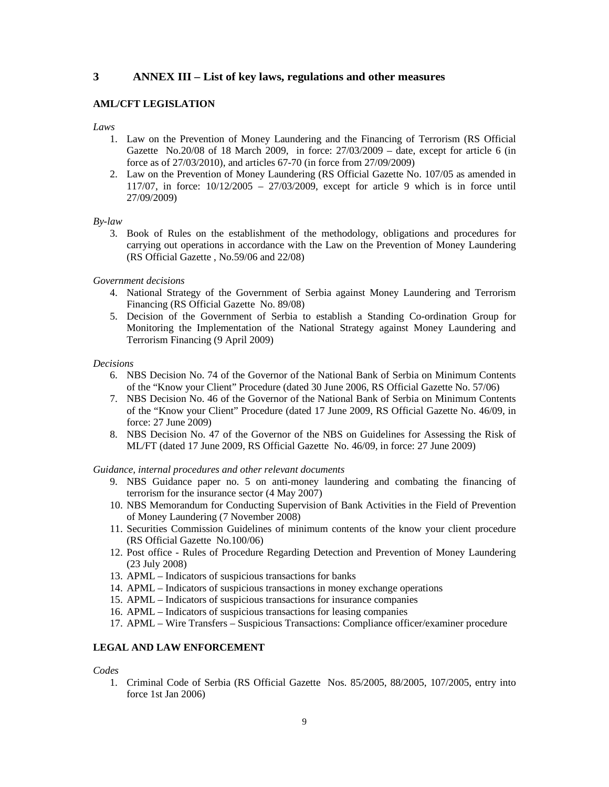## **3 ANNEX III – List of key laws, regulations and other measures**

## **AML/CFT LEGISLATION**

*Laws* 

- 1. Law on the Prevention of Money Laundering and the Financing of Terrorism (RS Official Gazette No.20/08 of 18 March 2009, in force:  $27/03/2009 -$  date, except for article 6 (in force as of 27/03/2010), and articles 67-70 (in force from 27/09/2009)
- 2. Law on the Prevention of Money Laundering (RS Official Gazette No. 107/05 as amended in 117/07, in force: 10/12/2005 – 27/03/2009, except for article 9 which is in force until 27/09/2009)

#### *By-law*

3. Book of Rules on the establishment of the methodology, obligations and procedures for carrying out operations in accordance with the Law on the Prevention of Money Laundering (RS Official Gazette , No.59/06 and 22/08)

*Government decisions* 

- 4. National Strategy of the Government of Serbia against Money Laundering and Terrorism Financing (RS Official Gazette No. 89/08)
- 5. Decision of the Government of Serbia to establish a Standing Co-ordination Group for Monitoring the Implementation of the National Strategy against Money Laundering and Terrorism Financing (9 April 2009)

#### *Decisions*

- 6. NBS Decision No. 74 of the Governor of the National Bank of Serbia on Minimum Contents of the "Know your Client" Procedure (dated 30 June 2006, RS Official Gazette No. 57/06)
- 7. NBS Decision No. 46 of the Governor of the National Bank of Serbia on Minimum Contents of the "Know your Client" Procedure (dated 17 June 2009, RS Official Gazette No. 46/09, in force: 27 June 2009)
- 8. NBS Decision No. 47 of the Governor of the NBS on Guidelines for Assessing the Risk of ML/FT (dated 17 June 2009, RS Official Gazette No. 46/09, in force: 27 June 2009)

*Guidance, internal procedures and other relevant documents* 

- 9. NBS Guidance paper no. 5 on anti-money laundering and combating the financing of terrorism for the insurance sector (4 May 2007)
- 10. NBS Memorandum for Conducting Supervision of Bank Activities in the Field of Prevention of Money Laundering (7 November 2008)
- 11. Securities Commission Guidelines of minimum contents of the know your client procedure (RS Official Gazette No.100/06)
- 12. Post office Rules of Procedure Regarding Detection and Prevention of Money Laundering (23 July 2008)
- 13. APML Indicators of suspicious transactions for banks
- 14. APML Indicators of suspicious transactions in money exchange operations
- 15. APML Indicators of suspicious transactions for insurance companies
- 16. APML Indicators of suspicious transactions for leasing companies
- 17. APML Wire Transfers Suspicious Transactions: Compliance officer/examiner procedure

## **LEGAL AND LAW ENFORCEMENT**

*Codes* 

1. Criminal Code of Serbia (RS Official Gazette Nos. 85/2005, 88/2005, 107/2005, entry into force 1st Jan 2006)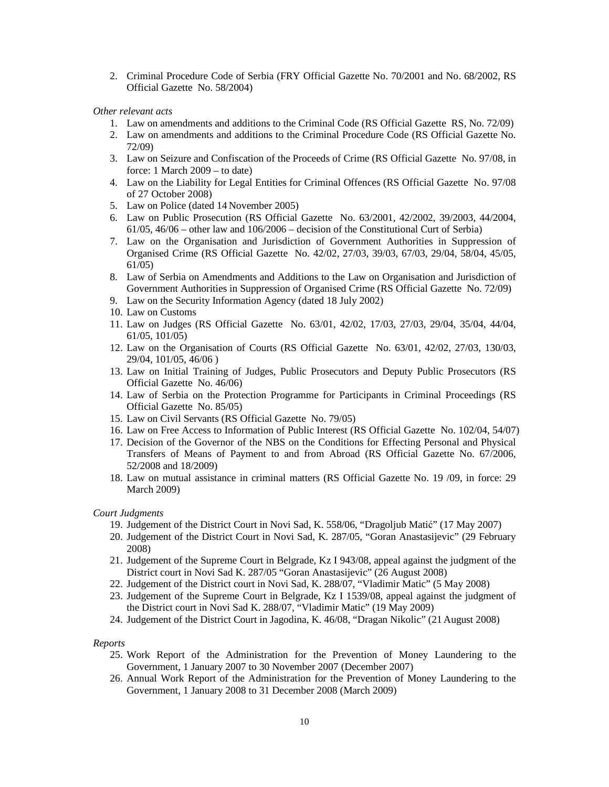2. Criminal Procedure Code of Serbia (FRY Official Gazette No. 70/2001 and No. 68/2002, RS Official Gazette No. 58/2004)

#### *Other relevant acts*

- 1. Law on amendments and additions to the Criminal Code (RS Official Gazette RS, No. 72/09)
- 2. Law on amendments and additions to the Criminal Procedure Code (RS Official Gazette No. 72/09)
- 3. Law on Seizure and Confiscation of the Proceeds of Crime (RS Official Gazette No. 97/08, in force: 1 March 2009 – to date)
- 4. Law on the Liability for Legal Entities for Criminal Offences (RS Official Gazette No. 97/08 of 27 October 2008)
- 5. Law on Police (dated 14 November 2005)
- 6. Law on Public Prosecution (RS Official Gazette No. 63/2001, 42/2002, 39/2003, 44/2004, 61/05, 46/06 – other law and 106/2006 – decision of the Constitutional Curt of Serbia)
- 7. Law on the Organisation and Jurisdiction of Government Authorities in Suppression of Organised Crime (RS Official Gazette No. 42/02, 27/03, 39/03, 67/03, 29/04, 58/04, 45/05, 61/05)
- 8. Law of Serbia on Amendments and Additions to the Law on Organisation and Jurisdiction of Government Authorities in Suppression of Organised Crime (RS Official Gazette No. 72/09)
- 9. Law on the Security Information Agency (dated 18 July 2002)
- 10. Law on Customs
- 11. Law on Judges (RS Official Gazette No. 63/01, 42/02, 17/03, 27/03, 29/04, 35/04, 44/04, 61/05, 101/05)
- 12. Law on the Organisation of Courts (RS Official Gazette No. 63/01, 42/02, 27/03, 130/03, 29/04, 101/05, 46/06 )
- 13. Law on Initial Training of Judges, Public Prosecutors and Deputy Public Prosecutors (RS Official Gazette No. 46/06)
- 14. Law of Serbia on the Protection Programme for Participants in Criminal Proceedings (RS Official Gazette No. 85/05)
- 15. Law on Civil Servants (RS Official Gazette No. 79/05)
- 16. Law on Free Access to Information of Public Interest (RS Official Gazette No. 102/04, 54/07)
- 17. Decision of the Governor of the NBS on the Conditions for Effecting Personal and Physical Transfers of Means of Payment to and from Abroad (RS Official Gazette No. 67/2006, 52/2008 and 18/2009)
- 18. Law on mutual assistance in criminal matters (RS Official Gazette No. 19 /09, in force: 29 March 2009)

#### *Court Judgments*

- 19. Judgement of the District Court in Novi Sad, K. 558/06, "Dragoljub Matić" (17 May 2007)
- 20. Judgement of the District Court in Novi Sad, K. 287/05, "Goran Anastasijevic" (29 February 2008)
- 21. Judgement of the Supreme Court in Belgrade, Kz I 943/08, appeal against the judgment of the District court in Novi Sad K. 287/05 "Goran Anastasijevic" (26 August 2008)
- 22. Judgement of the District court in Novi Sad, K. 288/07, "Vladimir Matic" (5 May 2008)
- 23. Judgement of the Supreme Court in Belgrade, Kz I 1539/08, appeal against the judgment of the District court in Novi Sad K. 288/07, "Vladimir Matic" (19 May 2009)
- 24. Judgement of the District Court in Jagodina, K. 46/08, "Dragan Nikolic" (21 August 2008)

#### *Reports*

- 25. Work Report of the Administration for the Prevention of Money Laundering to the Government, 1 January 2007 to 30 November 2007 (December 2007)
- 26. Annual Work Report of the Administration for the Prevention of Money Laundering to the Government, 1 January 2008 to 31 December 2008 (March 2009)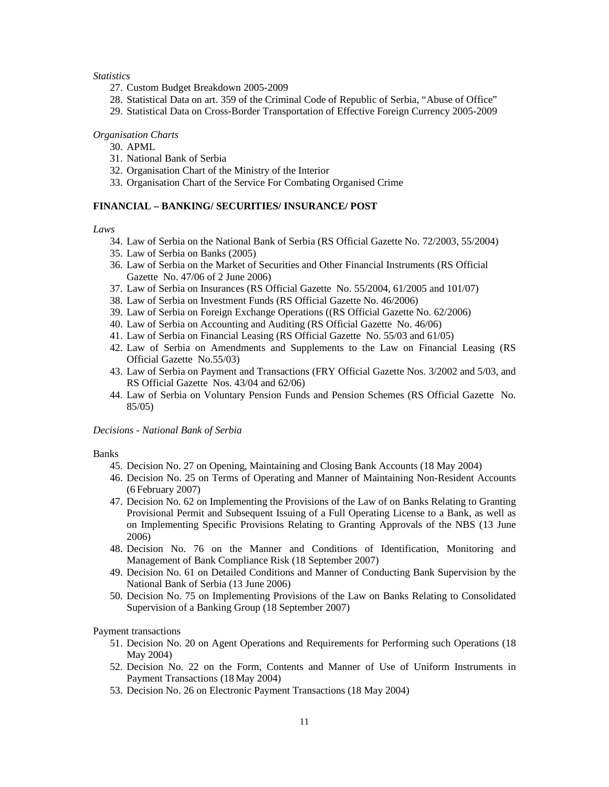## *Statistics*

- 27. Custom Budget Breakdown 2005-2009
- 28. Statistical Data on art. 359 of the Criminal Code of Republic of Serbia, "Abuse of Office"
- 29. Statistical Data on Cross-Border Transportation of Effective Foreign Currency 2005-2009

#### *Organisation Charts*

- 30. APML
- 31. National Bank of Serbia
- 32. Organisation Chart of the Ministry of the Interior
- 33. Organisation Chart of the Service For Combating Organised Crime

## **FINANCIAL – BANKING/ SECURITIES/ INSURANCE/ POST**

#### *Laws*

- 34. Law of Serbia on the National Bank of Serbia (RS Official Gazette No. 72/2003, 55/2004)
- 35. Law of Serbia on Banks (2005)
- 36. Law of Serbia on the Market of Securities and Other Financial Instruments (RS Official Gazette No. 47/06 of 2 June 2006)
- 37. Law of Serbia on Insurances (RS Official Gazette No. 55/2004, 61/2005 and 101/07)
- 38. Law of Serbia on Investment Funds (RS Official Gazette No. 46/2006)
- 39. Law of Serbia on Foreign Exchange Operations ((RS Official Gazette No. 62/2006)
- 40. Law of Serbia on Accounting and Auditing (RS Official Gazette No. 46/06)
- 41. Law of Serbia on Financial Leasing (RS Official Gazette No. 55/03 and 61/05)
- 42. Law of Serbia on Amendments and Supplements to the Law on Financial Leasing (RS Official Gazette No.55/03)
- 43. Law of Serbia on Payment and Transactions (FRY Official Gazette Nos. 3/2002 and 5/03, and RS Official Gazette Nos. 43/04 and 62/06)
- 44. Law of Serbia on Voluntary Pension Funds and Pension Schemes (RS Official Gazette No. 85/05)

#### *Decisions - National Bank of Serbia*

#### Banks

- 45. Decision No. 27 on Opening, Maintaining and Closing Bank Accounts (18 May 2004)
- 46. Decision No. 25 on Terms of Operating and Manner of Maintaining Non-Resident Accounts (6 February 2007)
- 47. Decision No. 62 on Implementing the Provisions of the Law of on Banks Relating to Granting Provisional Permit and Subsequent Issuing of a Full Operating License to a Bank, as well as on Implementing Specific Provisions Relating to Granting Approvals of the NBS (13 June 2006)
- 48. Decision No. 76 on the Manner and Conditions of Identification, Monitoring and Management of Bank Compliance Risk (18 September 2007)
- 49. Decision No. 61 on Detailed Conditions and Manner of Conducting Bank Supervision by the National Bank of Serbia (13 June 2006)
- 50. Decision No. 75 on Implementing Provisions of the Law on Banks Relating to Consolidated Supervision of a Banking Group (18 September 2007)

#### Payment transactions

- 51. Decision No. 20 on Agent Operations and Requirements for Performing such Operations (18 May 2004)
- 52. Decision No. 22 on the Form, Contents and Manner of Use of Uniform Instruments in Payment Transactions (18 May 2004)
- 53. Decision No. 26 on Electronic Payment Transactions (18 May 2004)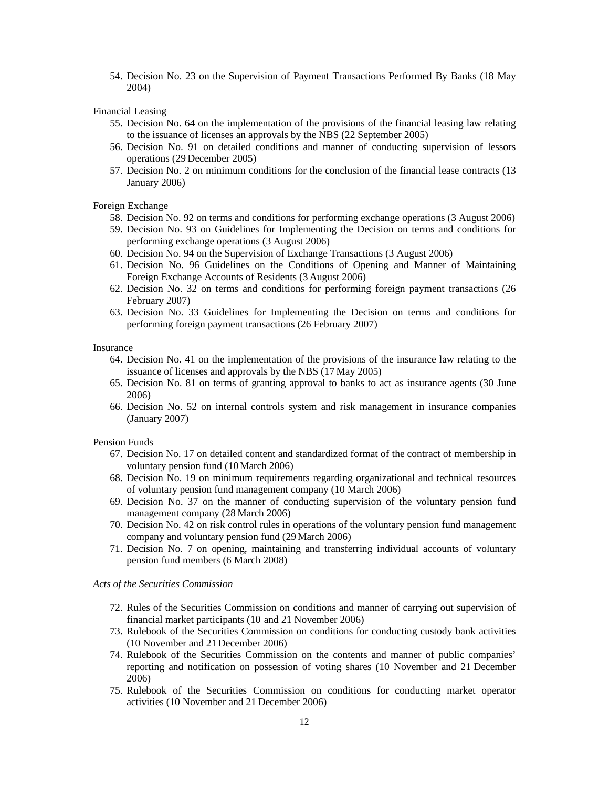54. Decision No. 23 on the Supervision of Payment Transactions Performed By Banks (18 May 2004)

Financial Leasing

- 55. Decision No. 64 on the implementation of the provisions of the financial leasing law relating to the issuance of licenses an approvals by the NBS (22 September 2005)
- 56. Decision No. 91 on detailed conditions and manner of conducting supervision of lessors operations (29 December 2005)
- 57. Decision No. 2 on minimum conditions for the conclusion of the financial lease contracts (13 January 2006)

Foreign Exchange

- 58. Decision No. 92 on terms and conditions for performing exchange operations (3 August 2006)
- 59. Decision No. 93 on Guidelines for Implementing the Decision on terms and conditions for performing exchange operations (3 August 2006)
- 60. Decision No. 94 on the Supervision of Exchange Transactions (3 August 2006)
- 61. Decision No. 96 Guidelines on the Conditions of Opening and Manner of Maintaining Foreign Exchange Accounts of Residents (3 August 2006)
- 62. Decision No. 32 on terms and conditions for performing foreign payment transactions (26 February 2007)
- 63. Decision No. 33 Guidelines for Implementing the Decision on terms and conditions for performing foreign payment transactions (26 February 2007)

## Insurance

- 64. Decision No. 41 on the implementation of the provisions of the insurance law relating to the issuance of licenses and approvals by the NBS (17 May 2005)
- 65. Decision No. 81 on terms of granting approval to banks to act as insurance agents (30 June 2006)
- 66. Decision No. 52 on internal controls system and risk management in insurance companies (January 2007)

Pension Funds

- 67. Decision No. 17 on detailed content and standardized format of the contract of membership in voluntary pension fund (10March 2006)
- 68. Decision No. 19 on minimum requirements regarding organizational and technical resources of voluntary pension fund management company (10 March 2006)
- 69. Decision No. 37 on the manner of conducting supervision of the voluntary pension fund management company (28 March 2006)
- 70. Decision No. 42 on risk control rules in operations of the voluntary pension fund management company and voluntary pension fund (29 March 2006)
- 71. Decision No. 7 on opening, maintaining and transferring individual accounts of voluntary pension fund members (6 March 2008)

## *Acts of the Securities Commission*

- 72. Rules of the Securities Commission on conditions and manner of carrying out supervision of financial market participants (10 and 21 November 2006)
- 73. Rulebook of the Securities Commission on conditions for conducting custody bank activities (10 November and 21 December 2006)
- 74. Rulebook of the Securities Commission on the contents and manner of public companies' reporting and notification on possession of voting shares (10 November and 21 December 2006)
- 75. Rulebook of the Securities Commission on conditions for conducting market operator activities (10 November and 21 December 2006)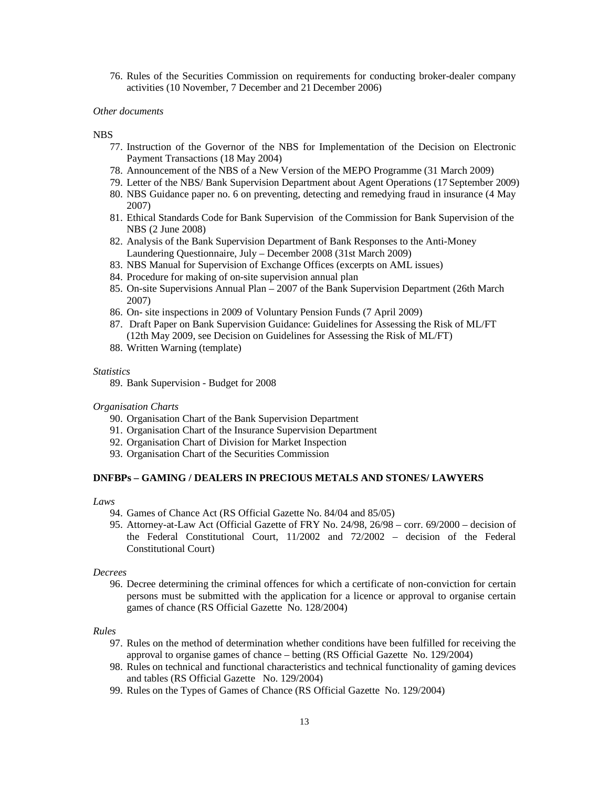76. Rules of the Securities Commission on requirements for conducting broker-dealer company activities (10 November, 7 December and 21 December 2006)

#### *Other documents*

#### NBS

- 77. Instruction of the Governor of the NBS for Implementation of the Decision on Electronic Payment Transactions (18 May 2004)
- 78. Announcement of the NBS of a New Version of the MEPO Programme (31 March 2009)
- 79. Letter of the NBS/ Bank Supervision Department about Agent Operations (17 September 2009)
- 80. NBS Guidance paper no. 6 on preventing, detecting and remedying fraud in insurance (4 May 2007)
- 81. Ethical Standards Code for Bank Supervision of the Commission for Bank Supervision of the NBS (2 June 2008)
- 82. Analysis of the Bank Supervision Department of Bank Responses to the Anti-Money Laundering Questionnaire, July – December 2008 (31st March 2009)
- 83. NBS Manual for Supervision of Exchange Offices (excerpts on AML issues)
- 84. Procedure for making of on-site supervision annual plan
- 85. On-site Supervisions Annual Plan 2007 of the Bank Supervision Department (26th March 2007)
- 86. On- site inspections in 2009 of Voluntary Pension Funds (7 April 2009)
- 87. Draft Paper on Bank Supervision Guidance: Guidelines for Assessing the Risk of ML/FT (12th May 2009, see Decision on Guidelines for Assessing the Risk of ML/FT)
- 88. Written Warning (template)

#### *Statistics*

89. Bank Supervision - Budget for 2008

#### *Organisation Charts*

- 90. Organisation Chart of the Bank Supervision Department
- 91. Organisation Chart of the Insurance Supervision Department
- 92. Organisation Chart of Division for Market Inspection
- 93. Organisation Chart of the Securities Commission

#### **DNFBPs – GAMING / DEALERS IN PRECIOUS METALS AND STONES/ LAWYERS**

#### *Laws*

- 94. Games of Chance Act (RS Official Gazette No. 84/04 and 85/05)
- 95. Attorney-at-Law Act (Official Gazette of FRY No. 24/98, 26/98 corr. 69/2000 decision of the Federal Constitutional Court, 11/2002 and 72/2002 – decision of the Federal Constitutional Court)

#### *Decrees*

96. Decree determining the criminal offences for which a certificate of non-conviction for certain persons must be submitted with the application for a licence or approval to organise certain games of chance (RS Official Gazette No. 128/2004)

#### *Rules*

- 97. Rules on the method of determination whether conditions have been fulfilled for receiving the approval to organise games of chance – betting (RS Official Gazette No. 129/2004)
- 98. Rules on technical and functional characteristics and technical functionality of gaming devices and tables (RS Official Gazette No. 129/2004)
- 99. Rules on the Types of Games of Chance (RS Official Gazette No. 129/2004)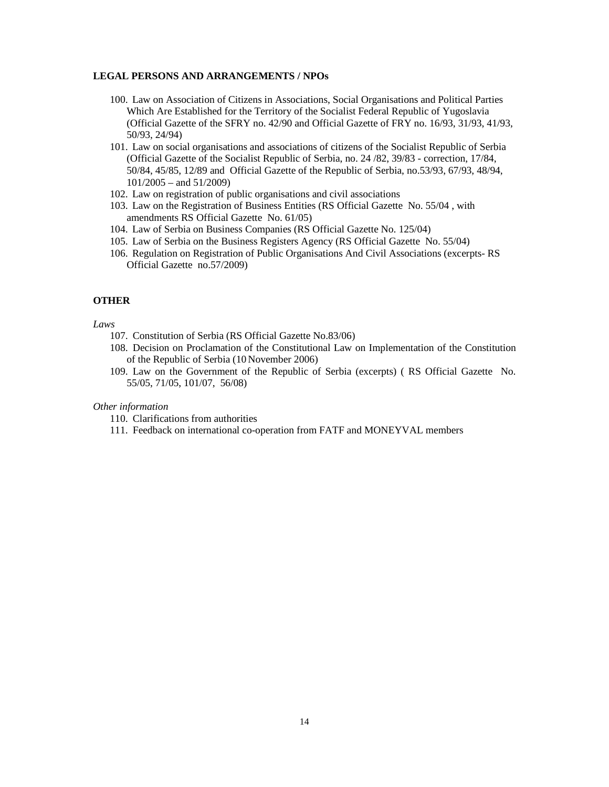## **LEGAL PERSONS AND ARRANGEMENTS / NPOs**

- 100. Law on Association of Citizens in Associations, Social Organisations and Political Parties Which Are Established for the Territory of the Socialist Federal Republic of Yugoslavia (Official Gazette of the SFRY no. 42/90 and Official Gazette of FRY no. 16/93, 31/93, 41/93, 50/93, 24/94)
- 101. Law on social organisations and associations of citizens of the Socialist Republic of Serbia (Official Gazette of the Socialist Republic of Serbia, no. 24 /82, 39/83 - correction, 17/84, 50/84, 45/85, 12/89 and Official Gazette of the Republic of Serbia, no.53/93, 67/93, 48/94, 101/2005 – and 51/2009)
- 102. Law on registration of public organisations and civil associations
- 103. Law on the Registration of Business Entities (RS Official Gazette No. 55/04 , with amendments RS Official Gazette No. 61/05)
- 104. Law of Serbia on Business Companies (RS Official Gazette No. 125/04)
- 105. Law of Serbia on the Business Registers Agency (RS Official Gazette No. 55/04)
- 106. Regulation on Registration of Public Organisations And Civil Associations (excerpts- RS Official Gazette no.57/2009)

## **OTHER**

#### *Laws*

- 107. Constitution of Serbia (RS Official Gazette No.83/06)
- 108. Decision on Proclamation of the Constitutional Law on Implementation of the Constitution of the Republic of Serbia (10 November 2006)
- 109. Law on the Government of the Republic of Serbia (excerpts) ( RS Official Gazette No. 55/05, 71/05, 101/07, 56/08)

## *Other information*

- 110. Clarifications from authorities
- 111. Feedback on international co-operation from FATF and MONEYVAL members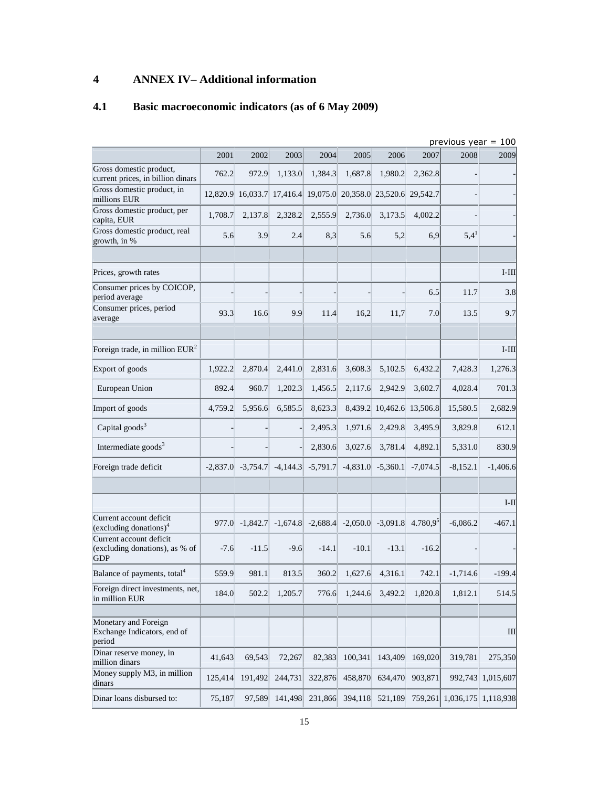## **4 ANNEX IV– Additional information**

## **4.1 Basic macroeconomic indicators (as of 6 May 2009)**

|                                                                         |            |            |            |            |            |                   |             | previous year $= 100$ |            |
|-------------------------------------------------------------------------|------------|------------|------------|------------|------------|-------------------|-------------|-----------------------|------------|
|                                                                         | 2001       | 2002       | 2003       | 2004       | 2005       | 2006              | 2007        | 2008                  | 2009       |
| Gross domestic product,<br>current prices, in billion dinars            | 762.2      | 972.9      | 1,133.0    | 1,384.3    | 1,687.8    | 1,980.2           | 2,362.8     |                       |            |
| Gross domestic product, in<br>millions EUR                              | 12,820.9   | 16,033.7   | 17,416.4   | 19,075.0   |            | 20,358.0 23,520.6 | 29,542.7    |                       |            |
| Gross domestic product, per<br>capita, EUR                              | 1,708.7    | 2,137.8    | 2,328.2    | 2,555.9    | 2,736.0    | 3,173.5           | 4,002.2     |                       |            |
| Gross domestic product, real<br>growth, in %                            | 5.6        | 3.9        | 2.4        | 8,3        | 5.6        | 5,2               | 6,9         | $5,4^1$               |            |
| Prices, growth rates                                                    |            |            |            |            |            |                   |             |                       | $I-III$    |
| Consumer prices by COICOP,<br>period average                            |            |            |            |            |            |                   | 6.5         | 11.7                  | 3.8        |
| Consumer prices, period<br>average                                      | 93.3       | 16.6       | 9.9        | 11.4       | 16,2       | 11,7              | 7.0         | 13.5                  | 9.7        |
| Foreign trade, in million $EUR2$                                        |            |            |            |            |            |                   |             |                       | $I-III$    |
| Export of goods                                                         | 1,922.2    | 2,870.4    | 2,441.0    | 2,831.6    | 3,608.3    | 5,102.5           | 6,432.2     | 7,428.3               | 1,276.3    |
| European Union                                                          | 892.4      | 960.7      | 1,202.3    | 1,456.5    | 2,117.6    | 2,942.9           | 3,602.7     | 4,028.4               | 701.3      |
| Import of goods                                                         | 4,759.2    | 5,956.6    | 6,585.5    | 8,623.3    | 8,439.2    | 10,462.6          | 13,506.8    | 15,580.5              | 2,682.9    |
| Capital goods <sup>3</sup>                                              |            |            |            | 2,495.3    | 1,971.6    | 2,429.8           | 3,495.9     | 3,829.8               | 612.1      |
| Intermediate goods <sup>3</sup>                                         |            |            |            | 2,830.6    | 3,027.6    | 3,781.4           | 4,892.1     | 5,331.0               | 830.9      |
| Foreign trade deficit                                                   | $-2,837.0$ | $-3,754.7$ | $-4,144.3$ | $-5,791.7$ | $-4,831.0$ | $-5,360.1$        | $-7,074.5$  | $-8,152.1$            | $-1,406.6$ |
|                                                                         |            |            |            |            |            |                   |             |                       | $I-II$     |
| Current account deficit<br>(excluding donations) <sup>4</sup>           | 977.0      | $-1,842.7$ | $-1,674.8$ | $-2,688.4$ | $-2,050.0$ | $-3,091.8$        | $4.780,9^5$ | $-6,086.2$            | $-467.1$   |
| Current account deficit<br>(excluding donations), as % of<br><b>GDP</b> | $-7.6$     | $-11.5$    | $-9.6$     | $-14.1$    | $-10.1$    | $-13.1$           | $-16.2$     |                       |            |
| Balance of payments, total <sup>4</sup>                                 | 559.9      | 981.1      | 813.5      | 360.2      | 1,627.6    | 4,316.1           | 742.1       | $-1,714.6$            | $-199.4$   |
| Foreign direct investments, net,<br>in million EUR                      | 184.0      | 502.2      | 1,205.7    | 776.6      | 1,244.6    | 3,492.2           | 1,820.8     | 1,812.1               | 514.5      |
| Monetary and Foreign<br>Exchange Indicators, end of<br>period           |            |            |            |            |            |                   |             |                       | Ш          |
| Dinar reserve money, in<br>million dinars                               | 41,643     | 69,543     | 72,267     | 82,383     | 100,341    | 143,409           | 169,020     | 319,781               | 275,350    |
| Money supply M3, in million<br>dinars                                   | 125,414    | 191,492    | 244,731    | 322,876    | 458,870    | 634,470           | 903,871     | 992,743               | 1,015,607  |
| Dinar loans disbursed to:                                               | 75,187     | 97,589     | 141,498    | 231,866    | 394,118    | 521,189           | 759,261     | 1,036,175             | 1,118,938  |

15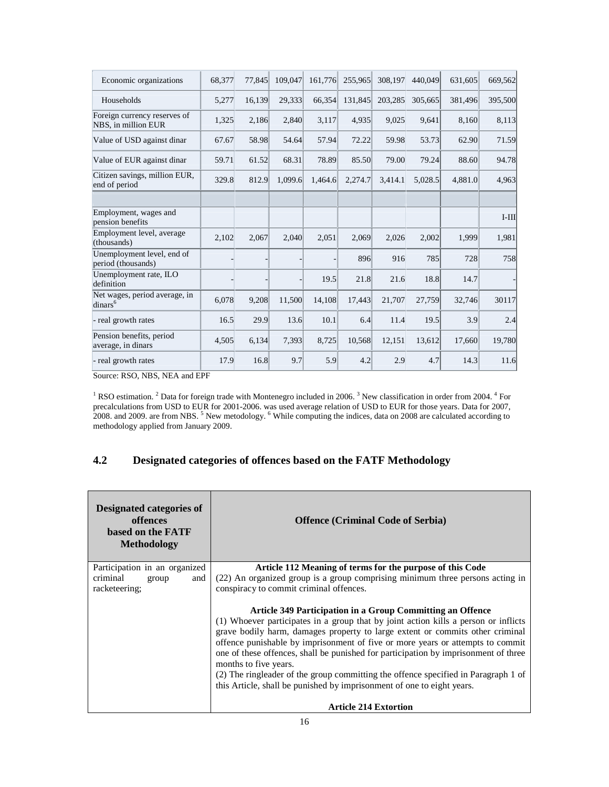| Economic organizations                               | 68,377 | 77,845 | 109,047 | 161,776 | 255,965 | 308,197 | 440,049 | 631,605 | 669,562 |
|------------------------------------------------------|--------|--------|---------|---------|---------|---------|---------|---------|---------|
| Households                                           | 5,277  | 16,139 | 29,333  | 66,354  | 131,845 | 203,285 | 305,665 | 381,496 | 395,500 |
| Foreign currency reserves of<br>NBS, in million EUR  | 1,325  | 2,186  | 2,840   | 3,117   | 4,935   | 9,025   | 9,641   | 8,160   | 8,113   |
| Value of USD against dinar                           | 67.67  | 58.98  | 54.64   | 57.94   | 72.22   | 59.98   | 53.73   | 62.90   | 71.59   |
| Value of EUR against dinar                           | 59.71  | 61.52  | 68.31   | 78.89   | 85.50   | 79.00   | 79.24   | 88.60   | 94.78   |
| Citizen savings, million EUR,<br>end of period       | 329.8  | 812.9  | 1,099.6 | 1,464.6 | 2,274.7 | 3,414.1 | 5,028.5 | 4,881.0 | 4,963   |
|                                                      |        |        |         |         |         |         |         |         |         |
| Employment, wages and<br>pension benefits            |        |        |         |         |         |         |         |         | $I-III$ |
| Employment level, average<br>(thousands)             | 2,102  | 2,067  | 2,040   | 2,051   | 2,069   | 2,026   | 2,002   | 1,999   | 1,981   |
| Unemployment level, end of<br>period (thousands)     |        |        |         |         | 896     | 916     | 785     | 728     | 758     |
| Unemployment rate, ILO<br>definition                 |        |        |         | 19.5    | 21.8    | 21.6    | 18.8    | 14.7    |         |
| Net wages, period average, in<br>dinars <sup>6</sup> | 6,078  | 9,208  | 11,500  | 14,108  | 17,443  | 21,707  | 27,759  | 32,746  | 30117   |
| - real growth rates                                  | 16.5   | 29.9   | 13.6    | 10.1    | 6.4     | 11.4    | 19.5    | 3.9     | 2.4     |
| Pension benefits, period<br>average, in dinars       | 4,505  | 6,134  | 7,393   | 8,725   | 10,568  | 12,151  | 13,612  | 17,660  | 19,780  |
| real growth rates                                    | 17.9   | 16.8   | 9.7     | 5.9     | 4.2     | 2.9     | 4.7     | 14.3    | 11.6    |

Source: RSO, NBS, NEA and EPF

<sup>1</sup> RSO estimation.<sup>2</sup> Data for foreign trade with Montenegro included in 2006.<sup>3</sup> New classification in order from 2004.<sup>4</sup> For precalculations from USD to EUR for 2001-2006. was used average relation of USD to EUR for those years. Data for 2007, 2008. and 2009. are from NBS.<sup>5</sup> New metodology. <sup>6</sup> While computing the indices, data on 2008 are calculated according to methodology applied from January 2009.

## **4.2 Designated categories of offences based on the FATF Methodology**

| Designated categories of<br>offences<br>based on the FATF<br><b>Methodology</b> | <b>Offence (Criminal Code of Serbia)</b>                                                                                                                                                                                                                                                                                                                                                                                                                                                                                                                                                                                             |
|---------------------------------------------------------------------------------|--------------------------------------------------------------------------------------------------------------------------------------------------------------------------------------------------------------------------------------------------------------------------------------------------------------------------------------------------------------------------------------------------------------------------------------------------------------------------------------------------------------------------------------------------------------------------------------------------------------------------------------|
| Participation in an organized<br>criminal<br>and<br>group<br>racketeering;      | Article 112 Meaning of terms for the purpose of this Code<br>(22) An organized group is a group comprising minimum three persons acting in<br>conspiracy to commit criminal offences.                                                                                                                                                                                                                                                                                                                                                                                                                                                |
|                                                                                 | Article 349 Participation in a Group Committing an Offence<br>(1) Whoever participates in a group that by joint action kills a person or inflicts<br>grave bodily harm, damages property to large extent or commits other criminal<br>offence punishable by imprisonment of five or more years or attempts to commit<br>one of these offences, shall be punished for participation by imprisonment of three<br>months to five years.<br>(2) The ringleader of the group committing the offence specified in Paragraph 1 of<br>this Article, shall be punished by imprisonment of one to eight years.<br><b>Article 214 Extortion</b> |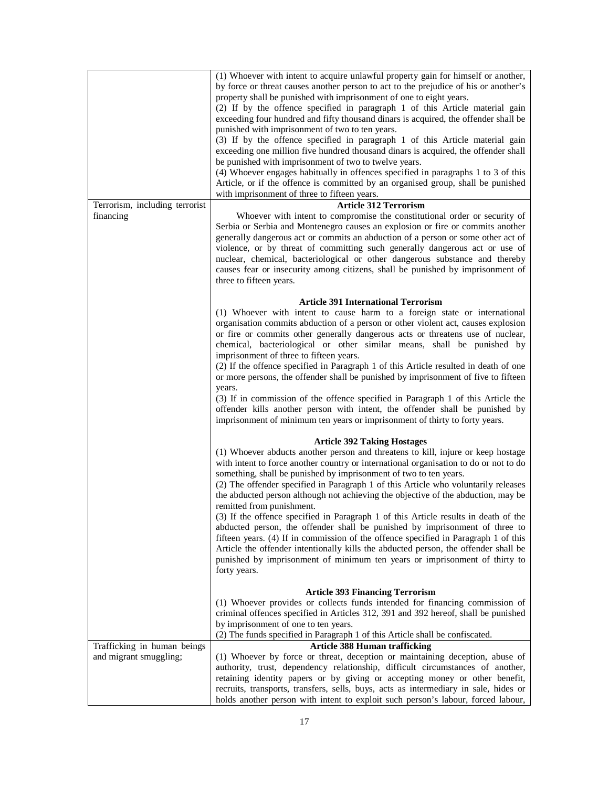|                                | (1) Whoever with intent to acquire unlawful property gain for himself or another,<br>by force or threat causes another person to act to the prejudice of his or another's<br>property shall be punished with imprisonment of one to eight years.<br>(2) If by the offence specified in paragraph 1 of this Article material gain<br>exceeding four hundred and fifty thousand dinars is acquired, the offender shall be<br>punished with imprisonment of two to ten years.<br>(3) If by the offence specified in paragraph 1 of this Article material gain<br>exceeding one million five hundred thousand dinars is acquired, the offender shall                                                                                                                                                                                                                                                                               |
|--------------------------------|--------------------------------------------------------------------------------------------------------------------------------------------------------------------------------------------------------------------------------------------------------------------------------------------------------------------------------------------------------------------------------------------------------------------------------------------------------------------------------------------------------------------------------------------------------------------------------------------------------------------------------------------------------------------------------------------------------------------------------------------------------------------------------------------------------------------------------------------------------------------------------------------------------------------------------|
|                                | be punished with imprisonment of two to twelve years.<br>(4) Whoever engages habitually in offences specified in paragraphs 1 to 3 of this<br>Article, or if the offence is committed by an organised group, shall be punished<br>with imprisonment of three to fifteen years.                                                                                                                                                                                                                                                                                                                                                                                                                                                                                                                                                                                                                                                 |
| Terrorism, including terrorist | <b>Article 312 Terrorism</b>                                                                                                                                                                                                                                                                                                                                                                                                                                                                                                                                                                                                                                                                                                                                                                                                                                                                                                   |
| financing                      | Whoever with intent to compromise the constitutional order or security of<br>Serbia or Serbia and Montenegro causes an explosion or fire or commits another<br>generally dangerous act or commits an abduction of a person or some other act of<br>violence, or by threat of committing such generally dangerous act or use of<br>nuclear, chemical, bacteriological or other dangerous substance and thereby<br>causes fear or insecurity among citizens, shall be punished by imprisonment of<br>three to fifteen years.                                                                                                                                                                                                                                                                                                                                                                                                     |
|                                | <b>Article 391 International Terrorism</b><br>(1) Whoever with intent to cause harm to a foreign state or international<br>organisation commits abduction of a person or other violent act, causes explosion<br>or fire or commits other generally dangerous acts or threatens use of nuclear,<br>chemical, bacteriological or other similar means, shall be punished by<br>imprisonment of three to fifteen years.                                                                                                                                                                                                                                                                                                                                                                                                                                                                                                            |
|                                | (2) If the offence specified in Paragraph 1 of this Article resulted in death of one<br>or more persons, the offender shall be punished by imprisonment of five to fifteen<br>years.<br>(3) If in commission of the offence specified in Paragraph 1 of this Article the<br>offender kills another person with intent, the offender shall be punished by<br>imprisonment of minimum ten years or imprisonment of thirty to forty years.                                                                                                                                                                                                                                                                                                                                                                                                                                                                                        |
|                                | <b>Article 392 Taking Hostages</b><br>(1) Whoever abducts another person and threatens to kill, injure or keep hostage<br>with intent to force another country or international organisation to do or not to do<br>something, shall be punished by imprisonment of two to ten years.<br>(2) The offender specified in Paragraph 1 of this Article who voluntarily releases<br>the abducted person although not achieving the objective of the abduction, may be<br>remitted from punishment.<br>(3) If the offence specified in Paragraph 1 of this Article results in death of the<br>abducted person, the offender shall be punished by imprisonment of three to<br>fifteen years. (4) If in commission of the offence specified in Paragraph 1 of this<br>Article the offender intentionally kills the abducted person, the offender shall be<br>punished by imprisonment of minimum ten years or imprisonment of thirty to |
|                                | forty years.<br><b>Article 393 Financing Terrorism</b>                                                                                                                                                                                                                                                                                                                                                                                                                                                                                                                                                                                                                                                                                                                                                                                                                                                                         |
|                                | (1) Whoever provides or collects funds intended for financing commission of<br>criminal offences specified in Articles 312, 391 and 392 hereof, shall be punished<br>by imprisonment of one to ten years.<br>(2) The funds specified in Paragraph 1 of this Article shall be confiscated.                                                                                                                                                                                                                                                                                                                                                                                                                                                                                                                                                                                                                                      |
| Trafficking in human beings    | <b>Article 388 Human trafficking</b>                                                                                                                                                                                                                                                                                                                                                                                                                                                                                                                                                                                                                                                                                                                                                                                                                                                                                           |
| and migrant smuggling;         | (1) Whoever by force or threat, deception or maintaining deception, abuse of<br>authority, trust, dependency relationship, difficult circumstances of another,<br>retaining identity papers or by giving or accepting money or other benefit,<br>recruits, transports, transfers, sells, buys, acts as intermediary in sale, hides or<br>holds another person with intent to exploit such person's labour, forced labour,                                                                                                                                                                                                                                                                                                                                                                                                                                                                                                      |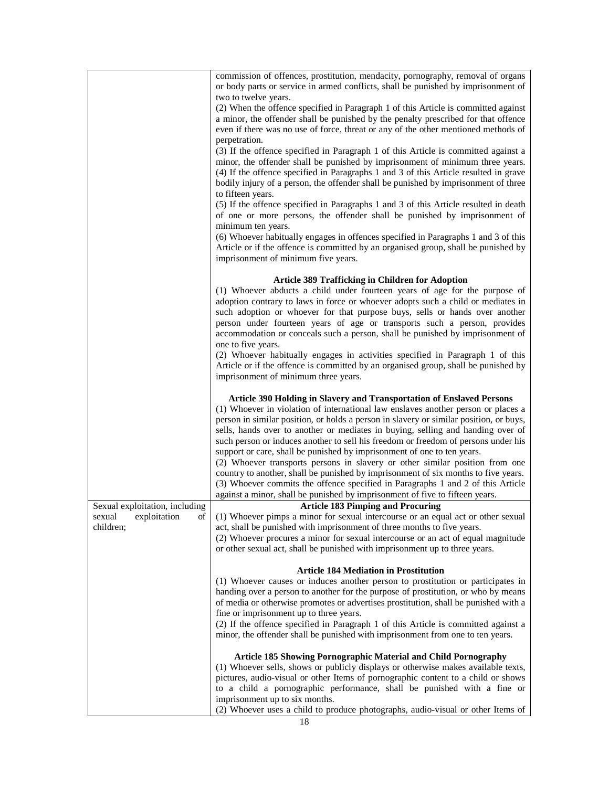|                                | commission of offences, prostitution, mendacity, pornography, removal of organs<br>or body parts or service in armed conflicts, shall be punished by imprisonment of |
|--------------------------------|----------------------------------------------------------------------------------------------------------------------------------------------------------------------|
|                                | two to twelve years.                                                                                                                                                 |
|                                | (2) When the offence specified in Paragraph 1 of this Article is committed against                                                                                   |
|                                | a minor, the offender shall be punished by the penalty prescribed for that offence                                                                                   |
|                                | even if there was no use of force, threat or any of the other mentioned methods of                                                                                   |
|                                | perpetration.                                                                                                                                                        |
|                                | (3) If the offence specified in Paragraph 1 of this Article is committed against a                                                                                   |
|                                | minor, the offender shall be punished by imprisonment of minimum three years.                                                                                        |
|                                | (4) If the offence specified in Paragraphs 1 and 3 of this Article resulted in grave                                                                                 |
|                                | bodily injury of a person, the offender shall be punished by imprisonment of three                                                                                   |
|                                |                                                                                                                                                                      |
|                                | to fifteen years.                                                                                                                                                    |
|                                | (5) If the offence specified in Paragraphs 1 and 3 of this Article resulted in death                                                                                 |
|                                | of one or more persons, the offender shall be punished by imprisonment of                                                                                            |
|                                | minimum ten years.                                                                                                                                                   |
|                                | (6) Whoever habitually engages in offences specified in Paragraphs 1 and 3 of this                                                                                   |
|                                | Article or if the offence is committed by an organised group, shall be punished by                                                                                   |
|                                | imprisonment of minimum five years.                                                                                                                                  |
|                                |                                                                                                                                                                      |
|                                | <b>Article 389 Trafficking in Children for Adoption</b>                                                                                                              |
|                                | (1) Whoever abducts a child under fourteen years of age for the purpose of                                                                                           |
|                                | adoption contrary to laws in force or whoever adopts such a child or mediates in                                                                                     |
|                                | such adoption or whoever for that purpose buys, sells or hands over another                                                                                          |
|                                | person under fourteen years of age or transports such a person, provides                                                                                             |
|                                | accommodation or conceals such a person, shall be punished by imprisonment of                                                                                        |
|                                | one to five years.                                                                                                                                                   |
|                                | (2) Whoever habitually engages in activities specified in Paragraph 1 of this                                                                                        |
|                                | Article or if the offence is committed by an organised group, shall be punished by                                                                                   |
|                                | imprisonment of minimum three years.                                                                                                                                 |
|                                |                                                                                                                                                                      |
|                                |                                                                                                                                                                      |
|                                | Article 390 Holding in Slavery and Transportation of Enslaved Persons                                                                                                |
|                                | (1) Whoever in violation of international law enslaves another person or places a                                                                                    |
|                                | person in similar position, or holds a person in slavery or similar position, or buys,                                                                               |
|                                | sells, hands over to another or mediates in buying, selling and handing over of                                                                                      |
|                                | such person or induces another to sell his freedom or freedom of persons under his                                                                                   |
|                                | support or care, shall be punished by imprisonment of one to ten years.                                                                                              |
|                                | (2) Whoever transports persons in slavery or other similar position from one                                                                                         |
|                                | country to another, shall be punished by imprisonment of six months to five years.                                                                                   |
|                                | (3) Whoever commits the offence specified in Paragraphs 1 and 2 of this Article                                                                                      |
|                                | against a minor, shall be punished by imprisonment of five to fifteen years.                                                                                         |
| Sexual exploitation, including | <b>Article 183 Pimping and Procuring</b>                                                                                                                             |
| sexual<br>exploitation<br>ot l | (1) Whoever pimps a minor for sexual intercourse or an equal act or other sexual                                                                                     |
| children;                      | act, shall be punished with imprisonment of three months to five years.                                                                                              |
|                                | (2) Whoever procures a minor for sexual intercourse or an act of equal magnitude                                                                                     |
|                                | or other sexual act, shall be punished with imprisonment up to three years.                                                                                          |
|                                | <b>Article 184 Mediation in Prostitution</b>                                                                                                                         |
|                                | (1) Whoever causes or induces another person to prostitution or participates in                                                                                      |
|                                | handing over a person to another for the purpose of prostitution, or who by means                                                                                    |
|                                | of media or otherwise promotes or advertises prostitution, shall be punished with a                                                                                  |
|                                | fine or imprisonment up to three years.                                                                                                                              |
|                                | (2) If the offence specified in Paragraph 1 of this Article is committed against a                                                                                   |
|                                | minor, the offender shall be punished with imprisonment from one to ten years.                                                                                       |
|                                |                                                                                                                                                                      |
|                                | <b>Article 185 Showing Pornographic Material and Child Pornography</b>                                                                                               |
|                                | (1) Whoever sells, shows or publicly displays or otherwise makes available texts,                                                                                    |
|                                | pictures, audio-visual or other Items of pornographic content to a child or shows                                                                                    |
|                                | to a child a pornographic performance, shall be punished with a fine or                                                                                              |
|                                | imprisonment up to six months.<br>(2) Whoever uses a child to produce photographs, audio-visual or other Items of                                                    |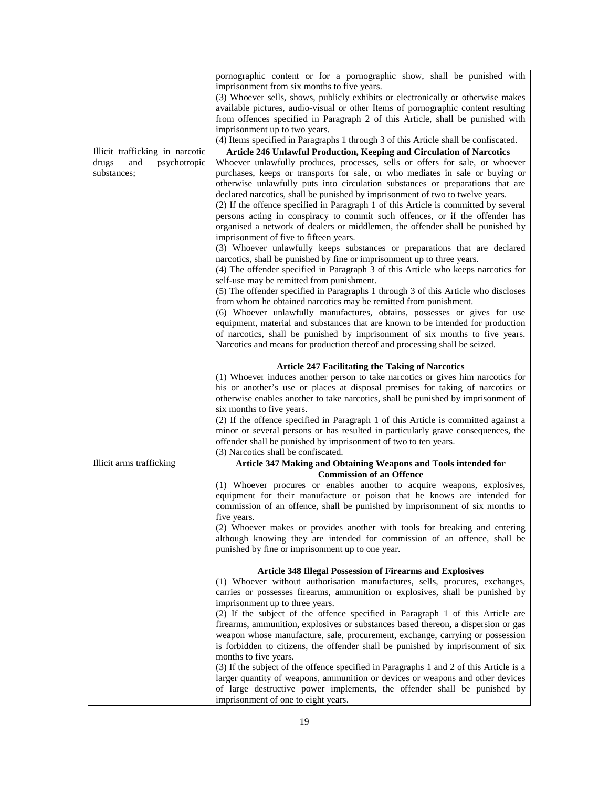|                                 | pornographic content or for a pornographic show, shall be punished with                |
|---------------------------------|----------------------------------------------------------------------------------------|
|                                 | imprisonment from six months to five years.                                            |
|                                 | (3) Whoever sells, shows, publicly exhibits or electronically or otherwise makes       |
|                                 | available pictures, audio-visual or other Items of pornographic content resulting      |
|                                 | from offences specified in Paragraph 2 of this Article, shall be punished with         |
|                                 | imprisonment up to two years.                                                          |
|                                 | (4) Items specified in Paragraphs 1 through 3 of this Article shall be confiscated.    |
| Illicit trafficking in narcotic | Article 246 Unlawful Production, Keeping and Circulation of Narcotics                  |
| drugs<br>and<br>psychotropic    | Whoever unlawfully produces, processes, sells or offers for sale, or whoever           |
| substances;                     | purchases, keeps or transports for sale, or who mediates in sale or buying or          |
|                                 | otherwise unlawfully puts into circulation substances or preparations that are         |
|                                 | declared narcotics, shall be punished by imprisonment of two to twelve years.          |
|                                 | (2) If the offence specified in Paragraph 1 of this Article is committed by several    |
|                                 | persons acting in conspiracy to commit such offences, or if the offender has           |
|                                 | organised a network of dealers or middlemen, the offender shall be punished by         |
|                                 | imprisonment of five to fifteen years.                                                 |
|                                 |                                                                                        |
|                                 | (3) Whoever unlawfully keeps substances or preparations that are declared              |
|                                 | narcotics, shall be punished by fine or imprisonment up to three years.                |
|                                 | (4) The offender specified in Paragraph 3 of this Article who keeps narcotics for      |
|                                 | self-use may be remitted from punishment.                                              |
|                                 | (5) The offender specified in Paragraphs 1 through 3 of this Article who discloses     |
|                                 | from whom he obtained narcotics may be remitted from punishment.                       |
|                                 | (6) Whoever unlawfully manufactures, obtains, possesses or gives for use               |
|                                 | equipment, material and substances that are known to be intended for production        |
|                                 | of narcotics, shall be punished by imprisonment of six months to five years.           |
|                                 | Narcotics and means for production thereof and processing shall be seized.             |
|                                 | <b>Article 247 Facilitating the Taking of Narcotics</b>                                |
|                                 | (1) Whoever induces another person to take narcotics or gives him narcotics for        |
|                                 | his or another's use or places at disposal premises for taking of narcotics or         |
|                                 | otherwise enables another to take narcotics, shall be punished by imprisonment of      |
|                                 | six months to five years.                                                              |
|                                 | (2) If the offence specified in Paragraph 1 of this Article is committed against a     |
|                                 | minor or several persons or has resulted in particularly grave consequences, the       |
|                                 | offender shall be punished by imprisonment of two to ten years.                        |
|                                 | (3) Narcotics shall be confiscated.                                                    |
| Illicit arms trafficking        | Article 347 Making and Obtaining Weapons and Tools intended for                        |
|                                 | <b>Commission of an Offence</b>                                                        |
|                                 | (1) Whoever procures or enables another to acquire weapons, explosives,                |
|                                 | equipment for their manufacture or poison that he knows are intended for               |
|                                 | commission of an offence, shall be punished by imprisonment of six months to           |
|                                 | tive years.                                                                            |
|                                 | (2) Whoever makes or provides another with tools for breaking and entering             |
|                                 | although knowing they are intended for commission of an offence, shall be              |
|                                 | punished by fine or imprisonment up to one year.                                       |
|                                 |                                                                                        |
|                                 | <b>Article 348 Illegal Possession of Firearms and Explosives</b>                       |
|                                 | (1) Whoever without authorisation manufactures, sells, procures, exchanges,            |
|                                 | carries or possesses firearms, ammunition or explosives, shall be punished by          |
|                                 | imprisonment up to three years.                                                        |
|                                 | (2) If the subject of the offence specified in Paragraph 1 of this Article are         |
|                                 | firearms, ammunition, explosives or substances based thereon, a dispersion or gas      |
|                                 | weapon whose manufacture, sale, procurement, exchange, carrying or possession          |
|                                 | is forbidden to citizens, the offender shall be punished by imprisonment of six        |
|                                 | months to five years.                                                                  |
|                                 | (3) If the subject of the offence specified in Paragraphs 1 and 2 of this Article is a |
|                                 | larger quantity of weapons, ammunition or devices or weapons and other devices         |
|                                 | of large destructive power implements, the offender shall be punished by               |
|                                 | imprisonment of one to eight years.                                                    |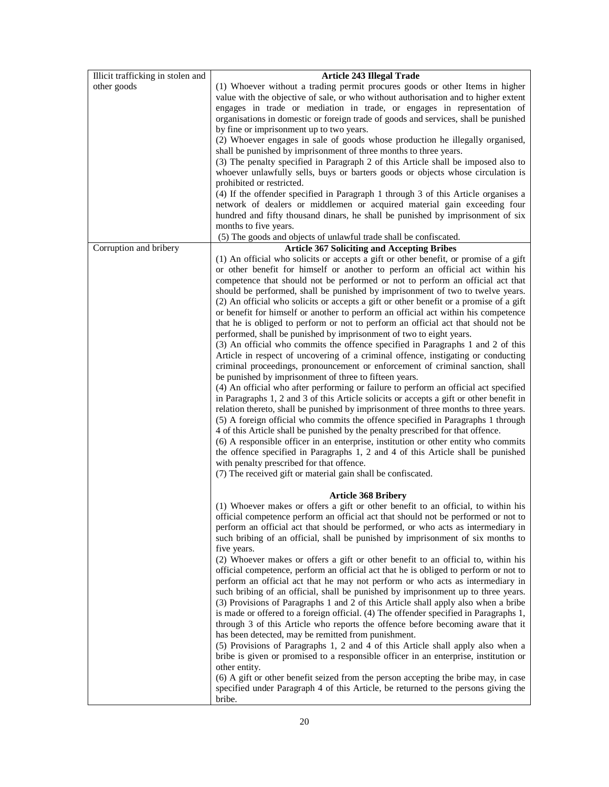| Illicit trafficking in stolen and | <b>Article 243 Illegal Trade</b>                                                                                                                                                |
|-----------------------------------|---------------------------------------------------------------------------------------------------------------------------------------------------------------------------------|
| other goods                       | (1) Whoever without a trading permit procures goods or other Items in higher                                                                                                    |
|                                   | value with the objective of sale, or who without authorisation and to higher extent                                                                                             |
|                                   | engages in trade or mediation in trade, or engages in representation of                                                                                                         |
|                                   | organisations in domestic or foreign trade of goods and services, shall be punished                                                                                             |
|                                   | by fine or imprisonment up to two years.                                                                                                                                        |
|                                   | (2) Whoever engages in sale of goods whose production he illegally organised,                                                                                                   |
|                                   | shall be punished by imprisonment of three months to three years.                                                                                                               |
|                                   | (3) The penalty specified in Paragraph 2 of this Article shall be imposed also to                                                                                               |
|                                   | whoever unlawfully sells, buys or barters goods or objects whose circulation is                                                                                                 |
|                                   | prohibited or restricted.                                                                                                                                                       |
|                                   | (4) If the offender specified in Paragraph 1 through 3 of this Article organises a                                                                                              |
|                                   | network of dealers or middlemen or acquired material gain exceeding four                                                                                                        |
|                                   | hundred and fifty thousand dinars, he shall be punished by imprisonment of six                                                                                                  |
|                                   | months to five years.                                                                                                                                                           |
|                                   | (5) The goods and objects of unlawful trade shall be confiscated.                                                                                                               |
| Corruption and bribery            | <b>Article 367 Soliciting and Accepting Bribes</b>                                                                                                                              |
|                                   | (1) An official who solicits or accepts a gift or other benefit, or promise of a gift                                                                                           |
|                                   | or other benefit for himself or another to perform an official act within his                                                                                                   |
|                                   | competence that should not be performed or not to perform an official act that                                                                                                  |
|                                   | should be performed, shall be punished by imprisonment of two to twelve years.                                                                                                  |
|                                   | (2) An official who solicits or accepts a gift or other benefit or a promise of a gift                                                                                          |
|                                   | or benefit for himself or another to perform an official act within his competence                                                                                              |
|                                   | that he is obliged to perform or not to perform an official act that should not be                                                                                              |
|                                   | performed, shall be punished by imprisonment of two to eight years.                                                                                                             |
|                                   | (3) An official who commits the offence specified in Paragraphs 1 and 2 of this                                                                                                 |
|                                   | Article in respect of uncovering of a criminal offence, instigating or conducting                                                                                               |
|                                   | criminal proceedings, pronouncement or enforcement of criminal sanction, shall                                                                                                  |
|                                   |                                                                                                                                                                                 |
|                                   | be punished by imprisonment of three to fifteen years.                                                                                                                          |
|                                   | (4) An official who after performing or failure to perform an official act specified<br>in Paragraphs 1, 2 and 3 of this Article solicits or accepts a gift or other benefit in |
|                                   |                                                                                                                                                                                 |
|                                   | relation thereto, shall be punished by imprisonment of three months to three years.                                                                                             |
|                                   | (5) A foreign official who commits the offence specified in Paragraphs 1 through                                                                                                |
|                                   | 4 of this Article shall be punished by the penalty prescribed for that offence.                                                                                                 |
|                                   | (6) A responsible officer in an enterprise, institution or other entity who commits                                                                                             |
|                                   | the offence specified in Paragraphs 1, 2 and 4 of this Article shall be punished                                                                                                |
|                                   | with penalty prescribed for that offence.                                                                                                                                       |
|                                   | (7) The received gift or material gain shall be confiscated.                                                                                                                    |
|                                   |                                                                                                                                                                                 |
|                                   | <b>Article 368 Bribery</b><br>(1) Whoever makes or offers a gift or other benefit to an official, to within his                                                                 |
|                                   | official competence perform an official act that should not be performed or not to                                                                                              |
|                                   | perform an official act that should be performed, or who acts as intermediary in                                                                                                |
|                                   | such bribing of an official, shall be punished by imprisonment of six months to                                                                                                 |
|                                   |                                                                                                                                                                                 |
|                                   | five years.                                                                                                                                                                     |
|                                   | (2) Whoever makes or offers a gift or other benefit to an official to, within his                                                                                               |
|                                   | official competence, perform an official act that he is obliged to perform or not to                                                                                            |
|                                   | perform an official act that he may not perform or who acts as intermediary in                                                                                                  |
|                                   | such bribing of an official, shall be punished by imprisonment up to three years.                                                                                               |
|                                   | (3) Provisions of Paragraphs 1 and 2 of this Article shall apply also when a bribe                                                                                              |
|                                   | is made or offered to a foreign official. (4) The offender specified in Paragraphs 1,                                                                                           |
|                                   | through 3 of this Article who reports the offence before becoming aware that it                                                                                                 |
|                                   | has been detected, may be remitted from punishment.                                                                                                                             |
|                                   | (5) Provisions of Paragraphs 1, 2 and 4 of this Article shall apply also when a                                                                                                 |
|                                   | bribe is given or promised to a responsible officer in an enterprise, institution or                                                                                            |
|                                   | other entity.                                                                                                                                                                   |
|                                   | (6) A gift or other benefit seized from the person accepting the bribe may, in case                                                                                             |
|                                   | specified under Paragraph 4 of this Article, be returned to the persons giving the                                                                                              |
|                                   | bribe.                                                                                                                                                                          |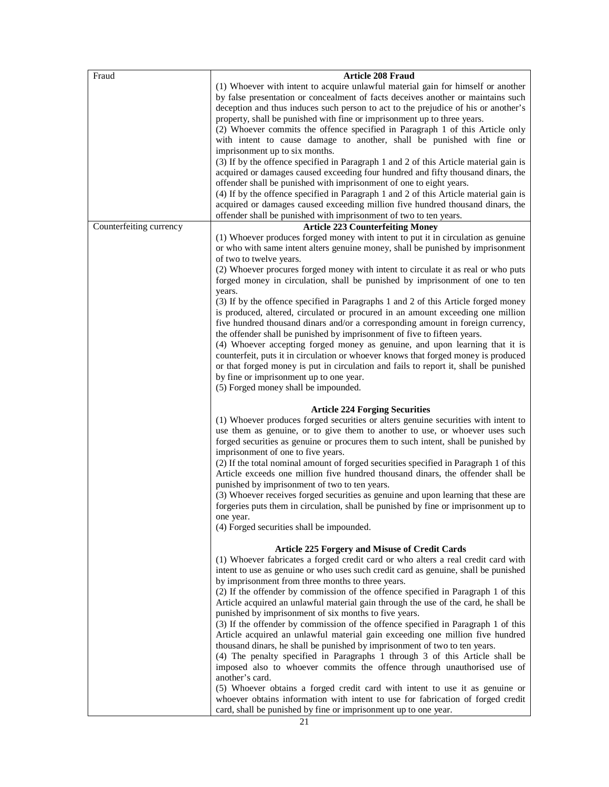| Fraud                   | Article 208 Fraud                                                                                                                                                                                                                                                                                                                                                                                                                                                                                                                                                                                                                                                                    |
|-------------------------|--------------------------------------------------------------------------------------------------------------------------------------------------------------------------------------------------------------------------------------------------------------------------------------------------------------------------------------------------------------------------------------------------------------------------------------------------------------------------------------------------------------------------------------------------------------------------------------------------------------------------------------------------------------------------------------|
|                         | (1) Whoever with intent to acquire unlawful material gain for himself or another<br>by false presentation or concealment of facts deceives another or maintains such<br>deception and thus induces such person to act to the prejudice of his or another's<br>property, shall be punished with fine or imprisonment up to three years.<br>(2) Whoever commits the offence specified in Paragraph 1 of this Article only<br>with intent to cause damage to another, shall be punished with fine or<br>imprisonment up to six months.                                                                                                                                                  |
| Counterfeiting currency | (3) If by the offence specified in Paragraph 1 and 2 of this Article material gain is<br>acquired or damages caused exceeding four hundred and fifty thousand dinars, the<br>offender shall be punished with imprisonment of one to eight years.<br>(4) If by the offence specified in Paragraph 1 and 2 of this Article material gain is<br>acquired or damages caused exceeding million five hundred thousand dinars, the<br>offender shall be punished with imprisonment of two to ten years.<br><b>Article 223 Counterfeiting Money</b>                                                                                                                                          |
|                         | (1) Whoever produces forged money with intent to put it in circulation as genuine<br>or who with same intent alters genuine money, shall be punished by imprisonment<br>of two to twelve years.                                                                                                                                                                                                                                                                                                                                                                                                                                                                                      |
|                         | (2) Whoever procures forged money with intent to circulate it as real or who puts<br>forged money in circulation, shall be punished by imprisonment of one to ten<br>years.                                                                                                                                                                                                                                                                                                                                                                                                                                                                                                          |
|                         | (3) If by the offence specified in Paragraphs 1 and 2 of this Article forged money<br>is produced, altered, circulated or procured in an amount exceeding one million<br>five hundred thousand dinars and/or a corresponding amount in foreign currency,<br>the offender shall be punished by imprisonment of five to fifteen years.<br>(4) Whoever accepting forged money as genuine, and upon learning that it is<br>counterfeit, puts it in circulation or whoever knows that forged money is produced<br>or that forged money is put in circulation and fails to report it, shall be punished<br>by fine or imprisonment up to one year.<br>(5) Forged money shall be impounded. |
|                         |                                                                                                                                                                                                                                                                                                                                                                                                                                                                                                                                                                                                                                                                                      |
|                         | <b>Article 224 Forging Securities</b><br>(1) Whoever produces forged securities or alters genuine securities with intent to<br>use them as genuine, or to give them to another to use, or whoever uses such<br>forged securities as genuine or procures them to such intent, shall be punished by<br>imprisonment of one to five years.<br>(2) If the total nominal amount of forged securities specified in Paragraph 1 of this<br>Article exceeds one million five hundred thousand dinars, the offender shall be                                                                                                                                                                  |
|                         | punished by imprisonment of two to ten years.<br>(3) Whoever receives forged securities as genuine and upon learning that these are<br>forgeries puts them in circulation, shall be punished by fine or imprisonment up to<br>one year.<br>(4) Forged securities shall be impounded.                                                                                                                                                                                                                                                                                                                                                                                                 |
|                         | <b>Article 225 Forgery and Misuse of Credit Cards</b><br>(1) Whoever fabricates a forged credit card or who alters a real credit card with<br>intent to use as genuine or who uses such credit card as genuine, shall be punished<br>by imprisonment from three months to three years.<br>(2) If the offender by commission of the offence specified in Paragraph 1 of this<br>Article acquired an unlawful material gain through the use of the card, he shall be<br>punished by imprisonment of six months to five years.                                                                                                                                                          |
|                         | (3) If the offender by commission of the offence specified in Paragraph 1 of this<br>Article acquired an unlawful material gain exceeding one million five hundred<br>thousand dinars, he shall be punished by imprisonment of two to ten years.<br>(4) The penalty specified in Paragraphs 1 through 3 of this Article shall be<br>imposed also to whoever commits the offence through unauthorised use of<br>another's card.<br>(5) Whoever obtains a forged credit card with intent to use it as genuine or<br>whoever obtains information with intent to use for fabrication of forged credit                                                                                    |
|                         | card, shall be punished by fine or imprisonment up to one year.                                                                                                                                                                                                                                                                                                                                                                                                                                                                                                                                                                                                                      |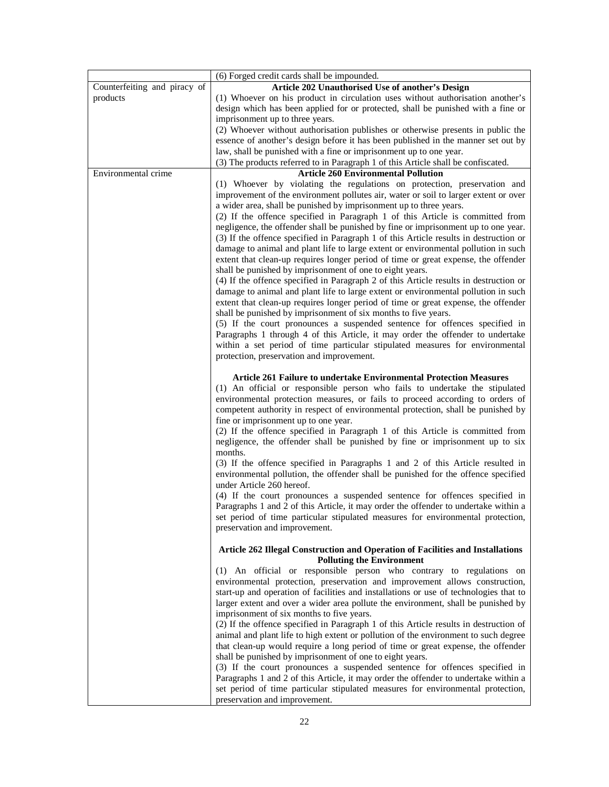|                              | (6) Forged credit cards shall be impounded.                                                                                                                                                                                                                                                                                                                                                                                                                                                           |  |  |  |  |  |
|------------------------------|-------------------------------------------------------------------------------------------------------------------------------------------------------------------------------------------------------------------------------------------------------------------------------------------------------------------------------------------------------------------------------------------------------------------------------------------------------------------------------------------------------|--|--|--|--|--|
| Counterfeiting and piracy of | Article 202 Unauthorised Use of another's Design                                                                                                                                                                                                                                                                                                                                                                                                                                                      |  |  |  |  |  |
| products                     | (1) Whoever on his product in circulation uses without authorisation another's                                                                                                                                                                                                                                                                                                                                                                                                                        |  |  |  |  |  |
|                              | design which has been applied for or protected, shall be punished with a fine or                                                                                                                                                                                                                                                                                                                                                                                                                      |  |  |  |  |  |
|                              | imprisonment up to three years.                                                                                                                                                                                                                                                                                                                                                                                                                                                                       |  |  |  |  |  |
|                              | (2) Whoever without authorisation publishes or otherwise presents in public the                                                                                                                                                                                                                                                                                                                                                                                                                       |  |  |  |  |  |
|                              | essence of another's design before it has been published in the manner set out by                                                                                                                                                                                                                                                                                                                                                                                                                     |  |  |  |  |  |
|                              | law, shall be punished with a fine or imprisonment up to one year.                                                                                                                                                                                                                                                                                                                                                                                                                                    |  |  |  |  |  |
|                              | (3) The products referred to in Paragraph 1 of this Article shall be confiscated.                                                                                                                                                                                                                                                                                                                                                                                                                     |  |  |  |  |  |
| Environmental crime          | <b>Article 260 Environmental Pollution</b>                                                                                                                                                                                                                                                                                                                                                                                                                                                            |  |  |  |  |  |
|                              | (1) Whoever by violating the regulations on protection, preservation and<br>improvement of the environment pollutes air, water or soil to larger extent or over<br>a wider area, shall be punished by imprisonment up to three years.<br>(2) If the offence specified in Paragraph 1 of this Article is committed from<br>negligence, the offender shall be punished by fine or imprisonment up to one year.<br>(3) If the offence specified in Paragraph 1 of this Article results in destruction or |  |  |  |  |  |
|                              | damage to animal and plant life to large extent or environmental pollution in such<br>extent that clean-up requires longer period of time or great expense, the offender<br>shall be punished by imprisonment of one to eight years.<br>(4) If the offence specified in Paragraph 2 of this Article results in destruction or                                                                                                                                                                         |  |  |  |  |  |
|                              | damage to animal and plant life to large extent or environmental pollution in such<br>extent that clean-up requires longer period of time or great expense, the offender<br>shall be punished by imprisonment of six months to five years.<br>(5) If the court pronounces a suspended sentence for offences specified in                                                                                                                                                                              |  |  |  |  |  |
|                              | Paragraphs 1 through 4 of this Article, it may order the offender to undertake<br>within a set period of time particular stipulated measures for environmental<br>protection, preservation and improvement.                                                                                                                                                                                                                                                                                           |  |  |  |  |  |
|                              | <b>Article 261 Failure to undertake Environmental Protection Measures</b><br>(1) An official or responsible person who fails to undertake the stipulated<br>environmental protection measures, or fails to proceed according to orders of<br>competent authority in respect of environmental protection, shall be punished by<br>fine or imprisonment up to one year.                                                                                                                                 |  |  |  |  |  |
|                              | (2) If the offence specified in Paragraph 1 of this Article is committed from<br>negligence, the offender shall be punished by fine or imprisonment up to six<br>months.                                                                                                                                                                                                                                                                                                                              |  |  |  |  |  |
|                              | (3) If the offence specified in Paragraphs 1 and 2 of this Article resulted in<br>environmental pollution, the offender shall be punished for the offence specified<br>under Article 260 hereof.                                                                                                                                                                                                                                                                                                      |  |  |  |  |  |
|                              | (4) If the court pronounces a suspended sentence for offences specified in<br>Paragraphs 1 and 2 of this Article, it may order the offender to undertake within a<br>set period of time particular stipulated measures for environmental protection,<br>preservation and improvement.                                                                                                                                                                                                                 |  |  |  |  |  |
|                              | Article 262 Illegal Construction and Operation of Facilities and Installations<br><b>Polluting the Environment</b>                                                                                                                                                                                                                                                                                                                                                                                    |  |  |  |  |  |
|                              | (1) An official or responsible person who contrary to regulations on<br>environmental protection, preservation and improvement allows construction,<br>start-up and operation of facilities and installations or use of technologies that to<br>larger extent and over a wider area pollute the environment, shall be punished by<br>imprisonment of six months to five years.                                                                                                                        |  |  |  |  |  |
|                              | (2) If the offence specified in Paragraph 1 of this Article results in destruction of<br>animal and plant life to high extent or pollution of the environment to such degree<br>that clean-up would require a long period of time or great expense, the offender<br>shall be punished by imprisonment of one to eight years.<br>(3) If the court pronounces a suspended sentence for offences specified in                                                                                            |  |  |  |  |  |
|                              | Paragraphs 1 and 2 of this Article, it may order the offender to undertake within a<br>set period of time particular stipulated measures for environmental protection,<br>preservation and improvement.                                                                                                                                                                                                                                                                                               |  |  |  |  |  |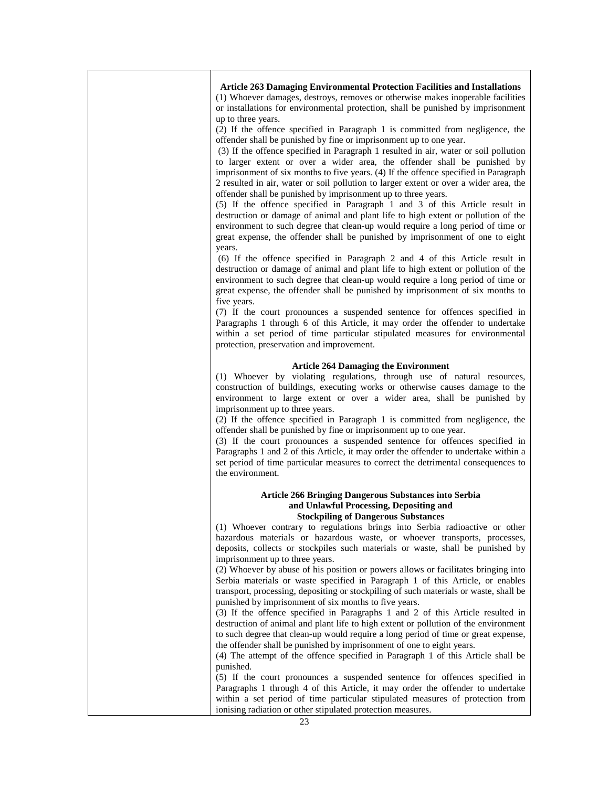| <b>Article 263 Damaging Environmental Protection Facilities and Installations</b><br>(1) Whoever damages, destroys, removes or otherwise makes inoperable facilities<br>or installations for environmental protection, shall be punished by imprisonment<br>up to three years.                                                                                                                                                                                                                                                                                                                                                                                                                                                                                                                                                                                                                                             |
|----------------------------------------------------------------------------------------------------------------------------------------------------------------------------------------------------------------------------------------------------------------------------------------------------------------------------------------------------------------------------------------------------------------------------------------------------------------------------------------------------------------------------------------------------------------------------------------------------------------------------------------------------------------------------------------------------------------------------------------------------------------------------------------------------------------------------------------------------------------------------------------------------------------------------|
| (2) If the offence specified in Paragraph 1 is committed from negligence, the<br>offender shall be punished by fine or imprisonment up to one year.<br>(3) If the offence specified in Paragraph 1 resulted in air, water or soil pollution<br>to larger extent or over a wider area, the offender shall be punished by<br>imprisonment of six months to five years. (4) If the offence specified in Paragraph<br>2 resulted in air, water or soil pollution to larger extent or over a wider area, the<br>offender shall be punished by imprisonment up to three years.<br>(5) If the offence specified in Paragraph 1 and 3 of this Article result in<br>destruction or damage of animal and plant life to high extent or pollution of the<br>environment to such degree that clean-up would require a long period of time or<br>great expense, the offender shall be punished by imprisonment of one to eight<br>years. |
| (6) If the offence specified in Paragraph 2 and 4 of this Article result in<br>destruction or damage of animal and plant life to high extent or pollution of the<br>environment to such degree that clean-up would require a long period of time or<br>great expense, the offender shall be punished by imprisonment of six months to<br>five years.                                                                                                                                                                                                                                                                                                                                                                                                                                                                                                                                                                       |
| (7) If the court pronounces a suspended sentence for offences specified in<br>Paragraphs 1 through 6 of this Article, it may order the offender to undertake<br>within a set period of time particular stipulated measures for environmental<br>protection, preservation and improvement.                                                                                                                                                                                                                                                                                                                                                                                                                                                                                                                                                                                                                                  |
| <b>Article 264 Damaging the Environment</b>                                                                                                                                                                                                                                                                                                                                                                                                                                                                                                                                                                                                                                                                                                                                                                                                                                                                                |
| (1) Whoever by violating regulations, through use of natural resources,<br>construction of buildings, executing works or otherwise causes damage to the<br>environment to large extent or over a wider area, shall be punished by<br>imprisonment up to three years.<br>(2) If the offence specified in Paragraph 1 is committed from negligence, the<br>offender shall be punished by fine or imprisonment up to one year.<br>(3) If the court pronounces a suspended sentence for offences specified in<br>Paragraphs 1 and 2 of this Article, it may order the offender to undertake within a<br>set period of time particular measures to correct the detrimental consequences to<br>the environment.                                                                                                                                                                                                                  |
| <b>Article 266 Bringing Dangerous Substances into Serbia</b>                                                                                                                                                                                                                                                                                                                                                                                                                                                                                                                                                                                                                                                                                                                                                                                                                                                               |
| and Unlawful Processing, Depositing and                                                                                                                                                                                                                                                                                                                                                                                                                                                                                                                                                                                                                                                                                                                                                                                                                                                                                    |
| <b>Stockpiling of Dangerous Substances</b><br>(1) Whoever contrary to regulations brings into Serbia radioactive or other<br>hazardous materials or hazardous waste, or whoever transports, processes,<br>deposits, collects or stockpiles such materials or waste, shall be punished by<br>imprisonment up to three years.<br>(2) Whoever by abuse of his position or powers allows or facilitates bringing into<br>Serbia materials or waste specified in Paragraph 1 of this Article, or enables                                                                                                                                                                                                                                                                                                                                                                                                                        |
| transport, processing, depositing or stockpiling of such materials or waste, shall be<br>punished by imprisonment of six months to five years.<br>(3) If the offence specified in Paragraphs 1 and 2 of this Article resulted in<br>destruction of animal and plant life to high extent or pollution of the environment                                                                                                                                                                                                                                                                                                                                                                                                                                                                                                                                                                                                    |
| to such degree that clean-up would require a long period of time or great expense,<br>the offender shall be punished by imprisonment of one to eight years.<br>(4) The attempt of the offence specified in Paragraph 1 of this Article shall be                                                                                                                                                                                                                                                                                                                                                                                                                                                                                                                                                                                                                                                                            |
| punished.<br>(5) If the court pronounces a suspended sentence for offences specified in                                                                                                                                                                                                                                                                                                                                                                                                                                                                                                                                                                                                                                                                                                                                                                                                                                    |
| Paragraphs 1 through 4 of this Article, it may order the offender to undertake<br>within a set period of time particular stipulated measures of protection from<br>ionising radiation or other stipulated protection measures.                                                                                                                                                                                                                                                                                                                                                                                                                                                                                                                                                                                                                                                                                             |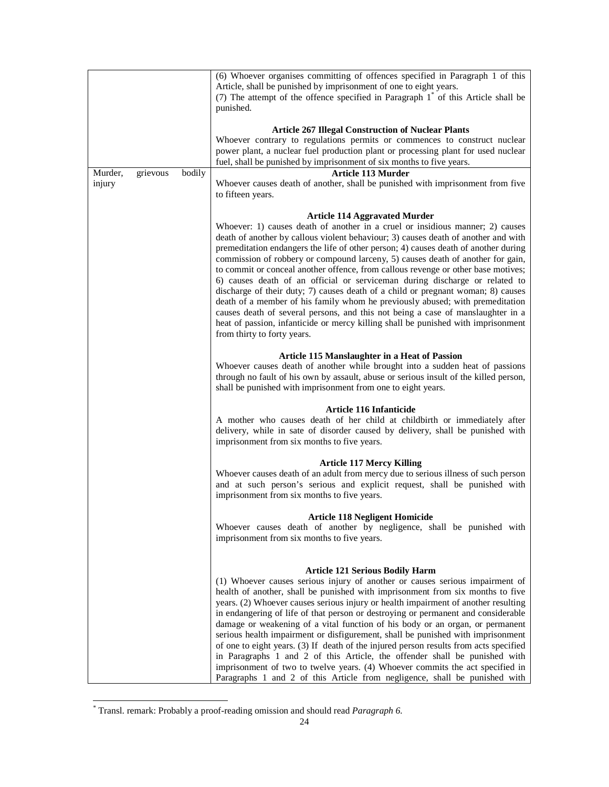|                   |          |        | (6) Whoever organises committing of offences specified in Paragraph 1 of this<br>Article, shall be punished by imprisonment of one to eight years.<br>(7) The attempt of the offence specified in Paragraph 1 <sup>*</sup> of this Article shall be<br>punished.                                                                                                                                                                                                                                                                                                                                                                                                                                                                                                                                                                                                                                                                      |
|-------------------|----------|--------|---------------------------------------------------------------------------------------------------------------------------------------------------------------------------------------------------------------------------------------------------------------------------------------------------------------------------------------------------------------------------------------------------------------------------------------------------------------------------------------------------------------------------------------------------------------------------------------------------------------------------------------------------------------------------------------------------------------------------------------------------------------------------------------------------------------------------------------------------------------------------------------------------------------------------------------|
|                   |          |        | <b>Article 267 Illegal Construction of Nuclear Plants</b><br>Whoever contrary to regulations permits or commences to construct nuclear<br>power plant, a nuclear fuel production plant or processing plant for used nuclear<br>fuel, shall be punished by imprisonment of six months to five years.                                                                                                                                                                                                                                                                                                                                                                                                                                                                                                                                                                                                                                   |
| Murder,<br>injury | grievous | bodily | Article 113 Murder<br>Whoever causes death of another, shall be punished with imprisonment from five<br>to fifteen years.                                                                                                                                                                                                                                                                                                                                                                                                                                                                                                                                                                                                                                                                                                                                                                                                             |
|                   |          |        | <b>Article 114 Aggravated Murder</b><br>Whoever: 1) causes death of another in a cruel or insidious manner; 2) causes<br>death of another by callous violent behaviour; 3) causes death of another and with<br>premeditation endangers the life of other person; 4) causes death of another during<br>commission of robbery or compound larceny, 5) causes death of another for gain,<br>to commit or conceal another offence, from callous revenge or other base motives;<br>6) causes death of an official or serviceman during discharge or related to<br>discharge of their duty; 7) causes death of a child or pregnant woman; 8) causes<br>death of a member of his family whom he previously abused; with premeditation<br>causes death of several persons, and this not being a case of manslaughter in a<br>heat of passion, infanticide or mercy killing shall be punished with imprisonment<br>from thirty to forty years. |
|                   |          |        | <b>Article 115 Manslaughter in a Heat of Passion</b><br>Whoever causes death of another while brought into a sudden heat of passions<br>through no fault of his own by assault, abuse or serious insult of the killed person,<br>shall be punished with imprisonment from one to eight years.                                                                                                                                                                                                                                                                                                                                                                                                                                                                                                                                                                                                                                         |
|                   |          |        | <b>Article 116 Infanticide</b><br>A mother who causes death of her child at childbirth or immediately after<br>delivery, while in sate of disorder caused by delivery, shall be punished with<br>imprisonment from six months to five years.                                                                                                                                                                                                                                                                                                                                                                                                                                                                                                                                                                                                                                                                                          |
|                   |          |        | <b>Article 117 Mercy Killing</b><br>Whoever causes death of an adult from mercy due to serious illness of such person<br>and at such person's serious and explicit request, shall be punished with<br>imprisonment from six months to five years.                                                                                                                                                                                                                                                                                                                                                                                                                                                                                                                                                                                                                                                                                     |
|                   |          |        | <b>Article 118 Negligent Homicide</b><br>Whoever causes death of another by negligence, shall be punished with<br>imprisonment from six months to five years.                                                                                                                                                                                                                                                                                                                                                                                                                                                                                                                                                                                                                                                                                                                                                                         |
|                   |          |        | <b>Article 121 Serious Bodily Harm</b><br>(1) Whoever causes serious injury of another or causes serious impairment of<br>health of another, shall be punished with imprisonment from six months to five<br>years. (2) Whoever causes serious injury or health impairment of another resulting<br>in endangering of life of that person or destroying or permanent and considerable<br>damage or weakening of a vital function of his body or an organ, or permanent<br>serious health impairment or disfigurement, shall be punished with imprisonment<br>of one to eight years. (3) If death of the injured person results from acts specified<br>in Paragraphs 1 and 2 of this Article, the offender shall be punished with<br>imprisonment of two to twelve years. (4) Whoever commits the act specified in<br>Paragraphs 1 and 2 of this Article from negligence, shall be punished with                                         |

 \* Transl. remark: Probably a proof-reading omission and should read *Paragraph 6.*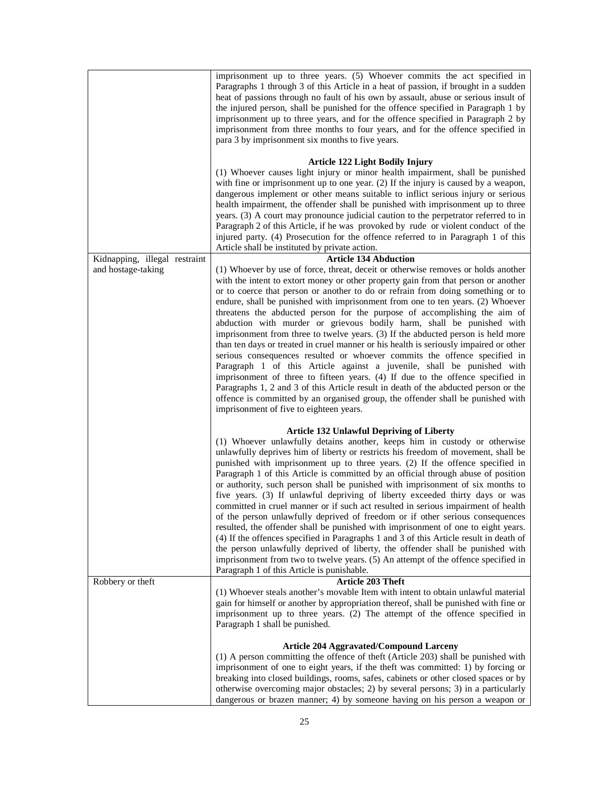|                               | imprisonment up to three years. (5) Whoever commits the act specified in<br>Paragraphs 1 through 3 of this Article in a heat of passion, if brought in a sudden<br>heat of passions through no fault of his own by assault, abuse or serious insult of<br>the injured person, shall be punished for the offence specified in Paragraph 1 by<br>imprisonment up to three years, and for the offence specified in Paragraph 2 by<br>imprisonment from three months to four years, and for the offence specified in<br>para 3 by imprisonment six months to five years.                                                                                                                                                                                                                                                                                                                                                                                                                                                                                                                                                                          |
|-------------------------------|-----------------------------------------------------------------------------------------------------------------------------------------------------------------------------------------------------------------------------------------------------------------------------------------------------------------------------------------------------------------------------------------------------------------------------------------------------------------------------------------------------------------------------------------------------------------------------------------------------------------------------------------------------------------------------------------------------------------------------------------------------------------------------------------------------------------------------------------------------------------------------------------------------------------------------------------------------------------------------------------------------------------------------------------------------------------------------------------------------------------------------------------------|
|                               | Article 122 Light Bodily Injury<br>(1) Whoever causes light injury or minor health impairment, shall be punished<br>with fine or imprisonment up to one year. (2) If the injury is caused by a weapon,<br>dangerous implement or other means suitable to inflict serious injury or serious<br>health impairment, the offender shall be punished with imprisonment up to three<br>years. (3) A court may pronounce judicial caution to the perpetrator referred to in<br>Paragraph 2 of this Article, if he was provoked by rude or violent conduct of the<br>injured party. (4) Prosecution for the offence referred to in Paragraph 1 of this<br>Article shall be instituted by private action.                                                                                                                                                                                                                                                                                                                                                                                                                                              |
| Kidnapping, illegal restraint | <b>Article 134 Abduction</b>                                                                                                                                                                                                                                                                                                                                                                                                                                                                                                                                                                                                                                                                                                                                                                                                                                                                                                                                                                                                                                                                                                                  |
| and hostage-taking            | (1) Whoever by use of force, threat, deceit or otherwise removes or holds another<br>with the intent to extort money or other property gain from that person or another<br>or to coerce that person or another to do or refrain from doing something or to<br>endure, shall be punished with imprisonment from one to ten years. (2) Whoever<br>threatens the abducted person for the purpose of accomplishing the aim of<br>abduction with murder or grievous bodily harm, shall be punished with<br>imprisonment from three to twelve years. (3) If the abducted person is held more<br>than ten days or treated in cruel manner or his health is seriously impaired or other<br>serious consequences resulted or whoever commits the offence specified in<br>Paragraph 1 of this Article against a juvenile, shall be punished with<br>imprisonment of three to fifteen years. (4) If due to the offence specified in<br>Paragraphs 1, 2 and 3 of this Article result in death of the abducted person or the<br>offence is committed by an organised group, the offender shall be punished with<br>imprisonment of five to eighteen years. |
|                               | <b>Article 132 Unlawful Depriving of Liberty</b>                                                                                                                                                                                                                                                                                                                                                                                                                                                                                                                                                                                                                                                                                                                                                                                                                                                                                                                                                                                                                                                                                              |
|                               | (1) Whoever unlawfully detains another, keeps him in custody or otherwise<br>unlawfully deprives him of liberty or restricts his freedom of movement, shall be<br>punished with imprisonment up to three years. (2) If the offence specified in<br>Paragraph 1 of this Article is committed by an official through abuse of position<br>or authority, such person shall be punished with imprisonment of six months to<br>five years. (3) If unlawful depriving of liberty exceeded thirty days or was<br>committed in cruel manner or if such act resulted in serious impairment of health<br>of the person unlawfully deprived of freedom or if other serious consequences<br>resulted, the offender shall be punished with imprisonment of one to eight years.<br>(4) If the offences specified in Paragraphs 1 and 3 of this Article result in death of<br>the person unlawfully deprived of liberty, the offender shall be punished with<br>imprisonment from two to twelve years. (5) An attempt of the offence specified in<br>Paragraph 1 of this Article is punishable.                                                              |
| Robbery or theft              | <b>Article 203 Theft</b>                                                                                                                                                                                                                                                                                                                                                                                                                                                                                                                                                                                                                                                                                                                                                                                                                                                                                                                                                                                                                                                                                                                      |
|                               | (1) Whoever steals another's movable Item with intent to obtain unlawful material<br>gain for himself or another by appropriation thereof, shall be punished with fine or<br>imprisonment up to three years. (2) The attempt of the offence specified in<br>Paragraph 1 shall be punished.                                                                                                                                                                                                                                                                                                                                                                                                                                                                                                                                                                                                                                                                                                                                                                                                                                                    |
|                               | <b>Article 204 Aggravated/Compound Larceny</b>                                                                                                                                                                                                                                                                                                                                                                                                                                                                                                                                                                                                                                                                                                                                                                                                                                                                                                                                                                                                                                                                                                |
|                               | (1) A person committing the offence of theft (Article 203) shall be punished with<br>imprisonment of one to eight years, if the theft was committed: 1) by forcing or<br>breaking into closed buildings, rooms, safes, cabinets or other closed spaces or by<br>otherwise overcoming major obstacles; 2) by several persons; 3) in a particularly<br>dangerous or brazen manner; 4) by someone having on his person a weapon or                                                                                                                                                                                                                                                                                                                                                                                                                                                                                                                                                                                                                                                                                                               |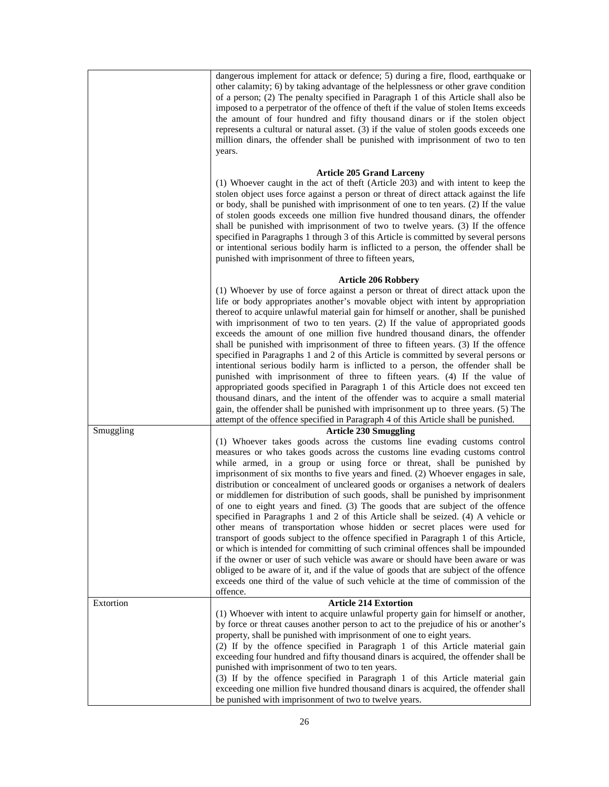|           | dangerous implement for attack or defence; 5) during a fire, flood, earthquake or<br>other calamity; 6) by taking advantage of the helplessness or other grave condition<br>of a person; (2) The penalty specified in Paragraph 1 of this Article shall also be<br>imposed to a perpetrator of the offence of theft if the value of stolen Items exceeds<br>the amount of four hundred and fifty thousand dinars or if the stolen object<br>represents a cultural or natural asset. (3) if the value of stolen goods exceeds one<br>million dinars, the offender shall be punished with imprisonment of two to ten<br>years.                                                                                                                                                                                                                                                                                                                                                                                                                                                                                                                                                                                                        |
|-----------|-------------------------------------------------------------------------------------------------------------------------------------------------------------------------------------------------------------------------------------------------------------------------------------------------------------------------------------------------------------------------------------------------------------------------------------------------------------------------------------------------------------------------------------------------------------------------------------------------------------------------------------------------------------------------------------------------------------------------------------------------------------------------------------------------------------------------------------------------------------------------------------------------------------------------------------------------------------------------------------------------------------------------------------------------------------------------------------------------------------------------------------------------------------------------------------------------------------------------------------|
|           | <b>Article 205 Grand Larceny</b><br>(1) Whoever caught in the act of theft (Article 203) and with intent to keep the<br>stolen object uses force against a person or threat of direct attack against the life<br>or body, shall be punished with imprisonment of one to ten years. (2) If the value<br>of stolen goods exceeds one million five hundred thousand dinars, the offender<br>shall be punished with imprisonment of two to twelve years. (3) If the offence<br>specified in Paragraphs 1 through 3 of this Article is committed by several persons<br>or intentional serious bodily harm is inflicted to a person, the offender shall be<br>punished with imprisonment of three to fifteen years,                                                                                                                                                                                                                                                                                                                                                                                                                                                                                                                       |
|           | <b>Article 206 Robbery</b><br>(1) Whoever by use of force against a person or threat of direct attack upon the<br>life or body appropriates another's movable object with intent by appropriation<br>thereof to acquire unlawful material gain for himself or another, shall be punished<br>with imprisonment of two to ten years. (2) If the value of appropriated goods<br>exceeds the amount of one million five hundred thousand dinars, the offender<br>shall be punished with imprisonment of three to fifteen years. (3) If the offence<br>specified in Paragraphs 1 and 2 of this Article is committed by several persons or<br>intentional serious bodily harm is inflicted to a person, the offender shall be<br>punished with imprisonment of three to fifteen years. (4) If the value of<br>appropriated goods specified in Paragraph 1 of this Article does not exceed ten<br>thousand dinars, and the intent of the offender was to acquire a small material<br>gain, the offender shall be punished with imprisonment up to three years. (5) The<br>attempt of the offence specified in Paragraph 4 of this Article shall be punished.                                                                               |
| Smuggling | <b>Article 230 Smuggling</b><br>(1) Whoever takes goods across the customs line evading customs control<br>measures or who takes goods across the customs line evading customs control<br>while armed, in a group or using force or threat, shall be punished by<br>imprisonment of six months to five years and fined. (2) Whoever engages in sale,<br>distribution or concealment of uncleared goods or organises a network of dealers<br>or middlemen for distribution of such goods, shall be punished by imprisonment<br>of one to eight years and fined. (3) The goods that are subject of the offence<br>specified in Paragraphs 1 and 2 of this Article shall be seized. (4) A vehicle or<br>other means of transportation whose hidden or secret places were used for<br>transport of goods subject to the offence specified in Paragraph 1 of this Article,<br>or which is intended for committing of such criminal offences shall be impounded<br>if the owner or user of such vehicle was aware or should have been aware or was<br>obliged to be aware of it, and if the value of goods that are subject of the offence<br>exceeds one third of the value of such vehicle at the time of commission of the<br>offence. |
| Extortion | <b>Article 214 Extortion</b><br>(1) Whoever with intent to acquire unlawful property gain for himself or another,<br>by force or threat causes another person to act to the prejudice of his or another's<br>property, shall be punished with imprisonment of one to eight years.<br>(2) If by the offence specified in Paragraph 1 of this Article material gain<br>exceeding four hundred and fifty thousand dinars is acquired, the offender shall be<br>punished with imprisonment of two to ten years.<br>(3) If by the offence specified in Paragraph 1 of this Article material gain<br>exceeding one million five hundred thousand dinars is acquired, the offender shall<br>be punished with imprisonment of two to twelve years.                                                                                                                                                                                                                                                                                                                                                                                                                                                                                          |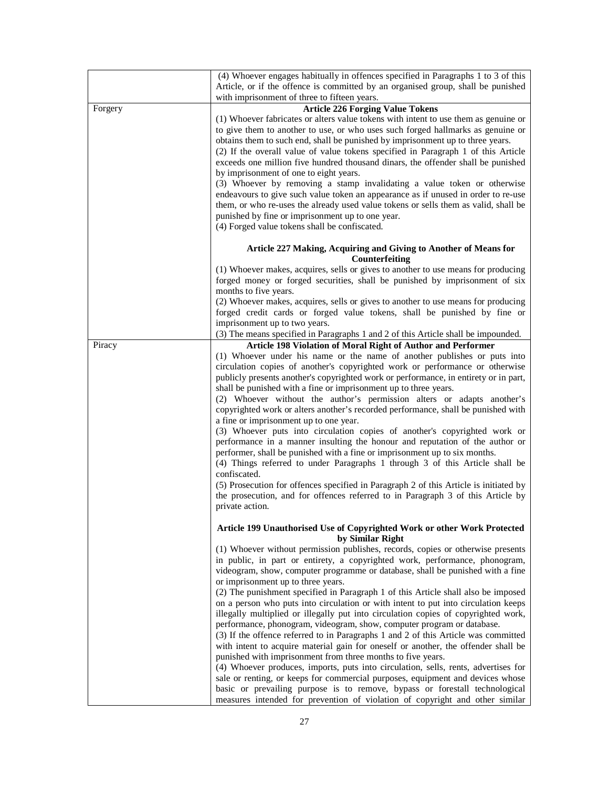|         | (4) Whoever engages habitually in offences specified in Paragraphs 1 to 3 of this<br>Article, or if the offence is committed by an organised group, shall be punished                                                                                                                                                                                                                                                                                                                                                                                                                                                                                                                                                                                                                                                                                                                                                                                                                                                                                                                                                                                                                                               |
|---------|---------------------------------------------------------------------------------------------------------------------------------------------------------------------------------------------------------------------------------------------------------------------------------------------------------------------------------------------------------------------------------------------------------------------------------------------------------------------------------------------------------------------------------------------------------------------------------------------------------------------------------------------------------------------------------------------------------------------------------------------------------------------------------------------------------------------------------------------------------------------------------------------------------------------------------------------------------------------------------------------------------------------------------------------------------------------------------------------------------------------------------------------------------------------------------------------------------------------|
|         | with imprisonment of three to fifteen years.                                                                                                                                                                                                                                                                                                                                                                                                                                                                                                                                                                                                                                                                                                                                                                                                                                                                                                                                                                                                                                                                                                                                                                        |
| Forgery | <b>Article 226 Forging Value Tokens</b>                                                                                                                                                                                                                                                                                                                                                                                                                                                                                                                                                                                                                                                                                                                                                                                                                                                                                                                                                                                                                                                                                                                                                                             |
|         | (1) Whoever fabricates or alters value tokens with intent to use them as genuine or                                                                                                                                                                                                                                                                                                                                                                                                                                                                                                                                                                                                                                                                                                                                                                                                                                                                                                                                                                                                                                                                                                                                 |
|         | to give them to another to use, or who uses such forged hallmarks as genuine or<br>obtains them to such end, shall be punished by imprisonment up to three years.<br>(2) If the overall value of value tokens specified in Paragraph 1 of this Article<br>exceeds one million five hundred thousand dinars, the offender shall be punished                                                                                                                                                                                                                                                                                                                                                                                                                                                                                                                                                                                                                                                                                                                                                                                                                                                                          |
|         | by imprisonment of one to eight years.<br>(3) Whoever by removing a stamp invalidating a value token or otherwise<br>endeavours to give such value token an appearance as if unused in order to re-use<br>them, or who re-uses the already used value tokens or sells them as valid, shall be<br>punished by fine or imprisonment up to one year.<br>(4) Forged value tokens shall be confiscated.                                                                                                                                                                                                                                                                                                                                                                                                                                                                                                                                                                                                                                                                                                                                                                                                                  |
|         | Article 227 Making, Acquiring and Giving to Another of Means for<br>Counterfeiting                                                                                                                                                                                                                                                                                                                                                                                                                                                                                                                                                                                                                                                                                                                                                                                                                                                                                                                                                                                                                                                                                                                                  |
|         | (1) Whoever makes, acquires, sells or gives to another to use means for producing                                                                                                                                                                                                                                                                                                                                                                                                                                                                                                                                                                                                                                                                                                                                                                                                                                                                                                                                                                                                                                                                                                                                   |
|         | forged money or forged securities, shall be punished by imprisonment of six<br>months to five years.                                                                                                                                                                                                                                                                                                                                                                                                                                                                                                                                                                                                                                                                                                                                                                                                                                                                                                                                                                                                                                                                                                                |
|         | (2) Whoever makes, acquires, sells or gives to another to use means for producing<br>forged credit cards or forged value tokens, shall be punished by fine or                                                                                                                                                                                                                                                                                                                                                                                                                                                                                                                                                                                                                                                                                                                                                                                                                                                                                                                                                                                                                                                       |
|         | imprisonment up to two years.                                                                                                                                                                                                                                                                                                                                                                                                                                                                                                                                                                                                                                                                                                                                                                                                                                                                                                                                                                                                                                                                                                                                                                                       |
|         | (3) The means specified in Paragraphs 1 and 2 of this Article shall be impounded.                                                                                                                                                                                                                                                                                                                                                                                                                                                                                                                                                                                                                                                                                                                                                                                                                                                                                                                                                                                                                                                                                                                                   |
| Piracy  | Article 198 Violation of Moral Right of Author and Performer<br>(1) Whoever under his name or the name of another publishes or puts into<br>circulation copies of another's copyrighted work or performance or otherwise<br>publicly presents another's copyrighted work or performance, in entirety or in part,<br>shall be punished with a fine or imprisonment up to three years.<br>(2) Whoever without the author's permission alters or adapts another's<br>copyrighted work or alters another's recorded performance, shall be punished with<br>a fine or imprisonment up to one year.<br>(3) Whoever puts into circulation copies of another's copyrighted work or<br>performance in a manner insulting the honour and reputation of the author or<br>performer, shall be punished with a fine or imprisonment up to six months.<br>(4) Things referred to under Paragraphs 1 through 3 of this Article shall be<br>confiscated.<br>(5) Prosecution for offences specified in Paragraph 2 of this Article is initiated by<br>the prosecution, and for offences referred to in Paragraph 3 of this Article by<br>private action.                                                                             |
|         | Article 199 Unauthorised Use of Copyrighted Work or other Work Protected<br>by Similar Right                                                                                                                                                                                                                                                                                                                                                                                                                                                                                                                                                                                                                                                                                                                                                                                                                                                                                                                                                                                                                                                                                                                        |
|         | (1) Whoever without permission publishes, records, copies or otherwise presents<br>in public, in part or entirety, a copyrighted work, performance, phonogram,<br>videogram, show, computer programme or database, shall be punished with a fine<br>or imprisonment up to three years.<br>(2) The punishment specified in Paragraph 1 of this Article shall also be imposed<br>on a person who puts into circulation or with intent to put into circulation keeps<br>illegally multiplied or illegally put into circulation copies of copyrighted work,<br>performance, phonogram, videogram, show, computer program or database.<br>(3) If the offence referred to in Paragraphs 1 and 2 of this Article was committed<br>with intent to acquire material gain for oneself or another, the offender shall be<br>punished with imprisonment from three months to five years.<br>(4) Whoever produces, imports, puts into circulation, sells, rents, advertises for<br>sale or renting, or keeps for commercial purposes, equipment and devices whose<br>basic or prevailing purpose is to remove, bypass or forestall technological<br>measures intended for prevention of violation of copyright and other similar |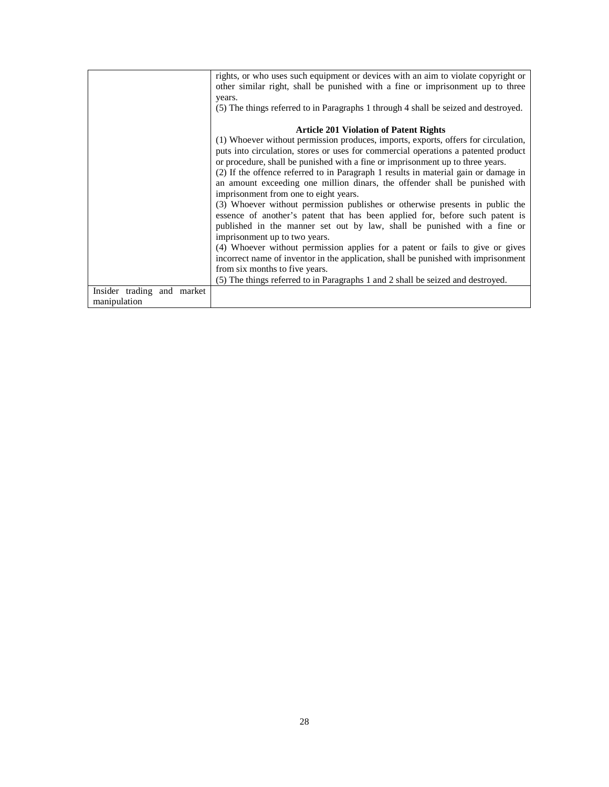|                            | rights, or who uses such equipment or devices with an aim to violate copyright or   |
|----------------------------|-------------------------------------------------------------------------------------|
|                            | other similar right, shall be punished with a fine or imprisonment up to three      |
|                            | years.                                                                              |
|                            | (5) The things referred to in Paragraphs 1 through 4 shall be seized and destroyed. |
|                            |                                                                                     |
|                            | <b>Article 201 Violation of Patent Rights</b>                                       |
|                            | (1) Whoever without permission produces, imports, exports, offers for circulation,  |
|                            | puts into circulation, stores or uses for commercial operations a patented product  |
|                            | or procedure, shall be punished with a fine or imprisonment up to three years.      |
|                            | (2) If the offence referred to in Paragraph 1 results in material gain or damage in |
|                            | an amount exceeding one million dinars, the offender shall be punished with         |
|                            | imprisonment from one to eight years.                                               |
|                            | (3) Whoever without permission publishes or otherwise presents in public the        |
|                            | essence of another's patent that has been applied for, before such patent is        |
|                            | published in the manner set out by law, shall be punished with a fine or            |
|                            | imprisonment up to two years.                                                       |
|                            | (4) Whoever without permission applies for a patent or fails to give or gives       |
|                            | incorrect name of inventor in the application, shall be punished with imprisonment  |
|                            | from six months to five years.                                                      |
|                            | (5) The things referred to in Paragraphs 1 and 2 shall be seized and destroyed.     |
| Insider trading and market |                                                                                     |
| manipulation               |                                                                                     |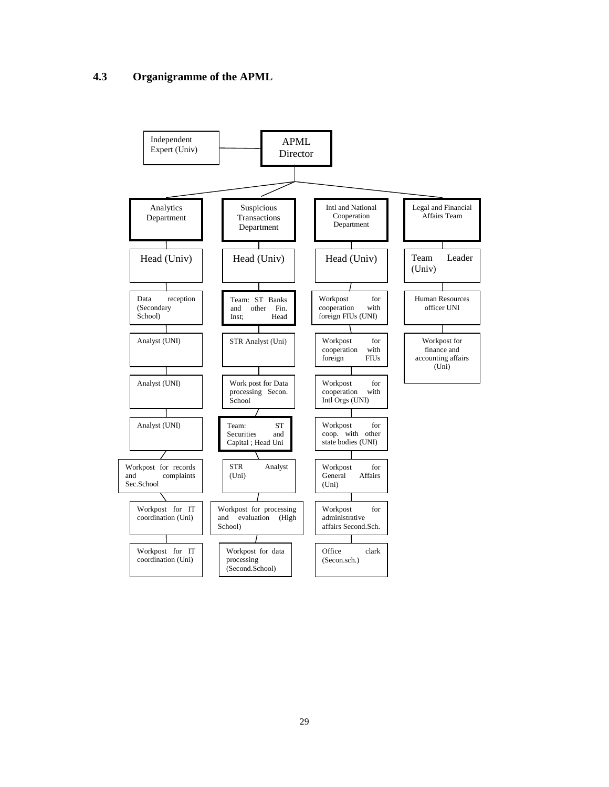## **4.3 Organigramme of the APML**



29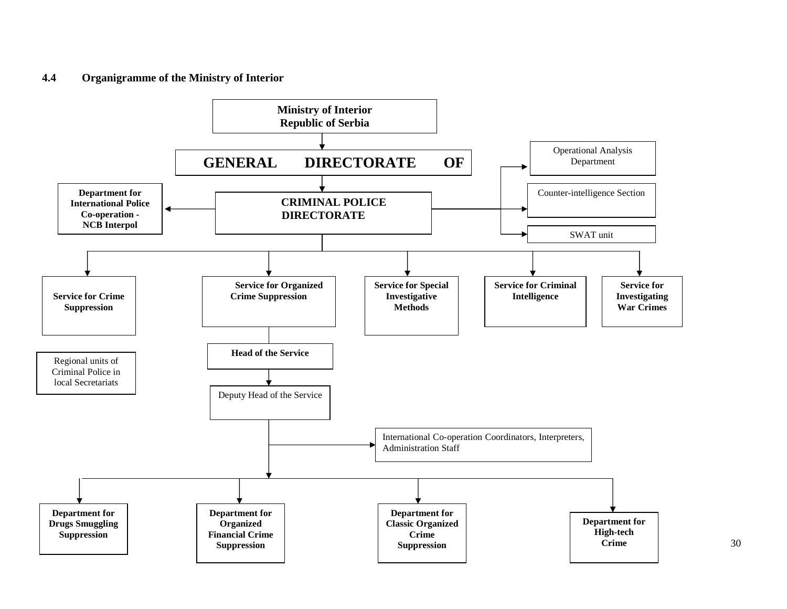#### **4.4Organigramme of the Ministry of Interior**

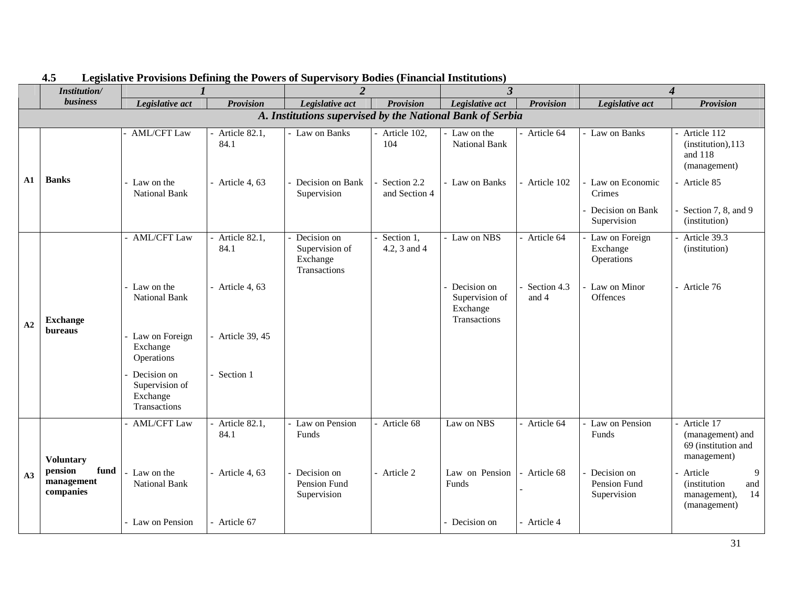|    | Institution/                                              | $\boldsymbol{l}$                                          |                         | $\overline{2}$                                            |                              |                                                           | $\mathfrak{Z}$       |                                               | 4                                                                                 |  |
|----|-----------------------------------------------------------|-----------------------------------------------------------|-------------------------|-----------------------------------------------------------|------------------------------|-----------------------------------------------------------|----------------------|-----------------------------------------------|-----------------------------------------------------------------------------------|--|
|    | business                                                  | Legislative act                                           | <b>Provision</b>        | Legislative act                                           | <b>Provision</b>             | Legislative act                                           | <b>Provision</b>     | Legislative act                               | <b>Provision</b>                                                                  |  |
|    | A. Institutions supervised by the National Bank of Serbia |                                                           |                         |                                                           |                              |                                                           |                      |                                               |                                                                                   |  |
|    |                                                           | <b>AML/CFT Law</b>                                        | - Article 82.1,<br>84.1 | - Law on Banks                                            | Article 102,<br>104          | Law on the<br>National Bank                               | Article 64           | - Law on Banks                                | Article 112<br>(institution), 113<br>and 118<br>(management)                      |  |
| A1 | <b>Banks</b>                                              | - Law on the<br><b>National Bank</b>                      | - Article 4, $63$       | Decision on Bank<br>Supervision                           | Section 2.2<br>and Section 4 | - Law on Banks                                            | - Article 102        | Law on Economic<br>Crimes<br>Decision on Bank | Article 85<br>Section 7, 8, and 9                                                 |  |
|    |                                                           |                                                           |                         |                                                           |                              |                                                           |                      | Supervision                                   | (institution)                                                                     |  |
| A2 |                                                           | - AML/CFT Law                                             | Article 82.1,<br>84.1   | Decision on<br>Supervision of<br>Exchange<br>Transactions | Section 1,<br>4.2, 3 and 4   | - Law on NBS                                              | Article 64           | Law on Foreign<br>Exchange<br>Operations      | Article 39.3<br>(institution)                                                     |  |
|    | <b>Exchange</b><br><b>bureaus</b>                         | Law on the<br><b>National Bank</b>                        | - Article 4, $63$       |                                                           |                              | Decision on<br>Supervision of<br>Exchange<br>Transactions | Section 4.3<br>and 4 | Law on Minor<br>Offences                      | - Article 76                                                                      |  |
|    |                                                           | Law on Foreign<br>Exchange<br>Operations                  | - Article 39, 45        |                                                           |                              |                                                           |                      |                                               |                                                                                   |  |
|    |                                                           | Decision on<br>Supervision of<br>Exchange<br>Transactions | - Section 1             |                                                           |                              |                                                           |                      |                                               |                                                                                   |  |
|    | <b>Voluntary</b>                                          | <b>AML/CFT Law</b>                                        | - Article 82.1,<br>84.1 | Law on Pension<br>Funds                                   | Article 68                   | Law on NBS                                                | Article 64           | Law on Pension<br>Funds                       | Article 17<br>(management) and<br>69 (institution and<br>management)              |  |
| A3 | pension<br>fund<br>management<br>companies                | Law on the<br><b>National Bank</b>                        | - Article 4, $63$       | Decision on<br>Pension Fund<br>Supervision                | - Article 2                  | Law on Pension<br>Funds                                   | - Article 68         | Decision on<br>Pension Fund<br>Supervision    | 9<br>Article<br><i>(institution)</i><br>and<br>14<br>management),<br>(management) |  |
|    |                                                           | - Law on Pension                                          | - Article 67            |                                                           |                              | Decision on                                               | - Article 4          |                                               |                                                                                   |  |

#### **4.5Legislative Provisions Defining the Powers of Supervisory Bodies (Financial Institutions)**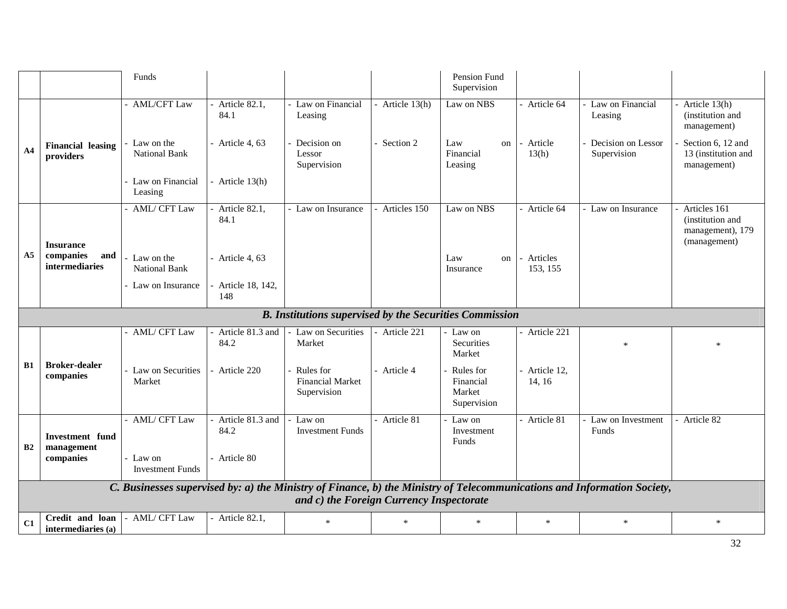|                |                                           | Funds                               |                            |                                                                |               | Pension Fund<br>Supervision                     |                       |                                                                                                                         |                                                                       |
|----------------|-------------------------------------------|-------------------------------------|----------------------------|----------------------------------------------------------------|---------------|-------------------------------------------------|-----------------------|-------------------------------------------------------------------------------------------------------------------------|-----------------------------------------------------------------------|
|                |                                           | - AML/CFT Law                       | - Article $82.1$ ,<br>84.1 | Law on Financial<br>Leasing                                    | Article 13(h) | Law on NBS                                      | Article 64            | Law on Financial<br>Leasing                                                                                             | Article 13(h)<br>(institution and<br>management)                      |
| A <sub>4</sub> | <b>Financial leasing</b><br>providers     | Law on the<br><b>National Bank</b>  | - Article 4, $63$          | Decision on<br>Lessor<br>Supervision                           | Section 2     | Law<br>on<br>Financial<br>Leasing               | Article<br>13(h)      | Decision on Lessor<br>Supervision                                                                                       | Section 6, 12 and<br>13 (institution and<br>management)               |
|                |                                           | - Law on Financial<br>Leasing       | - Article 13(h)            |                                                                |               |                                                 |                       |                                                                                                                         |                                                                       |
|                | <b>Insurance</b>                          | - AML/ CFT Law                      | - Article $82.1$ ,<br>84.1 | - Law on Insurance                                             | Articles 150  | Law on NBS                                      | Article 64            | Law on Insurance                                                                                                        | Articles 161<br>(institution and)<br>management), 179<br>(management) |
| A5             | companies<br>and<br><i>intermediaries</i> | Law on the<br><b>National Bank</b>  | - Article 4, $63$          |                                                                |               | Law<br>on<br>Insurance                          | Articles<br>153, 155  |                                                                                                                         |                                                                       |
|                |                                           | - Law on Insurance                  | - Article 18, 142,<br>148  |                                                                |               |                                                 |                       |                                                                                                                         |                                                                       |
|                |                                           |                                     |                            | <b>B.</b> Institutions supervised by the Securities Commission |               |                                                 |                       |                                                                                                                         |                                                                       |
|                |                                           | - AML/ CFT Law                      | - Article 81.3 and<br>84.2 | Law on Securities<br>Market                                    | Article 221   | Law on<br>Securities<br>Market                  | Article 221           | $\ast$                                                                                                                  |                                                                       |
| <b>B1</b>      | <b>Broker-dealer</b><br>companies         | - Law on Securities<br>Market       | - Article 220              | Rules for<br><b>Financial Market</b><br>Supervision            | Article 4     | Rules for<br>Financial<br>Market<br>Supervision | Article 12.<br>14, 16 |                                                                                                                         |                                                                       |
| B2             | <b>Investment</b> fund<br>management      | - AML/ CFT Law                      | Article 81.3 and<br>84.2   | Law on<br><b>Investment Funds</b>                              | Article 81    | Law on<br>Investment<br>Funds                   | Article 81            | Law on Investment<br>Funds                                                                                              | - Article 82                                                          |
|                | companies                                 | - Law on<br><b>Investment Funds</b> | - Article 80               |                                                                |               |                                                 |                       |                                                                                                                         |                                                                       |
|                |                                           |                                     |                            | and c) the Foreign Currency Inspectorate                       |               |                                                 |                       | C. Businesses supervised by: a) the Ministry of Finance, b) the Ministry of Telecommunications and Information Society, |                                                                       |
| C1             | Credit and loan<br>intermediaries (a)     | - AML/ CFT Law                      | - Article 82.1,            | $\ast$                                                         | $\ast$        | $\ast$                                          | $\ast$                | $\ast$                                                                                                                  | $\ast$                                                                |
|                |                                           |                                     |                            |                                                                |               |                                                 |                       |                                                                                                                         | 32                                                                    |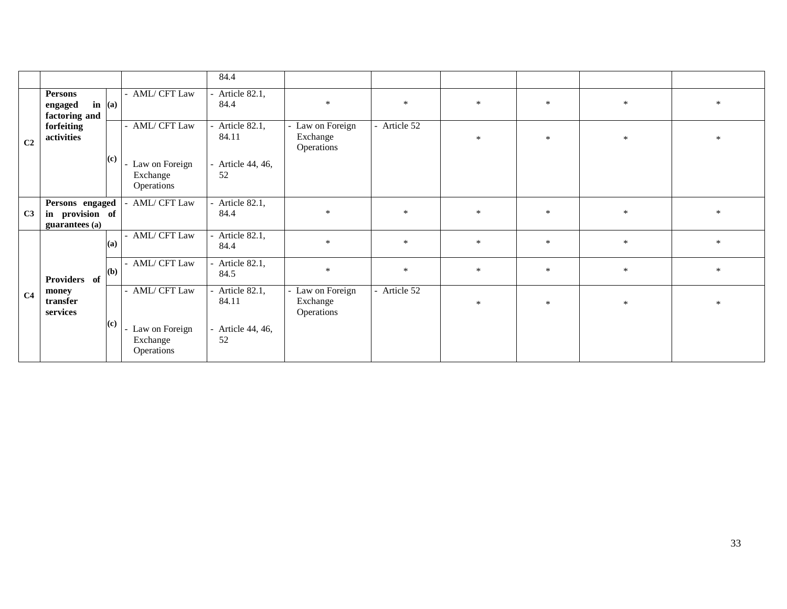|                |                                                      |                   |                                            | 84.4                   |                                          |              |        |        |        |        |
|----------------|------------------------------------------------------|-------------------|--------------------------------------------|------------------------|------------------------------------------|--------------|--------|--------|--------|--------|
|                | <b>Persons</b><br>engaged<br>factoring and           | $\mathbf{in}$ (a) | - AML/ CFT Law                             | Article 82.1,<br>84.4  | $\ast$                                   | $\ast$       | $\ast$ | $\ast$ | $\ast$ | $\ast$ |
| C <sub>2</sub> | forfeiting<br>activities                             |                   | - AML/ CFT Law                             | Article 82.1,<br>84.11 | Law on Foreign<br>Exchange<br>Operations | - Article 52 | $\ast$ | $\ast$ | $\ast$ | $\ast$ |
|                |                                                      | (c)               | Law on Foreign<br>Exchange<br>Operations   | Article 44, 46,<br>52  |                                          |              |        |        |        |        |
| C <sub>3</sub> | Persons engaged<br>in provision of<br>guarantees (a) |                   | AML/ CFT Law                               | Article 82.1,<br>84.4  | $\ast$                                   | $\ast$       | $\ast$ | $\ast$ | $\ast$ | $\ast$ |
|                |                                                      | (a)               | - AML/ CFT Law                             | Article 82.1,<br>84.4  | $\ast$                                   | $\ast$       | $\ast$ | $\ast$ | $\ast$ | $\ast$ |
|                | Providers of                                         | (b)               | - AML/ CFT Law                             | Article 82.1,<br>84.5  | $\ast$                                   | $\ast$       | $\ast$ | $\ast$ | $\ast$ | $\ast$ |
| C <sub>4</sub> | money<br>transfer<br>services                        |                   | AML/ CFT Law                               | Article 82.1,<br>84.11 | Law on Foreign<br>Exchange<br>Operations | - Article 52 | $\ast$ | $\ast$ | $\ast$ | $\ast$ |
|                |                                                      | (c)               | - Law on Foreign<br>Exchange<br>Operations | Article 44, 46,<br>52  |                                          |              |        |        |        |        |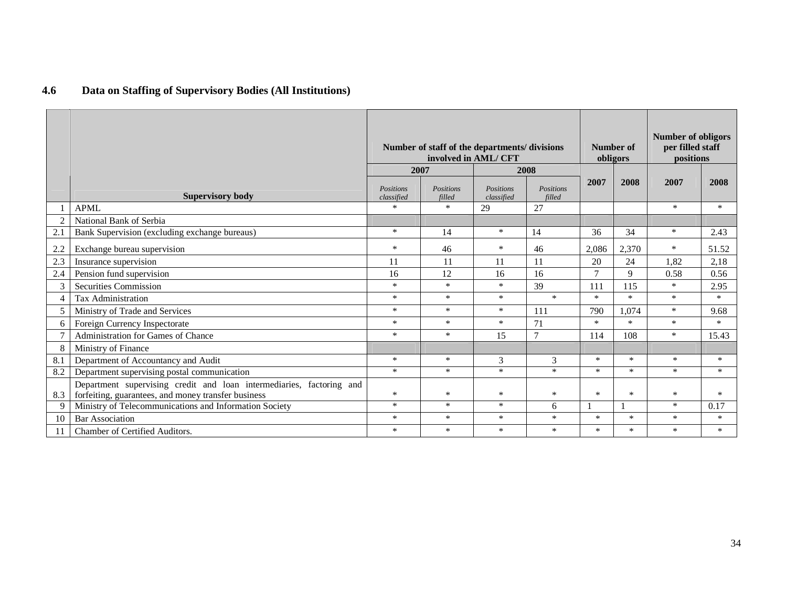| Data on Staffing of Supervisory Bodies (All Institutions) |
|-----------------------------------------------------------|
|                                                           |

|     |                                                                                                                             | Number of staff of the departments/divisions<br>involved in AML/ CFT |                     |                         |                     |                | Number of<br>obligors | <b>Number of obligors</b><br>per filled staff<br>positions |        |
|-----|-----------------------------------------------------------------------------------------------------------------------------|----------------------------------------------------------------------|---------------------|-------------------------|---------------------|----------------|-----------------------|------------------------------------------------------------|--------|
|     |                                                                                                                             |                                                                      | 2007                | 2008                    |                     |                |                       |                                                            |        |
|     | <b>Supervisory body</b>                                                                                                     | Positions<br>classified                                              | Positions<br>filled | Positions<br>classified | Positions<br>filled | 2007           | 2008                  | 2007                                                       | 2008   |
|     | <b>APML</b>                                                                                                                 | $\ast$                                                               | $\ast$              | 29                      | 27                  |                |                       | $\ast$                                                     | $\ast$ |
|     | National Bank of Serbia                                                                                                     |                                                                      |                     |                         |                     |                |                       |                                                            |        |
| 2.1 | Bank Supervision (excluding exchange bureaus)                                                                               | $\ast$                                                               | 14                  | $\ast$                  | 14                  | 36             | 34                    | $\ast$                                                     | 2.43   |
| 2.2 | Exchange bureau supervision                                                                                                 | $\ast$                                                               | 46                  | $\ast$                  | 46                  | 2,086          | 2,370                 | $\ast$                                                     | 51.52  |
| 2.3 | Insurance supervision                                                                                                       | 11                                                                   | 11                  | 11                      | 11                  | 20             | 24                    | 1,82                                                       | 2,18   |
| 2.4 | Pension fund supervision                                                                                                    | 16                                                                   | 12                  | 16                      | 16                  | $\overline{7}$ | 9                     | 0.58                                                       | 0.56   |
|     | Securities Commission                                                                                                       | $\ast$                                                               | $\ast$              | $\ast$                  | 39                  | 111            | 115                   | $\ast$                                                     | 2.95   |
|     | <b>Tax Administration</b>                                                                                                   | $\ast$                                                               | $\ast$              | $\ast$                  | $\ast$              | $\ast$         | $\ast$                | $\ast$                                                     | $*$    |
|     | Ministry of Trade and Services                                                                                              | $\ast$                                                               | $\ast$              | $\ast$                  | 111                 | 790            | 1,074                 | $\ast$                                                     | 9.68   |
| 6   | Foreign Currency Inspectorate                                                                                               | $\ast$                                                               | $*$                 | $\ast$                  | 71                  | $\ast$         | $\ast$                | $\ast$                                                     | $*$    |
|     | Administration for Games of Chance                                                                                          | $\ast$                                                               | $\ast$              | 15                      | $\tau$              | 114            | 108                   | $\ast$                                                     | 15.43  |
| 8   | Ministry of Finance                                                                                                         |                                                                      |                     |                         |                     |                |                       |                                                            |        |
| 8.1 | Department of Accountancy and Audit                                                                                         | $\ast$                                                               | $\ast$              | 3                       | 3                   | $\ast$         | $\ast$                | $\ast$                                                     | $*$    |
| 8.2 | Department supervising postal communication                                                                                 | $\ast$                                                               | $\ast$              | $\ast$                  | $\ast$              | $\ast$         | $\ast$                | $\ast$                                                     | $\ast$ |
| 8.3 | Department supervising credit and loan intermediaries, factoring and<br>forfeiting, guarantees, and money transfer business | $\ast$                                                               | $\ast$              | $\ast$                  | $\ast$              | $*$            | $\ast$                | $\ast$                                                     | $*$    |
|     | Ministry of Telecommunications and Information Society                                                                      | $\ast$                                                               | $\ast$              | $\ast$                  | 6                   |                |                       | $\ast$                                                     | 0.17   |
| 10  | <b>Bar Association</b>                                                                                                      | $\ast$                                                               | $\ast$              | $\ast$                  | $\ast$              | $*$            | $\ast$                | $\ast$                                                     | $\ast$ |
| 11  | Chamber of Certified Auditors.                                                                                              | $\ast$                                                               | $\ast$              | $\star$                 | $\ast$              | $\ast$         | $\ast$                | $\ast$                                                     | $*$    |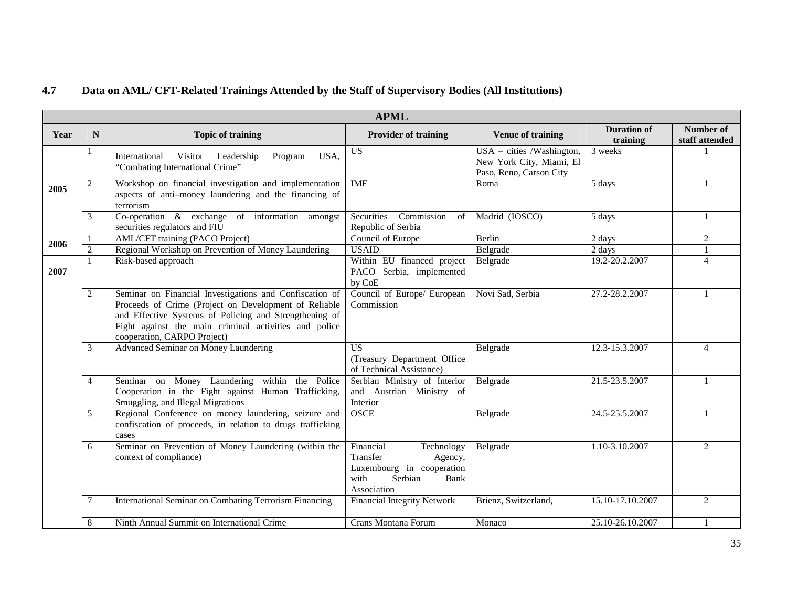#### **4.7Data on AML/ CFT-Related Trainings Attended by the Staff of Supervisory Bodies (All Institutions)**

|      |                |                                                                                                                                                                                                                                                                    | <b>APML</b>                                                                                                           |                                                                                    |                                |                             |
|------|----------------|--------------------------------------------------------------------------------------------------------------------------------------------------------------------------------------------------------------------------------------------------------------------|-----------------------------------------------------------------------------------------------------------------------|------------------------------------------------------------------------------------|--------------------------------|-----------------------------|
| Year | N              | <b>Topic of training</b>                                                                                                                                                                                                                                           | <b>Provider of training</b>                                                                                           | <b>Venue of training</b>                                                           | <b>Duration of</b><br>training | Number of<br>staff attended |
|      |                | Leadership<br>International<br>Visitor<br>Program<br>USA.<br>"Combating International Crime"                                                                                                                                                                       | $\overline{US}$                                                                                                       | $USA - cities$ /Washington,<br>New York City, Miami, El<br>Paso, Reno, Carson City | $\overline{3}$ weeks           |                             |
| 2005 | 2              | Workshop on financial investigation and implementation<br>aspects of anti-money laundering and the financing of<br>terrorism                                                                                                                                       | <b>IMF</b>                                                                                                            | Roma                                                                               | 5 days                         |                             |
|      | 3              | Co-operation $\&$ exchange of information amongst<br>securities regulators and FIU                                                                                                                                                                                 | Securities<br>Commission<br>of<br>Republic of Serbia                                                                  | Madrid (IOSCO)                                                                     | 5 days                         | -1                          |
| 2006 | 1              | AML/CFT training (PACO Project)                                                                                                                                                                                                                                    | Council of Europe                                                                                                     | <b>Berlin</b>                                                                      | 2 days                         | 2                           |
|      | $\overline{2}$ | Regional Workshop on Prevention of Money Laundering                                                                                                                                                                                                                | <b>USAID</b>                                                                                                          | Belgrade                                                                           | 2 days                         |                             |
| 2007 | $\mathbf{1}$   | Risk-based approach                                                                                                                                                                                                                                                | Within EU financed project<br>PACO Serbia, implemented<br>by CoE                                                      | Belgrade                                                                           | 19.2-20.2.2007                 | $\overline{\mathcal{L}}$    |
|      | $\overline{2}$ | Seminar on Financial Investigations and Confiscation of<br>Proceeds of Crime (Project on Development of Reliable<br>and Effective Systems of Policing and Strengthening of<br>Fight against the main criminal activities and police<br>cooperation, CARPO Project) | Council of Europe/ European<br>Commission                                                                             | Novi Sad, Serbia                                                                   | 27.2-28.2.2007                 |                             |
|      | 3              | Advanced Seminar on Money Laundering                                                                                                                                                                                                                               | <b>US</b><br>(Treasury Department Office<br>of Technical Assistance)                                                  | Belgrade                                                                           | 12.3-15.3.2007                 | $\Delta$                    |
|      | $\overline{4}$ | Seminar on Money Laundering within the Police<br>Cooperation in the Fight against Human Trafficking,<br>Smuggling, and Illegal Migrations                                                                                                                          | Serbian Ministry of Interior<br>and Austrian Ministry of<br>Interior                                                  | Belgrade                                                                           | 21.5-23.5.2007                 |                             |
|      | 5              | Regional Conference on money laundering, seizure and<br>confiscation of proceeds, in relation to drugs trafficking<br>cases                                                                                                                                        | OSCE                                                                                                                  | Belgrade                                                                           | 24.5-25.5.2007                 |                             |
|      | 6              | Seminar on Prevention of Money Laundering (within the<br>context of compliance)                                                                                                                                                                                    | Financial<br>Technology<br>Transfer<br>Agency,<br>Luxembourg in cooperation<br>with<br>Serbian<br>Bank<br>Association | Belgrade                                                                           | 1.10-3.10.2007                 | 2                           |
|      | 7              | International Seminar on Combating Terrorism Financing                                                                                                                                                                                                             | <b>Financial Integrity Network</b>                                                                                    | Brienz, Switzerland,                                                               | 15.10-17.10.2007               | 2                           |
|      | 8              | Ninth Annual Summit on International Crime                                                                                                                                                                                                                         | Crans Montana Forum                                                                                                   | Monaco                                                                             | 25.10-26.10.2007               |                             |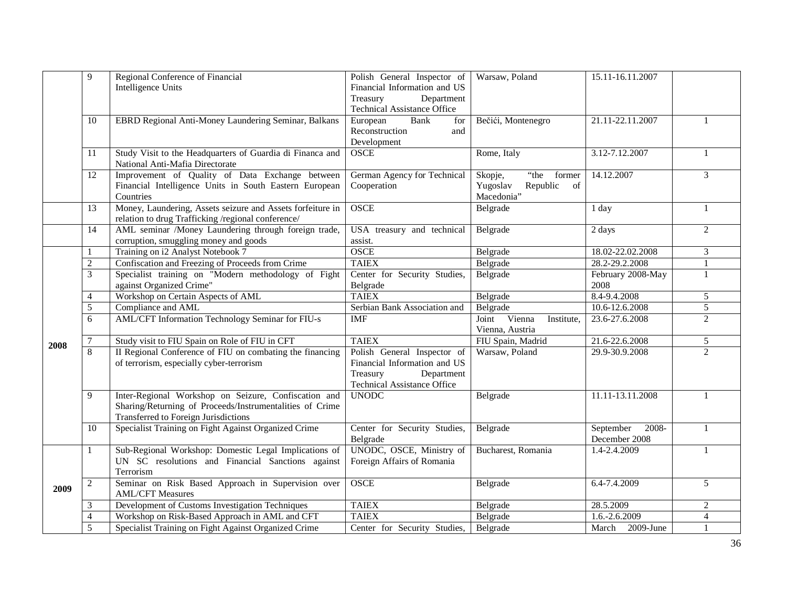|      | 9              | Regional Conference of Financial                                                                           | Polish General Inspector of          | Warsaw, Poland             | 15.11-16.11.2007              |                |
|------|----------------|------------------------------------------------------------------------------------------------------------|--------------------------------------|----------------------------|-------------------------------|----------------|
|      |                | Intelligence Units                                                                                         | Financial Information and US         |                            |                               |                |
|      |                |                                                                                                            | Department<br>Treasury               |                            |                               |                |
|      |                |                                                                                                            | <b>Technical Assistance Office</b>   |                            |                               |                |
|      | 10             | EBRD Regional Anti-Money Laundering Seminar, Balkans                                                       | European<br>Bank<br>for              | Bečići, Montenegro         | 21.11-22.11.2007              | 1              |
|      |                |                                                                                                            | Reconstruction<br>and                |                            |                               |                |
|      |                |                                                                                                            | Development                          |                            |                               |                |
|      | 11             | Study Visit to the Headquarters of Guardia di Financa and                                                  | <b>OSCE</b>                          | Rome, Italy                | 3.12-7.12.2007                | 1              |
|      |                | National Anti-Mafia Directorate                                                                            |                                      |                            |                               |                |
|      | 12             | Improvement of Quality of Data Exchange between                                                            | German Agency for Technical          | "the former"<br>Skopje,    | 14.12.2007                    | 3              |
|      |                | Financial Intelligence Units in South Eastern European                                                     | Cooperation                          | of<br>Yugoslav<br>Republic |                               |                |
|      |                | Countries                                                                                                  |                                      | Macedonia"                 |                               |                |
|      | 13             | Money, Laundering, Assets seizure and Assets forfeiture in                                                 | <b>OSCE</b>                          | Belgrade                   | 1 day                         | 1              |
|      |                | relation to drug Trafficking /regional conference/                                                         |                                      |                            |                               |                |
|      | 14             | AML seminar /Money Laundering through foreign trade,                                                       | USA treasury and technical           | Belgrade                   | 2 days                        | $\overline{2}$ |
|      |                | corruption, smuggling money and goods                                                                      | assist.                              |                            |                               |                |
|      | -1             | Training on i2 Analyst Notebook 7                                                                          | <b>OSCE</b>                          | Belgrade                   | 18.02-22.02.2008              | 3              |
|      | 2              | Confiscation and Freezing of Proceeds from Crime                                                           | <b>TAIEX</b>                         | Belgrade                   | 28.2-29.2.2008                | 1              |
|      | 3              | Specialist training on "Modern methodology of Fight                                                        | Center for Security Studies,         | Belgrade                   | February 2008-May             | $\mathbf{1}$   |
|      |                | against Organized Crime"                                                                                   | Belgrade                             |                            | 2008                          |                |
|      | $\overline{4}$ | Workshop on Certain Aspects of AML                                                                         | <b>TAIEX</b>                         | Belgrade                   | 8.4-9.4.2008                  | 5              |
|      | 5              | Compliance and AML                                                                                         | Serbian Bank Association and         | Belgrade                   | 10.6-12.6.2008                | 5              |
|      | 6              | AML/CFT Information Technology Seminar for FIU-s                                                           | <b>IMF</b>                           | Joint Vienna<br>Institute, | 23.6-27.6.2008                | $\overline{2}$ |
|      |                |                                                                                                            |                                      | Vienna, Austria            |                               |                |
| 2008 | 7              | Study visit to FIU Spain on Role of FIU in CFT                                                             | <b>TAIEX</b>                         | FIU Spain, Madrid          | 21.6-22.6.2008                | 5              |
|      | 8              | II Regional Conference of FIU on combating the financing                                                   | Polish General Inspector of          | Warsaw, Poland             | 29.9-30.9.2008                | $\overline{2}$ |
|      |                | of terrorism, especially cyber-terrorism                                                                   | Financial Information and US         |                            |                               |                |
|      |                |                                                                                                            | Treasury<br>Department               |                            |                               |                |
|      |                |                                                                                                            | Technical Assistance Office          |                            |                               |                |
|      | 9              | Inter-Regional Workshop on Seizure, Confiscation and                                                       | <b>UNODC</b>                         | Belgrade                   | 11.11-13.11.2008              |                |
|      |                | Sharing/Returning of Proceeds/Instrumentalities of Crime                                                   |                                      |                            |                               |                |
|      |                | Transferred to Foreign Jurisdictions                                                                       |                                      |                            |                               |                |
|      | 10             | Specialist Training on Fight Against Organized Crime                                                       | Center for Security Studies,         | Belgrade                   | 2008-<br>September            | 1              |
|      |                |                                                                                                            | Belgrade<br>UNODC, OSCE, Ministry of | Bucharest, Romania         | December 2008<br>1.4-2.4.2009 |                |
|      | 1              | Sub-Regional Workshop: Domestic Legal Implications of<br>UN SC resolutions and Financial Sanctions against | Foreign Affairs of Romania           |                            |                               |                |
|      |                | Terrorism                                                                                                  |                                      |                            |                               |                |
|      | 2              | Seminar on Risk Based Approach in Supervision over                                                         | <b>OSCE</b>                          | Belgrade                   | 6.4-7.4.2009                  | 5              |
| 2009 |                | <b>AML/CFT Measures</b>                                                                                    |                                      |                            |                               |                |
|      | 3              | Development of Customs Investigation Techniques                                                            | <b>TAIEX</b>                         | Belgrade                   | 28.5.2009                     | $\overline{2}$ |
|      | $\overline{4}$ | Workshop on Risk-Based Approach in AML and CFT                                                             | <b>TAIEX</b>                         | Belgrade                   | 1.6.-2.6.2009                 | $\overline{4}$ |
|      | 5              | Specialist Training on Fight Against Organized Crime                                                       | Center for Security Studies,         | Belgrade                   | March 2009-June               |                |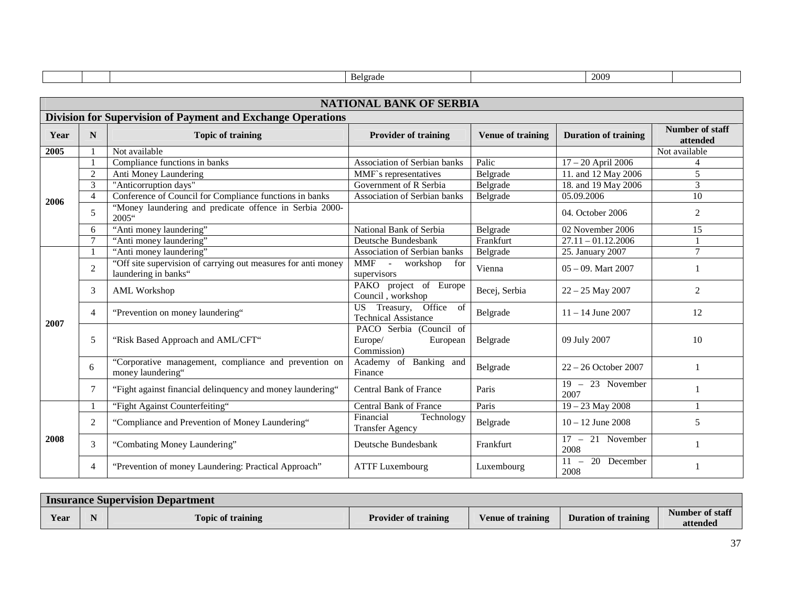|      |                |                                                                                       | Belgrade                                                      |                          | 2009                                       |                             |
|------|----------------|---------------------------------------------------------------------------------------|---------------------------------------------------------------|--------------------------|--------------------------------------------|-----------------------------|
|      |                |                                                                                       |                                                               |                          |                                            |                             |
|      |                |                                                                                       | <b>NATIONAL BANK OF SERBIA</b>                                |                          |                                            |                             |
|      |                | <b>Division for Supervision of Payment and Exchange Operations</b>                    |                                                               |                          |                                            |                             |
| Year | N              | <b>Topic of training</b>                                                              | <b>Provider of training</b>                                   | <b>Venue of training</b> | <b>Duration of training</b>                | Number of staff<br>attended |
| 2005 |                | Not available                                                                         |                                                               |                          |                                            | Not available               |
|      |                | Compliance functions in banks                                                         | Association of Serbian banks                                  | Palic                    | 17 - 20 April 2006                         | 4                           |
|      | 2              | Anti Money Laundering                                                                 | MMF's representatives                                         | Belgrade                 | 11. and 12 May 2006                        | 5                           |
|      | 3              | "Anticorruption days"                                                                 | Government of R Serbia                                        | Belgrade                 | 18. and 19 May 2006                        | 3                           |
| 2006 | $\overline{4}$ | Conference of Council for Compliance functions in banks                               | Association of Serbian banks                                  | Belgrade                 | 05.09.2006                                 | 10                          |
|      | 5              | "Money laundering and predicate offence in Serbia 2000-<br>$2005$ "                   |                                                               |                          | 04. October 2006                           | 2                           |
|      | 6              | "Anti money laundering"                                                               | National Bank of Serbia                                       | Belgrade                 | 02 November 2006                           | 15                          |
|      |                | "Anti money laundering"                                                               | Deutsche Bundesbank                                           | Frankfurt                | $27.11 - 01.12.2006$                       |                             |
|      |                | "Anti money laundering"                                                               | Association of Serbian banks                                  | Belgrade                 | 25. January 2007                           | $\overline{7}$              |
|      | $\overline{c}$ | "Off site supervision of carrying out measures for anti money<br>laundering in banks" | <b>MMF</b><br>workshop<br>$\sim$ $-$<br>for<br>supervisors    | Vienna                   | $0.5 - 0.9$ . Mart 2007                    |                             |
|      | 3              | <b>AML Workshop</b>                                                                   | PAKO project of Europe<br>Council, workshop                   | Becej, Serbia            | $22 - 25$ May 2007                         | 2                           |
| 2007 | $\overline{4}$ | "Prevention on money laundering"                                                      | US Treasury, Office of<br><b>Technical Assistance</b>         | Belgrade                 | $11 - 14$ June 2007                        | 12                          |
|      | 5              | "Risk Based Approach and AML/CFT"                                                     | PACO Serbia (Council of<br>Europe/<br>European<br>Commission) | Belgrade                 | 09 July 2007                               | 10                          |
|      | 6              | "Corporative management, compliance and prevention on<br>money laundering"            | Academy of Banking and<br>Finance                             | Belgrade                 | 22 - 26 October 2007                       | -1                          |
|      | 7              | "Fight against financial delinquency and money laundering"                            | <b>Central Bank of France</b>                                 | Paris                    | $19 - 23$ November<br>2007                 |                             |
|      |                | "Fight Against Counterfeiting"                                                        | <b>Central Bank of France</b>                                 | Paris                    | $19 - 23$ May 2008                         | $\mathbf{1}$                |
|      | 2              | "Compliance and Prevention of Money Laundering"                                       | Financial<br>Technology<br><b>Transfer Agency</b>             | Belgrade                 | $10 - 12$ June 2008                        | 5                           |
| 2008 | 3              | "Combating Money Laundering"                                                          | Deutsche Bundesbank                                           | Frankfurt                | $17 - 21$ November<br>2008                 | $\mathbf{1}$                |
|      | 4              | "Prevention of money Laundering: Practical Approach"                                  | <b>ATTF Luxembourg</b>                                        | Luxembourg               | $\overline{20}$ December<br>$11 -$<br>2008 |                             |

| <b>Insurance Supervision Department</b> |  |                          |                             |                          |                             |                             |  |  |  |  |  |
|-----------------------------------------|--|--------------------------|-----------------------------|--------------------------|-----------------------------|-----------------------------|--|--|--|--|--|
| Year                                    |  | <b>Topic of training</b> | <b>Provider of training</b> | <b>Venue of training</b> | <b>Duration of training</b> | Number of staff<br>attended |  |  |  |  |  |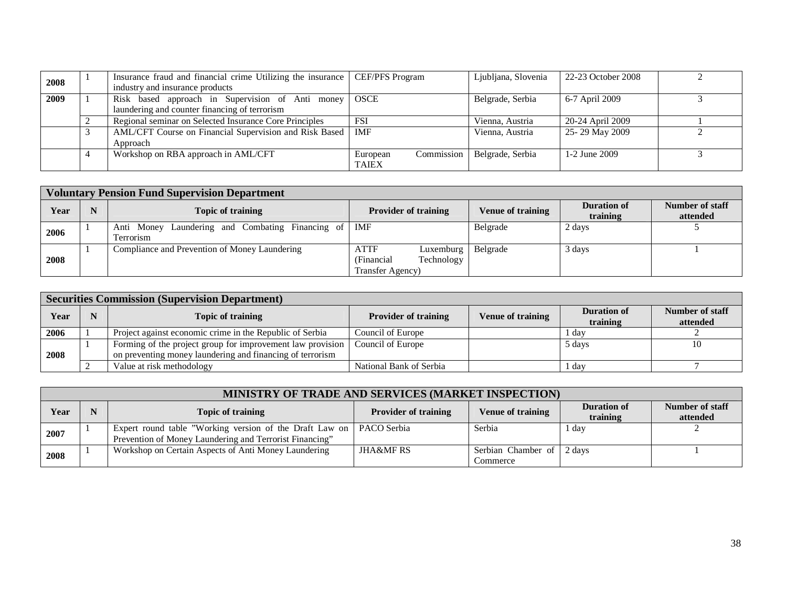| 2008 | Insurance fraud and financial crime Utilizing the insurance   CEF/PFS Program |                          | Ljubljana, Slovenia | 22-23 October 2008 |  |
|------|-------------------------------------------------------------------------------|--------------------------|---------------------|--------------------|--|
|      | industry and insurance products                                               |                          |                     |                    |  |
| 2009 | Risk based approach in Supervision of Anti money                              | <b>OSCE</b>              | Belgrade, Serbia    | 6-7 April 2009     |  |
|      | laundering and counter financing of terrorism                                 |                          |                     |                    |  |
|      | Regional seminar on Selected Insurance Core Principles                        | <b>FSI</b>               | Vienna, Austria     | 20-24 April 2009   |  |
|      | AML/CFT Course on Financial Supervision and Risk Based                        | IMF                      | Vienna, Austria     | 25-29 May 2009     |  |
|      | Approach                                                                      |                          |                     |                    |  |
|      | Workshop on RBA approach in AML/CFT                                           | Commission  <br>European | Belgrade, Serbia    | 1-2 June 2009      |  |
|      |                                                                               | <b>TAIEX</b>             |                     |                    |  |

|      | <b>Voluntary Pension Fund Supervision Department</b> |                                                                     |                                                                               |                          |                                |                             |  |  |  |  |  |  |  |
|------|------------------------------------------------------|---------------------------------------------------------------------|-------------------------------------------------------------------------------|--------------------------|--------------------------------|-----------------------------|--|--|--|--|--|--|--|
| Year |                                                      | Topic of training                                                   | <b>Provider of training</b>                                                   | <b>Venue of training</b> | <b>Duration of</b><br>training | Number of staff<br>attended |  |  |  |  |  |  |  |
| 2006 |                                                      | Anti Money Laundering and Combating Financing of   IMF<br>Terrorism |                                                                               | Belgrade                 | 2 days                         |                             |  |  |  |  |  |  |  |
| 2008 |                                                      | Compliance and Prevention of Money Laundering                       | <b>ATTF</b><br>Luxemburg $ $<br>Technology<br>(Financial)<br>Transfer Agency) | Belgrade                 | 3 days                         |                             |  |  |  |  |  |  |  |

|      | <b>Securities Commission (Supervision Department)</b> |                                                                                                                         |                             |                          |                                |                             |  |  |  |  |  |  |  |
|------|-------------------------------------------------------|-------------------------------------------------------------------------------------------------------------------------|-----------------------------|--------------------------|--------------------------------|-----------------------------|--|--|--|--|--|--|--|
| Year |                                                       | <b>Topic of training</b>                                                                                                | <b>Provider of training</b> | <b>Venue of training</b> | <b>Duration of</b><br>training | Number of staff<br>attended |  |  |  |  |  |  |  |
| 2006 |                                                       | Project against economic crime in the Republic of Serbia                                                                | Council of Europe           |                          | r day                          |                             |  |  |  |  |  |  |  |
| 2008 |                                                       | Forming of the project group for improvement law provision<br>on preventing money laundering and financing of terrorism | Council of Europe           |                          | 5 days                         | 10                          |  |  |  |  |  |  |  |
|      |                                                       | Value at risk methodology                                                                                               | National Bank of Serbia     |                          | . dav                          |                             |  |  |  |  |  |  |  |

|      | <b>MINISTRY OF TRADE AND SERVICES (MARKET INSPECTION)</b> |                                                                       |                             |                           |                                |                             |  |  |  |  |  |  |  |  |
|------|-----------------------------------------------------------|-----------------------------------------------------------------------|-----------------------------|---------------------------|--------------------------------|-----------------------------|--|--|--|--|--|--|--|--|
| Year |                                                           | <b>Topic of training</b>                                              | <b>Provider of training</b> | <b>Venue of training</b>  | <b>Duration of</b><br>training | Number of staff<br>attended |  |  |  |  |  |  |  |  |
| 2007 |                                                           | Expert round table "Working version of the Draft Law on   PACO Serbia |                             | Serbia                    | 1 day                          |                             |  |  |  |  |  |  |  |  |
|      |                                                           | Prevention of Money Laundering and Terrorist Financing"               |                             |                           |                                |                             |  |  |  |  |  |  |  |  |
| 2008 |                                                           | Workshop on Certain Aspects of Anti Money Laundering                  | <b>JHA&amp;MF RS</b>        | Serbian Chamber of 2 days |                                |                             |  |  |  |  |  |  |  |  |
|      |                                                           |                                                                       |                             | Commerce                  |                                |                             |  |  |  |  |  |  |  |  |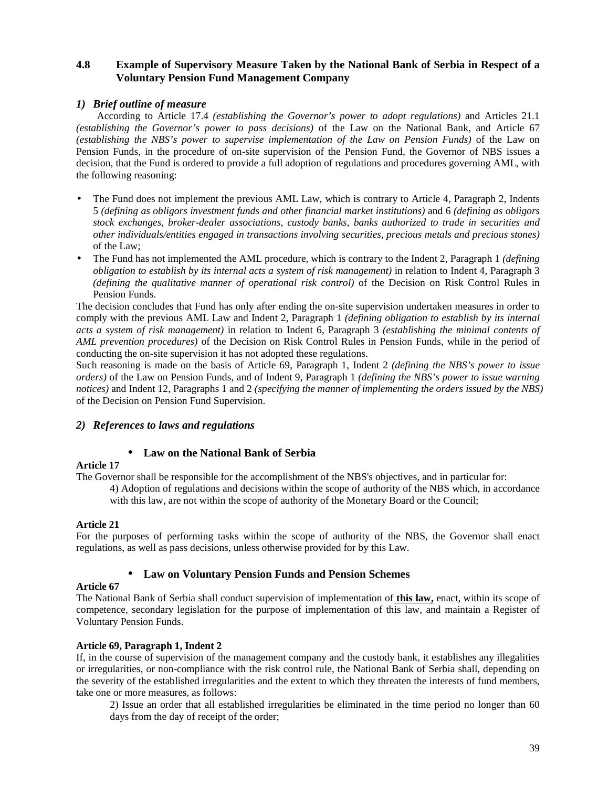## **4.8 Example of Supervisory Measure Taken by the National Bank of Serbia in Respect of a Voluntary Pension Fund Management Company**

## *1) Brief outline of measure*

According to Article 17.4 *(establishing the Governor's power to adopt regulations)* and Articles 21.1 *(establishing the Governor's power to pass decisions)* of the Law on the National Bank, and Article 67 *(establishing the NBS's power to supervise implementation of the Law on Pension Funds)* of the Law on Pension Funds, in the procedure of on-site supervision of the Pension Fund, the Governor of NBS issues a decision, that the Fund is ordered to provide a full adoption of regulations and procedures governing AML, with the following reasoning:

- The Fund does not implement the previous AML Law, which is contrary to Article 4, Paragraph 2, Indents 5 *(defining as obligors investment funds and other financial market institutions)* and 6 *(defining as obligors stock exchanges, broker-dealer associations, custody banks, banks authorized to trade in securities and other individuals/entities engaged in transactions involving securities, precious metals and precious stones)* of the Law;
- The Fund has not implemented the AML procedure, which is contrary to the Indent 2, Paragraph 1 *(defining a) obligation to establish by its internal acts a system of risk management)* in relation to Indent 4, Paragraph 3 *(defining the qualitative manner of operational risk control)* of the Decision on Risk Control Rules in Pension Funds.

The decision concludes that Fund has only after ending the on-site supervision undertaken measures in order to comply with the previous AML Law and Indent 2, Paragraph 1 *(defining obligation to establish by its internal acts a system of risk management)* in relation to Indent 6, Paragraph 3 *(establishing the minimal contents of AML prevention procedures)* of the Decision on Risk Control Rules in Pension Funds, while in the period of conducting the on-site supervision it has not adopted these regulations.

Such reasoning is made on the basis of Article 69, Paragraph 1, Indent 2 *(defining the NBS's power to issue orders)* of the Law on Pension Funds, and of Indent 9, Paragraph 1 *(defining the NBS's power to issue warning notices)* and Indent 12, Paragraphs 1 and 2 *(specifying the manner of implementing the orders issued by the NBS)* of the Decision on Pension Fund Supervision.

## *2) References to laws and regulations*

## • **Law on the National Bank of Serbia**

## **Article 17**

The Governor shall be responsible for the accomplishment of the NBS's objectives, and in particular for:

4) Adoption of regulations and decisions within the scope of authority of the NBS which, in accordance with this law, are not within the scope of authority of the Monetary Board or the Council;

## **Article 21**

For the purposes of performing tasks within the scope of authority of the NBS, the Governor shall enact regulations, as well as pass decisions, unless otherwise provided for by this Law.

## • **Law on Voluntary Pension Funds and Pension Schemes**

## **Article 67**

The National Bank of Serbia shall conduct supervision of implementation of **this law,** enact, within its scope of competence, secondary legislation for the purpose of implementation of this law, and maintain a Register of Voluntary Pension Funds.

## **Article 69, Paragraph 1, Indent 2**

If, in the course of supervision of the management company and the custody bank, it establishes any illegalities or irregularities, or non-compliance with the risk control rule, the National Bank of Serbia shall, depending on the severity of the established irregularities and the extent to which they threaten the interests of fund members, take one or more measures, as follows:

2) Issue an order that all established irregularities be eliminated in the time period no longer than 60 days from the day of receipt of the order;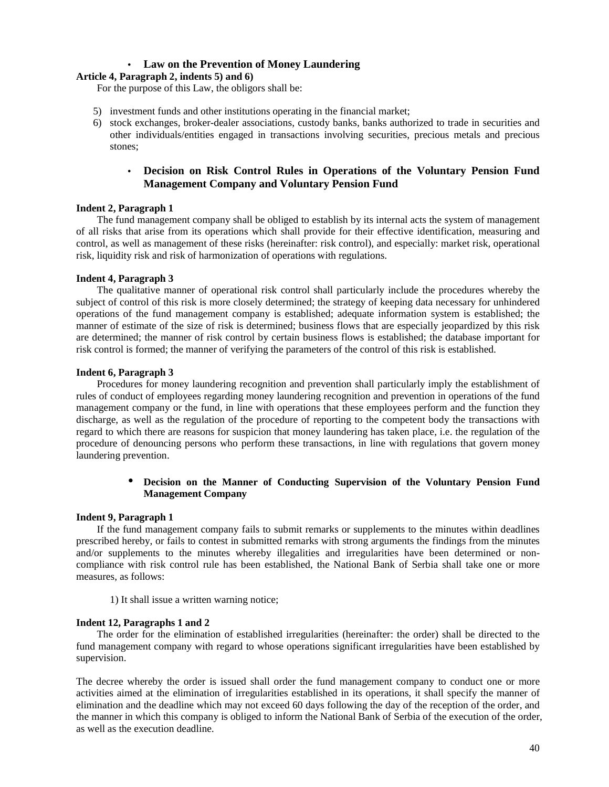## • **Law on the Prevention of Money Laundering**

## **Article 4, Paragraph 2, indents 5) and 6)**

For the purpose of this Law, the obligors shall be:

- 5) investment funds and other institutions operating in the financial market;
- 6) stock exchanges, broker-dealer associations, custody banks, banks authorized to trade in securities and other individuals/entities engaged in transactions involving securities, precious metals and precious stones;

## • **Decision on Risk Control Rules in Operations of the Voluntary Pension Fund Management Company and Voluntary Pension Fund**

## **Indent 2, Paragraph 1**

The fund management company shall be obliged to establish by its internal acts the system of management of all risks that arise from its operations which shall provide for their effective identification, measuring and control, as well as management of these risks (hereinafter: risk control), and especially: market risk, operational risk, liquidity risk and risk of harmonization of operations with regulations.

## **Indent 4, Paragraph 3**

The qualitative manner of operational risk control shall particularly include the procedures whereby the subject of control of this risk is more closely determined; the strategy of keeping data necessary for unhindered operations of the fund management company is established; adequate information system is established; the manner of estimate of the size of risk is determined; business flows that are especially jeopardized by this risk are determined; the manner of risk control by certain business flows is established; the database important for risk control is formed; the manner of verifying the parameters of the control of this risk is established.

## **Indent 6, Paragraph 3**

Procedures for money laundering recognition and prevention shall particularly imply the establishment of rules of conduct of employees regarding money laundering recognition and prevention in operations of the fund management company or the fund, in line with operations that these employees perform and the function they discharge, as well as the regulation of the procedure of reporting to the competent body the transactions with regard to which there are reasons for suspicion that money laundering has taken place, i.e. the regulation of the procedure of denouncing persons who perform these transactions, in line with regulations that govern money laundering prevention.

## • **Decision on the Manner of Conducting Supervision of the Voluntary Pension Fund Management Company**

## **Indent 9, Paragraph 1**

If the fund management company fails to submit remarks or supplements to the minutes within deadlines prescribed hereby, or fails to contest in submitted remarks with strong arguments the findings from the minutes and/or supplements to the minutes whereby illegalities and irregularities have been determined or noncompliance with risk control rule has been established, the National Bank of Serbia shall take one or more measures, as follows:

1) It shall issue a written warning notice;

## **Indent 12, Paragraphs 1 and 2**

The order for the elimination of established irregularities (hereinafter: the order) shall be directed to the fund management company with regard to whose operations significant irregularities have been established by supervision.

The decree whereby the order is issued shall order the fund management company to conduct one or more activities aimed at the elimination of irregularities established in its operations, it shall specify the manner of elimination and the deadline which may not exceed 60 days following the day of the reception of the order, and the manner in which this company is obliged to inform the National Bank of Serbia of the execution of the order, as well as the execution deadline.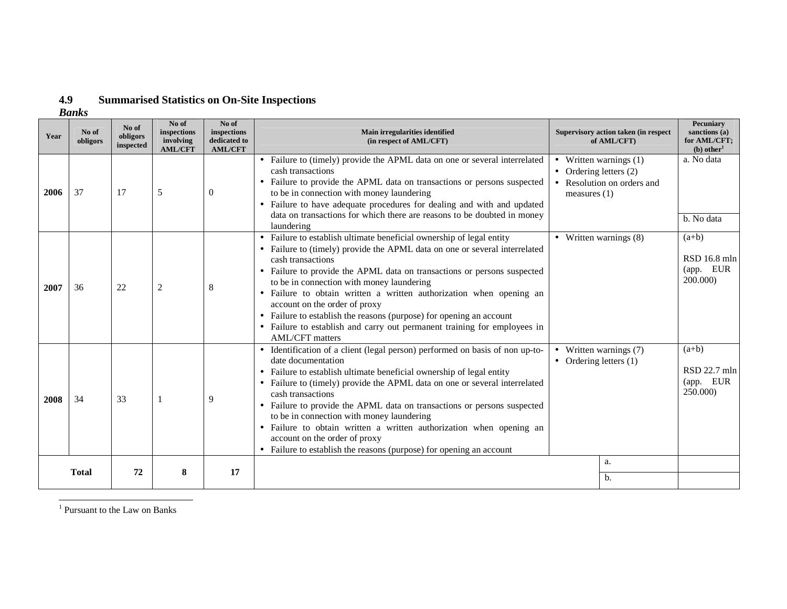#### **4.9Summarised Statistics on On-Site Inspections**

*Banks*

| Year | No of<br>obligors | No of<br>obligors<br>inspected | No of<br>inspections<br>involving<br><b>AML/CFT</b> | No of<br>inspections<br>dedicated to<br><b>AML/CFT</b> | Main irregularities identified<br>(in respect of AML/CFT)                                                                                                                                                                                                                                                                                                                                                                                                                                                                                                                                                             |                                            | Supervisory action taken (in respect<br>of AML/CFT)    | Pecuniary<br>sanctions (a)<br>for AML/CFT;<br>$(b)$ other <sup>1</sup> |
|------|-------------------|--------------------------------|-----------------------------------------------------|--------------------------------------------------------|-----------------------------------------------------------------------------------------------------------------------------------------------------------------------------------------------------------------------------------------------------------------------------------------------------------------------------------------------------------------------------------------------------------------------------------------------------------------------------------------------------------------------------------------------------------------------------------------------------------------------|--------------------------------------------|--------------------------------------------------------|------------------------------------------------------------------------|
| 2006 | 37                | 17                             | 5                                                   | $\theta$                                               | • Failure to (timely) provide the APML data on one or several interrelated<br>cash transactions<br>• Failure to provide the APML data on transactions or persons suspected<br>to be in connection with money laundering<br>Failure to have adequate procedures for dealing and with and updated<br>data on transactions for which there are reasons to be doubted in money<br>laundering                                                                                                                                                                                                                              | • Ordering letters $(2)$<br>measures $(1)$ | • Written warnings $(1)$<br>• Resolution on orders and | a. No data<br>b. No data                                               |
| 2007 | 36                | 22                             | 2                                                   | 8                                                      | Failure to establish ultimate beneficial ownership of legal entity<br>$\bullet$<br>• Failure to (timely) provide the APML data on one or several interrelated<br>cash transactions<br>• Failure to provide the APML data on transactions or persons suspected<br>to be in connection with money laundering<br>Failure to obtain written a written authorization when opening an<br>$\bullet$<br>account on the order of proxy<br>Failure to establish the reasons (purpose) for opening an account<br>$\bullet$<br>• Failure to establish and carry out permanent training for employees in<br><b>AML/CFT</b> matters |                                            | • Written warnings $(8)$                               | $(a+b)$<br>RSD 16.8 mln<br>(app. EUR<br>200.000)                       |
| 2008 | 34                | 33                             |                                                     | 9                                                      | • Identification of a client (legal person) performed on basis of non up-to-<br>date documentation<br>Failure to establish ultimate beneficial ownership of legal entity<br>$\bullet$<br>• Failure to (timely) provide the APML data on one or several interrelated<br>cash transactions<br>• Failure to provide the APML data on transactions or persons suspected<br>to be in connection with money laundering<br>· Failure to obtain written a written authorization when opening an<br>account on the order of proxy<br>• Failure to establish the reasons (purpose) for opening an account                       | • Ordering letters $(1)$                   | • Written warnings $(7)$                               | $(a+b)$<br>RSD 22.7 mln<br>(app. EUR<br>250.000)                       |
|      | <b>Total</b>      | 72                             | 8                                                   | 17                                                     |                                                                                                                                                                                                                                                                                                                                                                                                                                                                                                                                                                                                                       |                                            | a.                                                     |                                                                        |
|      |                   |                                |                                                     |                                                        |                                                                                                                                                                                                                                                                                                                                                                                                                                                                                                                                                                                                                       |                                            | b.                                                     |                                                                        |

<sup>1</sup> Pursuant to the Law on Banks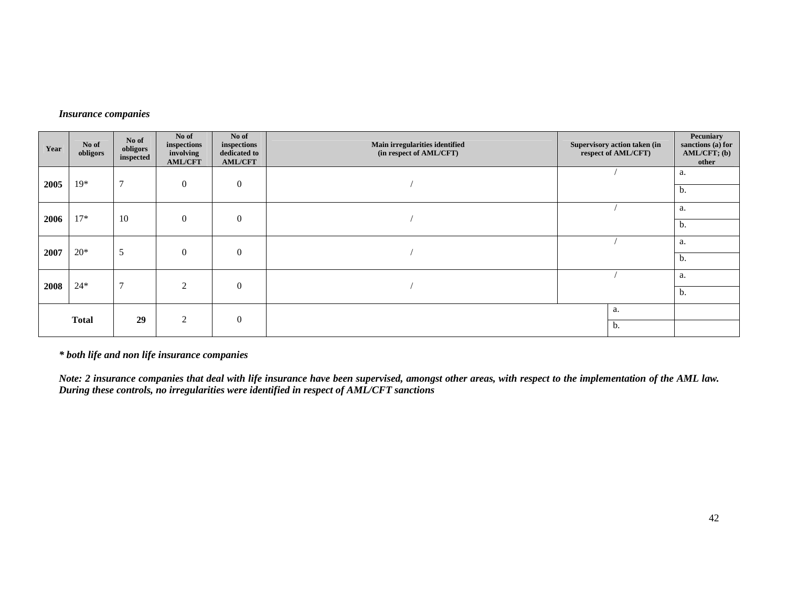## *Insurance companies*

| Year | No of<br>obligors | No of<br>obligors<br>inspected | No of<br>inspections<br>involving<br><b>AML/CFT</b> | No of<br>inspections<br>dedicated to<br><b>AML/CFT</b> | Main irregularities identified<br>(in respect of AML/CFT) | Supervisory action taken (in<br>respect of AML/CFT) | Pecuniary<br>sanctions (a) for<br>$AML/CFT$ ; (b)<br>other |
|------|-------------------|--------------------------------|-----------------------------------------------------|--------------------------------------------------------|-----------------------------------------------------------|-----------------------------------------------------|------------------------------------------------------------|
| 2005 | $19*$             | $\mathcal{I}$                  | $\mathbf{0}$                                        | $\boldsymbol{0}$                                       |                                                           |                                                     | a.                                                         |
|      |                   |                                |                                                     |                                                        |                                                           |                                                     | b.                                                         |
| 2006 | $17*$             | 10                             | $\mathbf{0}$                                        | $\mathbf{0}$                                           |                                                           |                                                     | a.                                                         |
|      |                   |                                |                                                     |                                                        |                                                           |                                                     | b.                                                         |
| 2007 | $20*$             | 5                              | $\mathbf{0}$                                        | $\mathbf{0}$                                           |                                                           |                                                     | a.                                                         |
|      |                   |                                |                                                     |                                                        |                                                           |                                                     | b.                                                         |
| 2008 | $24*$             | $\mathcal{I}$                  | $\overline{2}$                                      | $\mathbf{0}$                                           |                                                           |                                                     | a.                                                         |
|      |                   |                                |                                                     |                                                        |                                                           |                                                     | b.                                                         |
|      | <b>Total</b>      | 29                             | 2                                                   | $\mathbf{0}$                                           |                                                           | a.                                                  |                                                            |
|      |                   |                                |                                                     |                                                        |                                                           | b.                                                  |                                                            |

*\* both life and non life insurance companies* 

*Note: 2 insurance companies that deal with life insurance have been supervised, amongst other areas, with respect to the implementation of the AML law. During these controls, no irregularities were identified in respect of AML/CFT sanctions*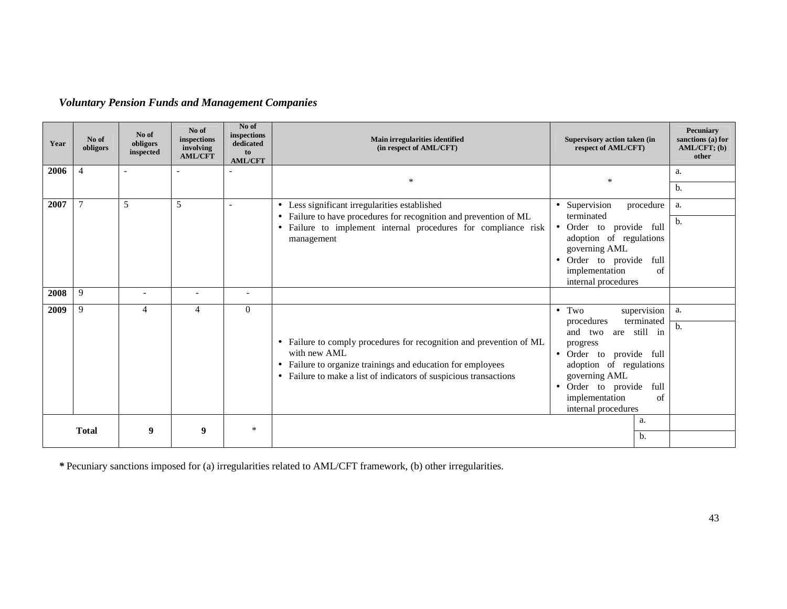*Voluntary Pension Funds and Management Companies* 

| Year | No of<br>obligors | No of<br>obligors<br>inspected | No of<br>inspections<br>involving<br><b>AML/CFT</b> | No of<br>inspections<br>dedicated<br>to<br><b>AML/CFT</b> | Main irregularities identified<br>(in respect of AML/CFT)                                                                                                                                                                          | Supervisory action taken (in<br>respect of AML/CFT)                                                                                                                                                                                                               | Pecuniary<br>sanctions (a) for<br>$AML/CFT$ ; (b)<br>other |
|------|-------------------|--------------------------------|-----------------------------------------------------|-----------------------------------------------------------|------------------------------------------------------------------------------------------------------------------------------------------------------------------------------------------------------------------------------------|-------------------------------------------------------------------------------------------------------------------------------------------------------------------------------------------------------------------------------------------------------------------|------------------------------------------------------------|
| 2006 | $\overline{4}$    | ۰                              |                                                     |                                                           | $\ast$                                                                                                                                                                                                                             | *                                                                                                                                                                                                                                                                 | a.                                                         |
|      |                   |                                |                                                     |                                                           |                                                                                                                                                                                                                                    |                                                                                                                                                                                                                                                                   | b.                                                         |
| 2007 | 7                 | 5                              | 5                                                   | $\overline{\phantom{a}}$                                  | • Less significant irregularities established                                                                                                                                                                                      | • Supervision<br>procedure<br>terminated                                                                                                                                                                                                                          | a.                                                         |
|      |                   |                                |                                                     |                                                           | • Failure to have procedures for recognition and prevention of ML<br>• Failure to implement internal procedures for compliance risk<br>management                                                                                  | Order to provide full<br>$\bullet$<br>adoption of regulations<br>governing AML<br>Order to provide<br>full<br>$\bullet$<br>implementation<br>of<br>internal procedures                                                                                            | b.                                                         |
| 2008 | 9                 | $\overline{\phantom{a}}$       | $\overline{\phantom{0}}$                            | $\overline{\phantom{a}}$                                  |                                                                                                                                                                                                                                    |                                                                                                                                                                                                                                                                   |                                                            |
| 2009 | 9                 | 4                              | 4                                                   | $\overline{0}$                                            | • Failure to comply procedures for recognition and prevention of ML<br>with new AML<br>Failure to organize trainings and education for employees<br>$\bullet$<br>• Failure to make a list of indicators of suspicious transactions | $\bullet$ Two<br>supervision<br>terminated<br>procedures<br>are still in<br>and two<br>progress<br>provide full<br>• Order to<br>adoption of regulations<br>governing AML<br>Order to provide<br>full<br>$\bullet$<br>implementation<br>of<br>internal procedures | a.<br>b.                                                   |
|      | <b>Total</b>      | 9                              | 9                                                   | $\ast$                                                    |                                                                                                                                                                                                                                    | a.<br>b.                                                                                                                                                                                                                                                          |                                                            |

*\** Pecuniary sanctions imposed for (a) irregularities related to AML/CFT framework, (b) other irregularities.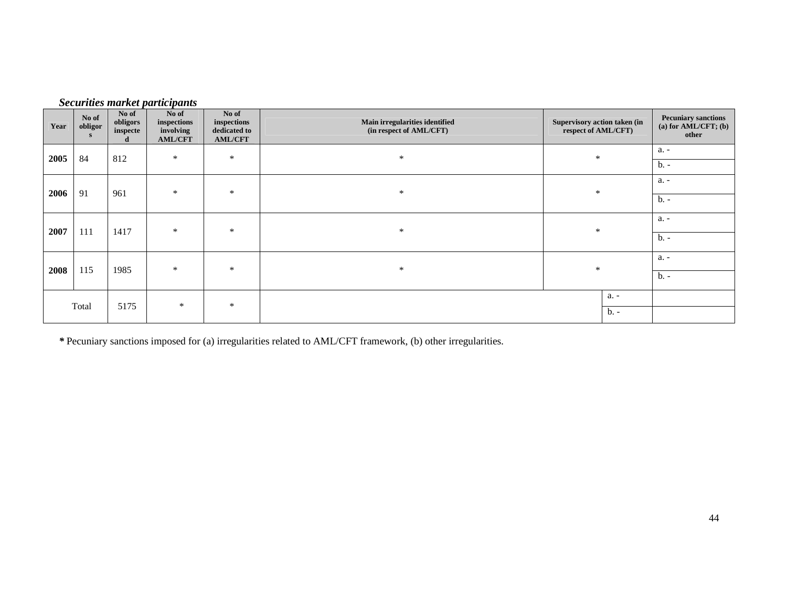| Year | No of<br>obligor<br>S | No of<br>obligors<br>inspecte | No of<br>inspections<br>involving<br><b>AML/CFT</b> | No of<br>inspections<br>dedicated to<br><b>AML/CFT</b> | Main irregularities identified<br>(in respect of AML/CFT) | Supervisory action taken (in<br>respect of AML/CFT) | <b>Pecuniary sanctions</b><br>(a) for $AML/CFT$ ; (b)<br>other |
|------|-----------------------|-------------------------------|-----------------------------------------------------|--------------------------------------------------------|-----------------------------------------------------------|-----------------------------------------------------|----------------------------------------------------------------|
| 2005 | 84                    | 812                           | $\ast$                                              | $\ast$                                                 | $\ast$                                                    | $\ast$                                              | a. -                                                           |
|      |                       |                               |                                                     |                                                        |                                                           |                                                     | $b. -$                                                         |
| 2006 | 91                    | 961                           | $\ast$                                              | $\ast$                                                 | $\ast$                                                    | $\ast$                                              | a. -                                                           |
|      |                       |                               |                                                     |                                                        |                                                           |                                                     | $b -$                                                          |
|      |                       |                               | $\ast$                                              | $\ast$                                                 | $\ast$                                                    | $\ast$                                              | a. -                                                           |
| 2007 | 111                   | 1417                          |                                                     |                                                        |                                                           |                                                     | $b -$                                                          |
| 2008 | 115                   | 1985                          | $\ast$                                              | $\ast$                                                 | $\ast$                                                    | $\ast$                                              | a. -                                                           |
|      |                       |                               |                                                     |                                                        |                                                           |                                                     | $b -$                                                          |
|      |                       |                               | $\ast$                                              | $\ast$                                                 |                                                           | a. -                                                |                                                                |
|      | Total                 | 5175                          |                                                     |                                                        |                                                           | $b. -$                                              |                                                                |

*Securities market participants* 

*\** Pecuniary sanctions imposed for (a) irregularities related to AML/CFT framework, (b) other irregularities.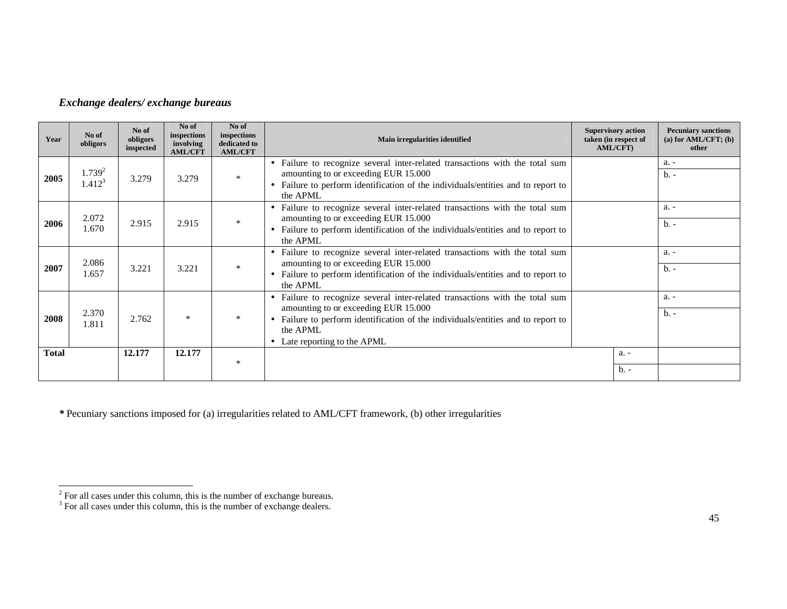## *Exchange dealers/ exchange bureaus*

| Year         | No of<br>obligors          | No of<br>obligors<br>inspected | No of<br>inspections<br>involving<br><b>AML/CFT</b> | No of<br>inspections<br>dedicated to<br><b>AML/CFT</b> | Main irregularities identified                                                                                                                                                                                                                                  | <b>Supervisory action</b><br>taken (in respect of<br>AML/CFT) | <b>Pecuniary sanctions</b><br>(a) for $AML/CFT$ ; (b)<br>other |
|--------------|----------------------------|--------------------------------|-----------------------------------------------------|--------------------------------------------------------|-----------------------------------------------------------------------------------------------------------------------------------------------------------------------------------------------------------------------------------------------------------------|---------------------------------------------------------------|----------------------------------------------------------------|
| 2005         | $1.739^{2}$<br>$1.412^{3}$ | 3.279                          | 3.279                                               | $\ast$                                                 | • Failure to recognize several inter-related transactions with the total sum<br>amounting to or exceeding EUR 15.000<br>• Failure to perform identification of the individuals/entities and to report to<br>the APML                                            |                                                               | $a. -$<br>$b -$                                                |
| 2006         | 2.072<br>1.670             | 2.915                          | 2.915                                               | $\ast$                                                 | • Failure to recognize several inter-related transactions with the total sum<br>amounting to or exceeding EUR 15.000<br>• Failure to perform identification of the individuals/entities and to report to<br>the APML                                            |                                                               | a. -<br>$b -$                                                  |
| 2007         | 2.086<br>1.657             | 3.221                          | 3.221                                               | $\ast$                                                 | • Failure to recognize several inter-related transactions with the total sum<br>amounting to or exceeding EUR 15.000<br>• Failure to perform identification of the individuals/entities and to report to<br>the APML                                            |                                                               | a. -<br>$b -$                                                  |
| 2008         | 2.370<br>1.811             | 2.762                          | $\ast$                                              | $\ast$                                                 | • Failure to recognize several inter-related transactions with the total sum<br>amounting to or exceeding EUR 15.000<br>Failure to perform identification of the individuals/entities and to report to<br>$\bullet$<br>the APML<br>• Late reporting to the APML |                                                               | a. -<br>$h -$                                                  |
| <b>Total</b> |                            | 12.177                         | 12.177                                              | $\ast$                                                 |                                                                                                                                                                                                                                                                 | a. -                                                          |                                                                |
|              |                            |                                |                                                     |                                                        |                                                                                                                                                                                                                                                                 | $b -$                                                         |                                                                |

*\** Pecuniary sanctions imposed for (a) irregularities related to AML/CFT framework, (b) other irregularities

 $2^2$  For all cases under this column, this is the number of exchange bureaus.  $3^3$  For all cases under this column, this is the number of exchange dealers.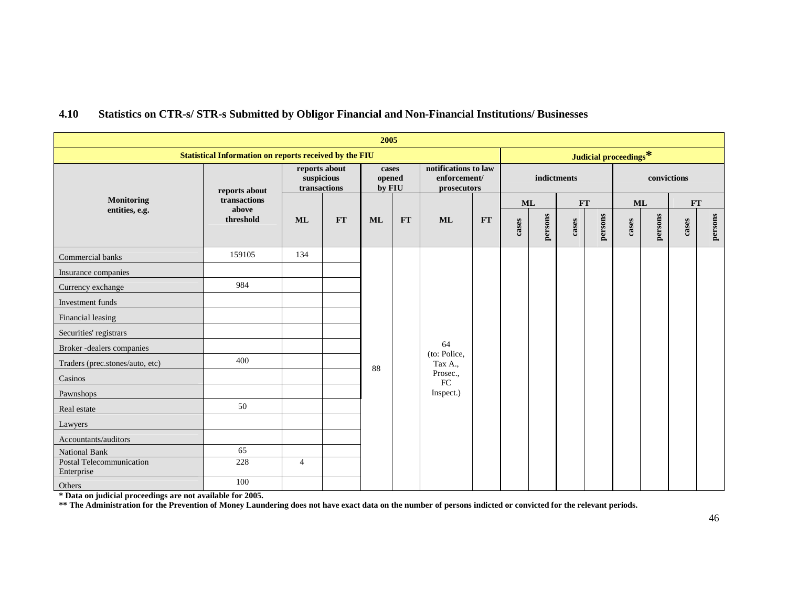|                                                               |                       |                                             |    | 2005                      |           |                                                     |    |             |         |           |         |             |         |           |         |  |
|---------------------------------------------------------------|-----------------------|---------------------------------------------|----|---------------------------|-----------|-----------------------------------------------------|----|-------------|---------|-----------|---------|-------------|---------|-----------|---------|--|
| <b>Statistical Information on reports received by the FIU</b> | Judicial proceedings* |                                             |    |                           |           |                                                     |    |             |         |           |         |             |         |           |         |  |
|                                                               | reports about         | reports about<br>suspicious<br>transactions |    | cases<br>opened<br>by FIU |           | notifications to law<br>enforcement/<br>prosecutors |    | indictments |         |           |         | convictions |         |           |         |  |
| Monitoring                                                    | transactions          |                                             |    |                           |           |                                                     |    |             | ML      | <b>FT</b> |         | <b>ML</b>   |         | <b>FT</b> |         |  |
| entities, e.g.                                                | above<br>threshold    | <b>ML</b>                                   | FT | <b>ML</b>                 | <b>FT</b> | <b>ML</b>                                           | FT | case        | persons | cases     | persons | cases       | persons | cases     | persons |  |
| Commercial banks                                              | 159105                | 134                                         |    |                           |           |                                                     |    |             |         |           |         |             |         |           |         |  |
| Insurance companies                                           |                       |                                             |    |                           |           |                                                     |    |             |         |           |         |             |         |           |         |  |
| Currency exchange                                             | 984                   |                                             |    |                           |           |                                                     |    |             |         |           |         |             |         |           |         |  |
| Investment funds                                              |                       |                                             |    |                           |           |                                                     |    |             |         |           |         |             |         |           |         |  |
| Financial leasing                                             |                       |                                             |    |                           |           |                                                     |    |             |         |           |         |             |         |           |         |  |
| Securities' registrars                                        |                       |                                             |    |                           |           |                                                     |    |             |         |           |         |             |         |           |         |  |
| Broker-dealers companies                                      |                       |                                             |    |                           |           | 64<br>(to: Police,                                  |    |             |         |           |         |             |         |           |         |  |
| Traders (prec.stones/auto, etc)                               | 400                   |                                             |    | 88                        |           | Tax A.,                                             |    |             |         |           |         |             |         |           |         |  |
| Casinos                                                       |                       |                                             |    |                           |           | Prosec.,<br>${\rm FC}$                              |    |             |         |           |         |             |         |           |         |  |
| Pawnshops                                                     |                       |                                             |    |                           |           | Inspect.)                                           |    |             |         |           |         |             |         |           |         |  |
| Real estate                                                   | 50                    |                                             |    |                           |           |                                                     |    |             |         |           |         |             |         |           |         |  |
| Lawyers                                                       |                       |                                             |    |                           |           |                                                     |    |             |         |           |         |             |         |           |         |  |
| Accountants/auditors                                          |                       |                                             |    |                           |           |                                                     |    |             |         |           |         |             |         |           |         |  |
| National Bank                                                 | 65                    |                                             |    |                           |           |                                                     |    |             |         |           |         |             |         |           |         |  |
| Postal Telecommunication<br>Enterprise                        | 228                   | $\overline{4}$                              |    |                           |           |                                                     |    |             |         |           |         |             |         |           |         |  |
| Others                                                        | 100                   |                                             |    |                           |           |                                                     |    |             |         |           |         |             |         |           |         |  |

#### **4.10Statistics on CTR-s/ STR-s Submitted by Obligor Financial and Non-Financial Institutions/ Businesses**

\* Data on judicial proceedings are not available for 2005.<br>\*\* The Administration for the Prevention of Money Laundering does not have exact data on the number of persons indicted or convicted for the relevant periods.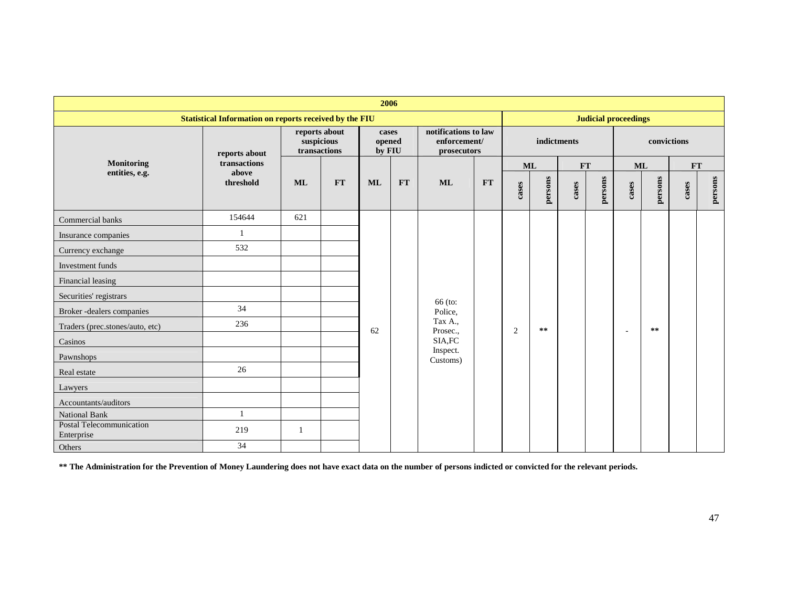| 2006                                                          |                    |                                             |           |                           |               |                                                     |    |                |              |       |         |                          |         |           |         |
|---------------------------------------------------------------|--------------------|---------------------------------------------|-----------|---------------------------|---------------|-----------------------------------------------------|----|----------------|--------------|-------|---------|--------------------------|---------|-----------|---------|
| <b>Statistical Information on reports received by the FIU</b> |                    | <b>Judicial proceedings</b>                 |           |                           |               |                                                     |    |                |              |       |         |                          |         |           |         |
|                                                               | reports about      | reports about<br>suspicious<br>transactions |           | cases<br>opened<br>by FIU |               | notifications to law<br>enforcement/<br>prosecutors |    | indictments    |              |       |         | convictions              |         |           |         |
| Monitoring                                                    | transactions       |                                             |           |                           |               |                                                     |    |                | ML           | FT    |         | <b>ML</b>                |         | <b>FT</b> |         |
| entities, e.g.                                                | above<br>threshold | <b>ML</b>                                   | <b>FT</b> | <b>ML</b>                 | $\mathbf{FT}$ | <b>ML</b>                                           | FT | cases          | persons      | cases | persons | cases                    | persons | cases     | persons |
| Commercial banks                                              | 154644             | 621                                         |           |                           |               |                                                     |    |                |              |       |         |                          |         |           |         |
| Insurance companies                                           |                    |                                             |           |                           |               |                                                     |    |                |              |       |         |                          |         |           |         |
| Currency exchange                                             | 532                |                                             |           |                           |               |                                                     |    |                |              |       |         |                          |         |           |         |
| Investment funds                                              |                    |                                             |           |                           |               |                                                     |    |                |              |       |         |                          |         |           |         |
| Financial leasing                                             |                    |                                             |           |                           |               |                                                     |    |                |              |       |         |                          |         |           |         |
| Securities' registrars                                        |                    |                                             |           |                           |               | 66 (to:                                             |    |                |              |       |         |                          |         |           |         |
| Broker-dealers companies                                      | 34                 |                                             |           |                           |               | Police,                                             |    |                |              |       |         |                          |         |           |         |
| Traders (prec.stones/auto, etc)                               | 236                |                                             |           | 62                        |               | Tax A.,<br>Prosec.,                                 |    | $\overline{c}$ | $\star\star$ |       |         | $\overline{\phantom{a}}$ | $***$   |           |         |
| Casinos                                                       |                    |                                             |           |                           |               | SIA, FC                                             |    |                |              |       |         |                          |         |           |         |
| Pawnshops                                                     |                    |                                             |           |                           |               | Inspect.<br>Customs)                                |    |                |              |       |         |                          |         |           |         |
| Real estate                                                   | 26                 |                                             |           |                           |               |                                                     |    |                |              |       |         |                          |         |           |         |
| Lawyers                                                       |                    |                                             |           |                           |               |                                                     |    |                |              |       |         |                          |         |           |         |
| Accountants/auditors                                          |                    |                                             |           |                           |               |                                                     |    |                |              |       |         |                          |         |           |         |
| National Bank                                                 |                    |                                             |           |                           |               |                                                     |    |                |              |       |         |                          |         |           |         |
| Postal Telecommunication<br>Enterprise                        | 219                | $\mathbf{1}$                                |           |                           |               |                                                     |    |                |              |       |         |                          |         |           |         |
| Others                                                        | 34                 |                                             |           |                           |               |                                                     |    |                |              |       |         |                          |         |           |         |

**\*\* The Administration for the Prevention of Money Laundering does not have exact data on the number of persons indicted or convicted for the relevant periods.**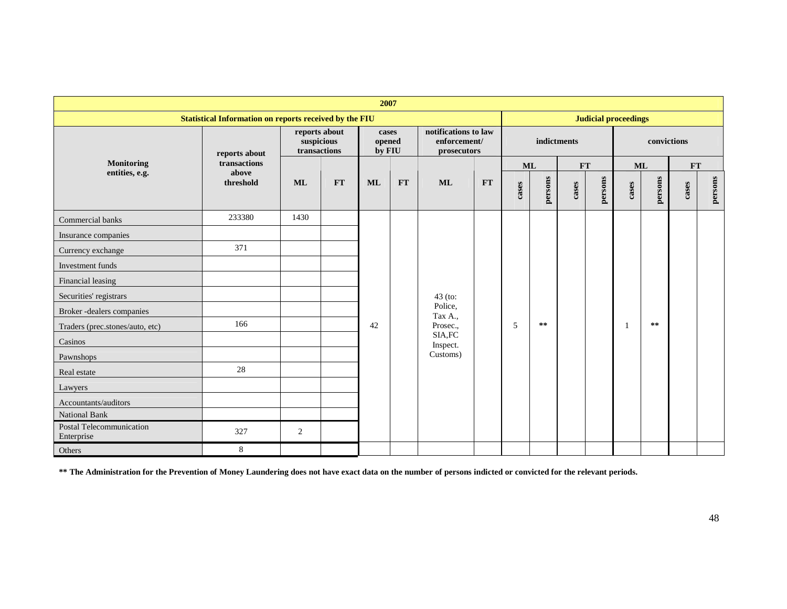| 2007                                                          |                    |                                             |           |                           |    |                                                     |    |                |           |       |         |             |         |       |         |
|---------------------------------------------------------------|--------------------|---------------------------------------------|-----------|---------------------------|----|-----------------------------------------------------|----|----------------|-----------|-------|---------|-------------|---------|-------|---------|
| <b>Statistical Information on reports received by the FIU</b> |                    | <b>Judicial proceedings</b>                 |           |                           |    |                                                     |    |                |           |       |         |             |         |       |         |
|                                                               | reports about      | reports about<br>suspicious<br>transactions |           | cases<br>opened<br>by FIU |    | notifications to law<br>enforcement/<br>prosecutors |    | indictments    |           |       |         | convictions |         |       |         |
| <b>Monitoring</b>                                             | transactions       |                                             |           |                           |    |                                                     |    |                | <b>ML</b> | FT    |         | <b>ML</b>   |         | FT    |         |
| entities, e.g.                                                | above<br>threshold | <b>ML</b>                                   | <b>FT</b> | <b>ML</b>                 | FT | <b>ML</b>                                           | FT | cases          | persons   | cases | persons | cases       | persons | cases | persons |
| Commercial banks                                              | 233380             | 1430                                        |           |                           |    |                                                     |    |                |           |       |         |             |         |       |         |
| Insurance companies                                           |                    |                                             |           |                           |    |                                                     |    |                |           |       |         |             |         |       |         |
| Currency exchange                                             | 371                |                                             |           |                           |    |                                                     |    |                |           |       |         |             |         |       |         |
| Investment funds                                              |                    |                                             |           |                           |    |                                                     |    |                |           |       |         |             |         |       |         |
| Financial leasing                                             |                    |                                             |           |                           |    |                                                     |    |                |           |       |         |             |         |       |         |
| Securities' registrars                                        |                    |                                             |           |                           |    | $43$ (to:                                           |    |                |           |       |         |             |         |       |         |
| Broker-dealers companies                                      |                    |                                             |           |                           |    | Police,<br>Tax A.,                                  |    |                |           |       |         |             |         |       |         |
| Traders (prec.stones/auto, etc)                               | 166                |                                             |           | 42                        |    | Prosec.,                                            |    | $\overline{5}$ | $***$     |       |         |             | $* *$   |       |         |
| Casinos                                                       |                    |                                             |           |                           |    | SIA.FC<br>Inspect.                                  |    |                |           |       |         |             |         |       |         |
| Pawnshops                                                     |                    |                                             |           |                           |    | Customs)                                            |    |                |           |       |         |             |         |       |         |
| Real estate                                                   | 28                 |                                             |           |                           |    |                                                     |    |                |           |       |         |             |         |       |         |
| Lawyers                                                       |                    |                                             |           |                           |    |                                                     |    |                |           |       |         |             |         |       |         |
| Accountants/auditors                                          |                    |                                             |           |                           |    |                                                     |    |                |           |       |         |             |         |       |         |
| <b>National Bank</b>                                          |                    |                                             |           |                           |    |                                                     |    |                |           |       |         |             |         |       |         |
| Postal Telecommunication<br>Enterprise                        | 327                | 2                                           |           |                           |    |                                                     |    |                |           |       |         |             |         |       |         |
| Others                                                        | 8                  |                                             |           |                           |    |                                                     |    |                |           |       |         |             |         |       |         |

**\*\* The Administration for the Prevention of Money Laundering does not have exact data on the number of persons indicted or convicted for the relevant periods.**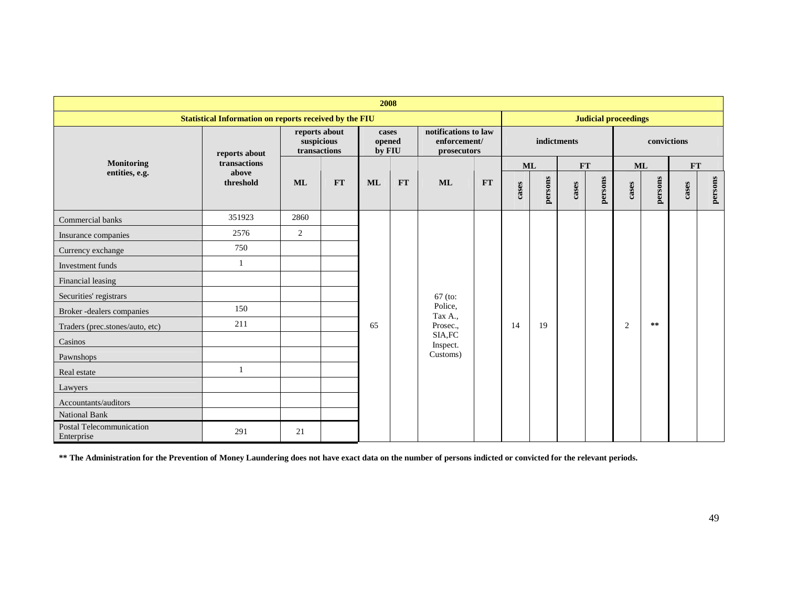| 2008                                                   |                    |                                             |           |                           |    |                                                     |    |             |         |           |                             |                |           |       |         |  |  |  |  |
|--------------------------------------------------------|--------------------|---------------------------------------------|-----------|---------------------------|----|-----------------------------------------------------|----|-------------|---------|-----------|-----------------------------|----------------|-----------|-------|---------|--|--|--|--|
| Statistical Information on reports received by the FIU |                    |                                             |           |                           |    |                                                     |    |             |         |           | <b>Judicial proceedings</b> |                |           |       |         |  |  |  |  |
|                                                        | reports about      | reports about<br>suspicious<br>transactions |           | cases<br>opened<br>by FIU |    | notifications to law<br>enforcement/<br>prosecutors |    | indictments |         |           |                             | convictions    |           |       |         |  |  |  |  |
| <b>Monitoring</b>                                      | transactions       |                                             |           |                           |    |                                                     |    | ML          |         | <b>FT</b> |                             | <b>ML</b>      |           | FT    |         |  |  |  |  |
| entities, e.g.                                         | above<br>threshold | <b>ML</b>                                   | <b>FT</b> | <b>ML</b>                 | FT | <b>ML</b>                                           | FT | cases       | persons | cases     | persons                     | cases          | persons   | cases | persons |  |  |  |  |
| Commercial banks                                       | 351923             | 2860                                        |           |                           |    |                                                     |    |             |         |           |                             |                |           |       |         |  |  |  |  |
| Insurance companies                                    | 2576               | 2                                           |           |                           |    |                                                     |    |             |         |           |                             |                |           |       |         |  |  |  |  |
| Currency exchange                                      | 750                |                                             |           |                           |    |                                                     |    |             |         |           |                             |                |           |       |         |  |  |  |  |
| Investment funds                                       |                    |                                             |           |                           |    |                                                     |    |             |         |           |                             |                |           |       |         |  |  |  |  |
| Financial leasing                                      |                    |                                             |           |                           |    |                                                     |    |             |         |           |                             |                |           |       |         |  |  |  |  |
| Securities' registrars                                 |                    |                                             |           |                           |    | $67$ (to:                                           |    |             |         |           |                             |                |           |       |         |  |  |  |  |
| Broker-dealers companies                               | 150                |                                             |           |                           |    | Police,<br>Tax A.,                                  |    |             |         |           |                             |                |           |       |         |  |  |  |  |
| Traders (prec.stones/auto, etc)                        | 211                |                                             |           | 65                        |    | Prosec.,                                            |    | 14          | 19      |           |                             | $\overline{2}$ | $\pm \pm$ |       |         |  |  |  |  |
| Casinos                                                |                    |                                             |           |                           |    | SIA, FC<br>Inspect.                                 |    |             |         |           |                             |                |           |       |         |  |  |  |  |
| Pawnshops                                              |                    |                                             |           |                           |    | Customs)                                            |    |             |         |           |                             |                |           |       |         |  |  |  |  |
| Real estate                                            |                    |                                             |           |                           |    |                                                     |    |             |         |           |                             |                |           |       |         |  |  |  |  |
| Lawyers                                                |                    |                                             |           |                           |    |                                                     |    |             |         |           |                             |                |           |       |         |  |  |  |  |
| Accountants/auditors                                   |                    |                                             |           |                           |    |                                                     |    |             |         |           |                             |                |           |       |         |  |  |  |  |
| National Bank                                          |                    |                                             |           |                           |    |                                                     |    |             |         |           |                             |                |           |       |         |  |  |  |  |
| Postal Telecommunication<br>Enterprise                 | 291                | 21                                          |           |                           |    |                                                     |    |             |         |           |                             |                |           |       |         |  |  |  |  |

**\*\* The Administration for the Prevention of Money Laundering does not have exact data on the number of persons indicted or convicted for the relevant periods.**